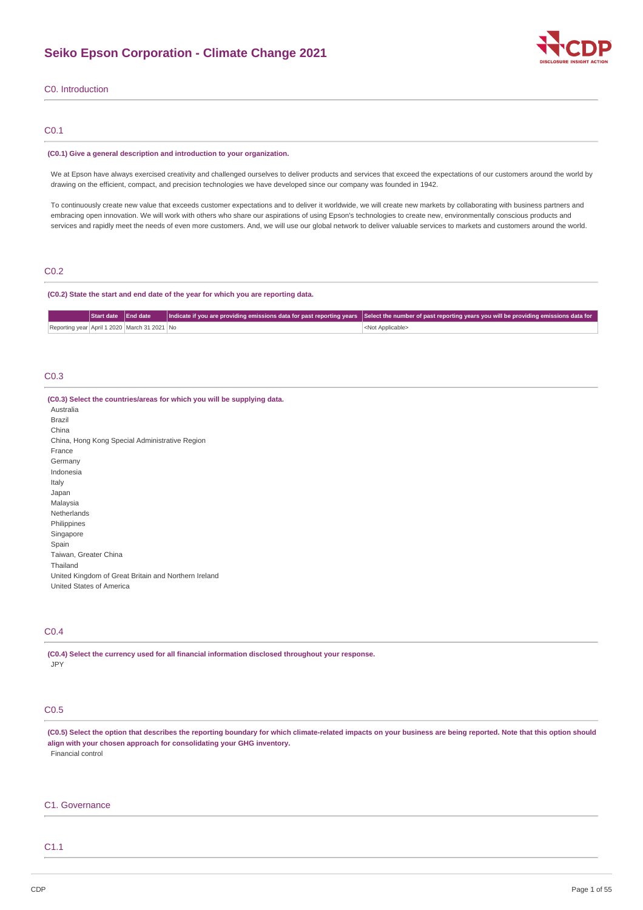

## C0. Introduction

## C0.1

#### **(C0.1) Give a general description and introduction to your organization.**

We at Epson have always exercised creativity and challenged ourselves to deliver products and services that exceed the expectations of our customers around the world by drawing on the efficient, compact, and precision technologies we have developed since our company was founded in 1942.

To continuously create new value that exceeds customer expectations and to deliver it worldwide, we will create new markets by collaborating with business partners and embracing open innovation. We will work with others who share our aspirations of using Epson's technologies to create new, environmentally conscious products and services and rapidly meet the needs of even more customers. And, we will use our global network to deliver valuable services to markets and customers around the world.

## C0.2

## **(C0.2) State the start and end date of the year for which you are reporting data.**

|                                              | Start date End date |  | Indicate if you are providing emissions data for past reporting years   Select the number of past reporting years you will be providing emissions data for |
|----------------------------------------------|---------------------|--|------------------------------------------------------------------------------------------------------------------------------------------------------------|
| Reporting year April 1 2020 March 31 2021 No |                     |  | <not applicable=""></not>                                                                                                                                  |

# C0.3

| (C0.3) Select the countries/areas for which you will be supplying data.<br>Australia |  |
|--------------------------------------------------------------------------------------|--|
| <b>Brazil</b>                                                                        |  |
| China                                                                                |  |
| China, Hong Kong Special Administrative Region                                       |  |
| France                                                                               |  |
| Germany                                                                              |  |
| Indonesia                                                                            |  |
| Italy                                                                                |  |
| Japan                                                                                |  |
| Malaysia                                                                             |  |
| Netherlands                                                                          |  |
| Philippines                                                                          |  |
| Singapore                                                                            |  |
| Spain                                                                                |  |
| Taiwan, Greater China                                                                |  |
| Thailand                                                                             |  |
| United Kingdom of Great Britain and Northern Ireland                                 |  |
| United States of America                                                             |  |

# C0.4

**(C0.4) Select the currency used for all financial information disclosed throughout your response.** JPY

# C0.5

(C0.5) Select the option that describes the reporting boundary for which climate-related impacts on your business are being reported. Note that this option should **align with your chosen approach for consolidating your GHG inventory.** Financial control

## C1. Governance

# C1.1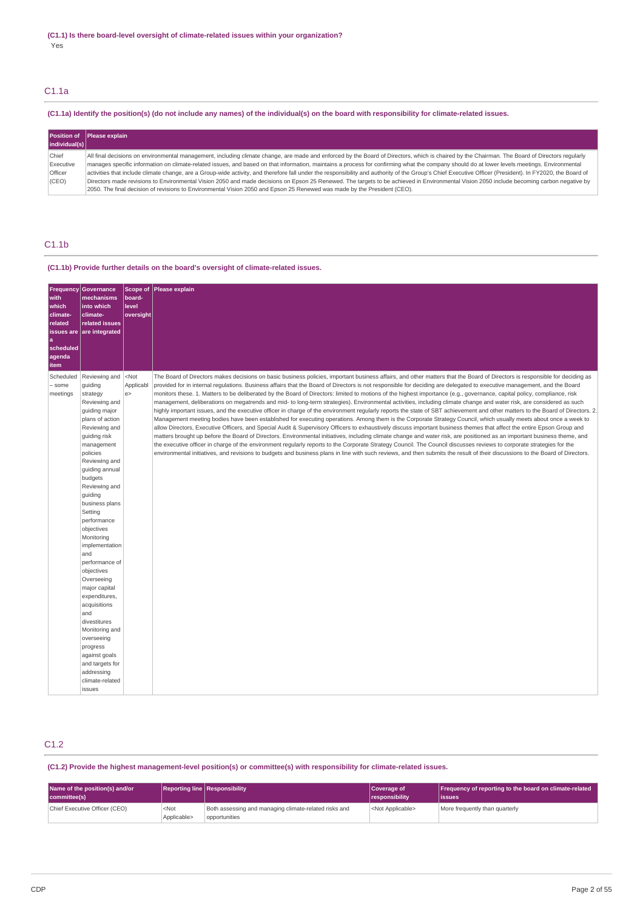# C1.1a

# (C1.1a) Identify the position(s) (do not include any names) of the individual(s) on the board with responsibility for climate-related issues.

| individual(s)                 | Position of Please explain                                                                                                                                                                                                                                                                                                                                                                                                                                                                                                                                                                                 |
|-------------------------------|------------------------------------------------------------------------------------------------------------------------------------------------------------------------------------------------------------------------------------------------------------------------------------------------------------------------------------------------------------------------------------------------------------------------------------------------------------------------------------------------------------------------------------------------------------------------------------------------------------|
| Chief<br>Executive<br>Officer | All final decisions on environmental management, including climate change, are made and enforced by the Board of Directors, which is chaired by the Chairman. The Board of Directors regularly<br>manages specific information on climate-related issues, and based on that information, maintains a process for confirming what the company should do at lower levels meetings. Environmental<br>activities that include climate change, are a Group-wide activity, and therefore fall under the responsibility and authority of the Group's Chief Executive Officer (President). In FY2020, the Board of |
| (CEO)                         | Directors made revisions to Environmental Vision 2050 and made decisions on Epson 25 Renewed. The targets to be achieved in Environmental Vision 2050 include becoming carbon negative by<br>[2050, The final decision of revisions to Environmental Vision 2050 and Epson 25 Renewed was made by the President (CEO).                                                                                                                                                                                                                                                                                     |

# C1.1b

## **(C1.1b) Provide further details on the board's oversight of climate-related issues.**

| <b>Frequency</b><br>with<br>which<br>climate-<br>related<br>a<br>scheduled<br>agenda<br>item | Governance<br>mechanisms<br>into which<br>climate-<br>related issues<br>issues are are integrated                                                                                                                                                                                                                                                                                                                                                                                                                                                                                 | board-<br>level<br>oversight | Scope of Please explain                                                                                                                                                                                                                                                                                                                                                                                                                                                                                                                                                                                                                                                                                                                                                                                                                                                                                                                                                                                                                                                                                                                                                                                                                                                                                                                                                                                                                                                                                                                                                                                                                                                                                                                                                          |
|----------------------------------------------------------------------------------------------|-----------------------------------------------------------------------------------------------------------------------------------------------------------------------------------------------------------------------------------------------------------------------------------------------------------------------------------------------------------------------------------------------------------------------------------------------------------------------------------------------------------------------------------------------------------------------------------|------------------------------|----------------------------------------------------------------------------------------------------------------------------------------------------------------------------------------------------------------------------------------------------------------------------------------------------------------------------------------------------------------------------------------------------------------------------------------------------------------------------------------------------------------------------------------------------------------------------------------------------------------------------------------------------------------------------------------------------------------------------------------------------------------------------------------------------------------------------------------------------------------------------------------------------------------------------------------------------------------------------------------------------------------------------------------------------------------------------------------------------------------------------------------------------------------------------------------------------------------------------------------------------------------------------------------------------------------------------------------------------------------------------------------------------------------------------------------------------------------------------------------------------------------------------------------------------------------------------------------------------------------------------------------------------------------------------------------------------------------------------------------------------------------------------------|
| Scheduled<br>- some<br>meetings                                                              | Reviewing and<br>quiding<br>strategy<br>Reviewing and<br>guiding major<br>plans of action<br>Reviewing and<br>guiding risk<br>management<br>policies<br>Reviewing and<br>guiding annual<br>budgets<br>Reviewing and<br>guiding<br>business plans<br>Setting<br>performance<br>objectives<br>Monitoring<br>implementation<br>and<br>performance of<br>objectives<br>Overseeing<br>major capital<br>expenditures,<br>acquisitions<br>and<br>divestitures<br>Monitoring and<br>overseeing<br>progress<br>against goals<br>and targets for<br>addressing<br>climate-related<br>issues | $<$ Not<br>Applicabl<br>e    | The Board of Directors makes decisions on basic business policies, important business affairs, and other matters that the Board of Directors is responsible for deciding as<br>provided for in internal regulations. Business affairs that the Board of Directors is not responsible for deciding are delegated to executive management, and the Board<br>monitors these. 1. Matters to be deliberated by the Board of Directors: limited to motions of the highest importance (e.g., governance, capital policy, compliance, risk<br>management, deliberations on megatrends and mid- to long-term strategies). Environmental activities, including climate change and water risk, are considered as such<br>highly important issues, and the executive officer in charge of the environment regularly reports the state of SBT achievement and other matters to the Board of Directors. 2.<br>Management meeting bodies have been established for executing operations. Among them is the Corporate Strategy Council, which usually meets about once a week to<br>allow Directors, Executive Officers, and Special Audit & Supervisory Officers to exhaustively discuss important business themes that affect the entire Epson Group and<br>matters brought up before the Board of Directors. Environmental initiatives, including climate change and water risk, are positioned as an important business theme, and<br>the executive officer in charge of the environment regularly reports to the Corporate Strategy Council. The Council discusses reviews to corporate strategies for the<br>environmental initiatives, and revisions to budgets and business plans in line with such reviews, and then submits the result of their discussions to the Board of Directors. |

# C1.2

## **(C1.2) Provide the highest management-level position(s) or committee(s) with responsibility for climate-related issues.**

| Name of the position(s) and/or<br>committee(s) |                                 | <b>Reporting line Responsibility</b>                                   | Coverage of<br>responsibility | Frequency of reporting to the board on climate-related<br>lissues |
|------------------------------------------------|---------------------------------|------------------------------------------------------------------------|-------------------------------|-------------------------------------------------------------------|
| Chief Executive Officer (CEO)                  | <not<br>Applicable&gt;</not<br> | Both assessing and managing climate-related risks and<br>opportunities | <not applicable=""></not>     | More frequently than quarterly                                    |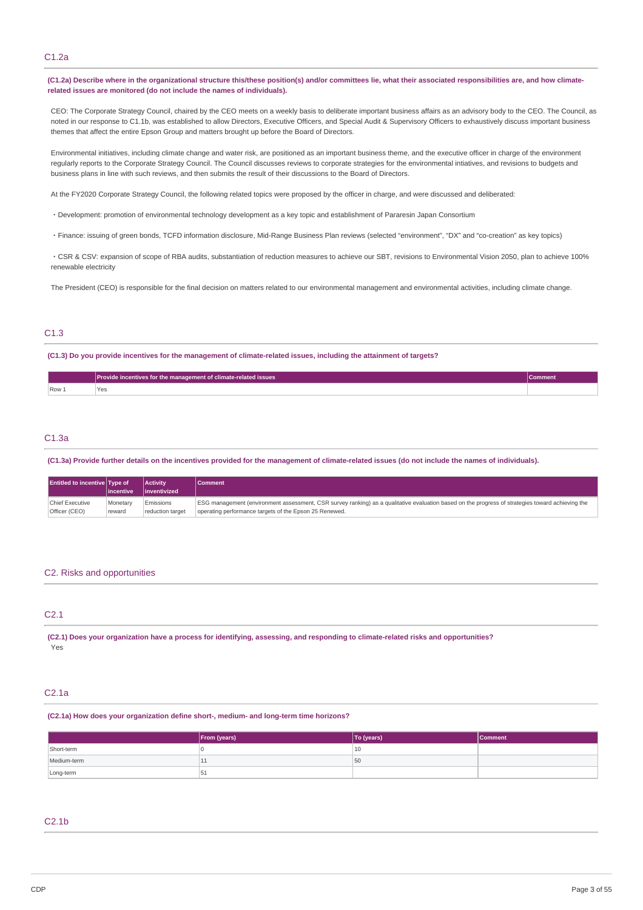## C1.2a

(C1.2a) Describe where in the organizational structure this/these position(s) and/or committees lie, what their associated responsibilities are, and how climate**related issues are monitored (do not include the names of individuals).**

CEO: The Corporate Strategy Council, chaired by the CEO meets on a weekly basis to deliberate important business affairs as an advisory body to the CEO. The Council, as noted in our response to C1.1b, was established to allow Directors, Executive Officers, and Special Audit & Supervisory Officers to exhaustively discuss important business themes that affect the entire Epson Group and matters brought up before the Board of Directors.

Environmental initiatives, including climate change and water risk, are positioned as an important business theme, and the executive officer in charge of the environment regularly reports to the Corporate Strategy Council. The Council discusses reviews to corporate strategies for the environmental intiatives, and revisions to budgets and business plans in line with such reviews, and then submits the result of their discussions to the Board of Directors.

At the FY2020 Corporate Strategy Council, the following related topics were proposed by the officer in charge, and were discussed and deliberated:

- ・Development: promotion of environmental technology development as a key topic and establishment of Pararesin Japan Consortium
- ・Finance: issuing of green bonds, TCFD information disclosure, Mid-Range Business Plan reviews (selected "environment", "DX" and "co-creation" as key topics)

・CSR & CSV: expansion of scope of RBA audits, substantiation of reduction measures to achieve our SBT, revisions to Environmental Vision 2050, plan to achieve 100% renewable electricity

The President (CEO) is responsible for the final decision on matters related to our environmental management and environmental activities, including climate change.

## C1.3

(C1.3) Do you provide incentives for the management of climate-related issues, including the attainment of targets?

|      | Provide incentives for the management of climate-related issues | Comment |
|------|-----------------------------------------------------------------|---------|
| Row: | Yes                                                             |         |

## C1.3a

(C1.3a) Provide further details on the incentives provided for the management of climate-related issues (do not include the names of individuals).

| <b>Entitled to incentive Type of</b> | lincentive | <b>Activity</b><br>linventivized | <b>Comment</b>                                                                                                                                   |
|--------------------------------------|------------|----------------------------------|--------------------------------------------------------------------------------------------------------------------------------------------------|
| Chief Executive                      | Monetary   | Emissions                        | ESG management (environment assessment, CSR survey ranking) as a qualitative evaluation based on the progress of strategies toward achieving the |
| Officer (CEO)                        | reward     | reduction target                 | operating performance targets of the Epson 25 Renewed.                                                                                           |

## C2. Risks and opportunities

# C2.1

(C2.1) Does vour organization have a process for identifying, assessing, and responding to climate-related risks and opportunities? Yes

## C2.1a

**(C2.1a) How does your organization define short-, medium- and long-term time horizons?**

|             | From (years) | To (years) | <b>Comment</b> |
|-------------|--------------|------------|----------------|
| Short-term  |              | 10         |                |
| Medium-term | ᆠ            | 50         |                |
| Long-term   | -51          |            |                |

## C2.1b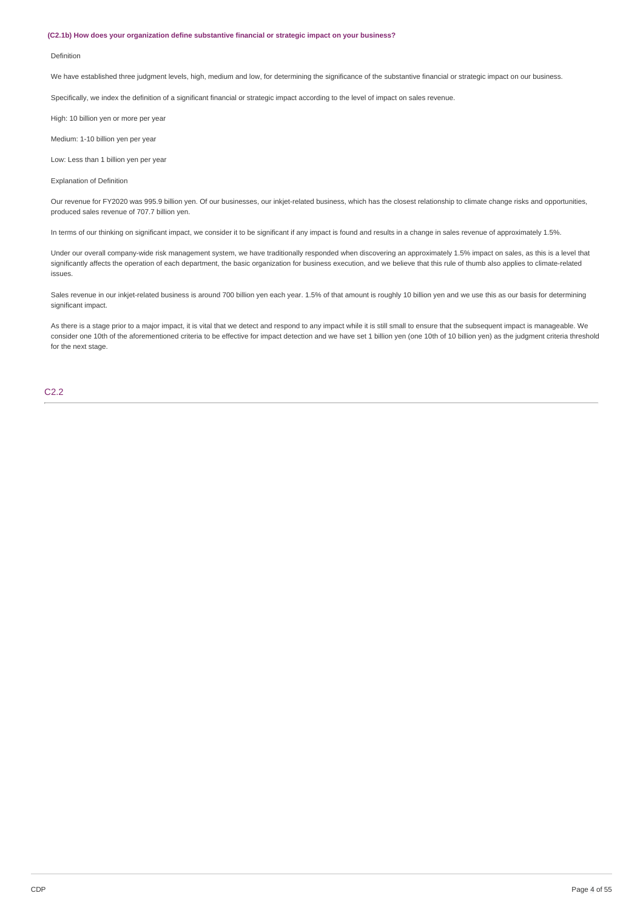#### **(C2.1b) How does your organization define substantive financial or strategic impact on your business?**

#### Definition

We have established three judgment levels, high, medium and low, for determining the significance of the substantive financial or strategic impact on our business.

Specifically, we index the definition of a significant financial or strategic impact according to the level of impact on sales revenue.

High: 10 billion yen or more per year

Medium: 1-10 billion yen per year

Low: Less than 1 billion yen per year

Explanation of Definition

Our revenue for FY2020 was 995.9 billion yen. Of our businesses, our inkjet-related business, which has the closest relationship to climate change risks and opportunities, produced sales revenue of 707.7 billion yen.

In terms of our thinking on significant impact, we consider it to be significant if any impact is found and results in a change in sales revenue of approximately 1.5%.

Under our overall company-wide risk management system, we have traditionally responded when discovering an approximately 1.5% impact on sales, as this is a level that significantly affects the operation of each department, the basic organization for business execution, and we believe that this rule of thumb also applies to climate-related issues.

Sales revenue in our inkjet-related business is around 700 billion yen each year. 1.5% of that amount is roughly 10 billion yen and we use this as our basis for determining significant impact.

As there is a stage prior to a major impact, it is vital that we detect and respond to any impact while it is still small to ensure that the subsequent impact is manageable. We consider one 10th of the aforementioned criteria to be effective for impact detection and we have set 1 billion yen (one 10th of 10 billion yen) as the judgment criteria threshold for the next stage.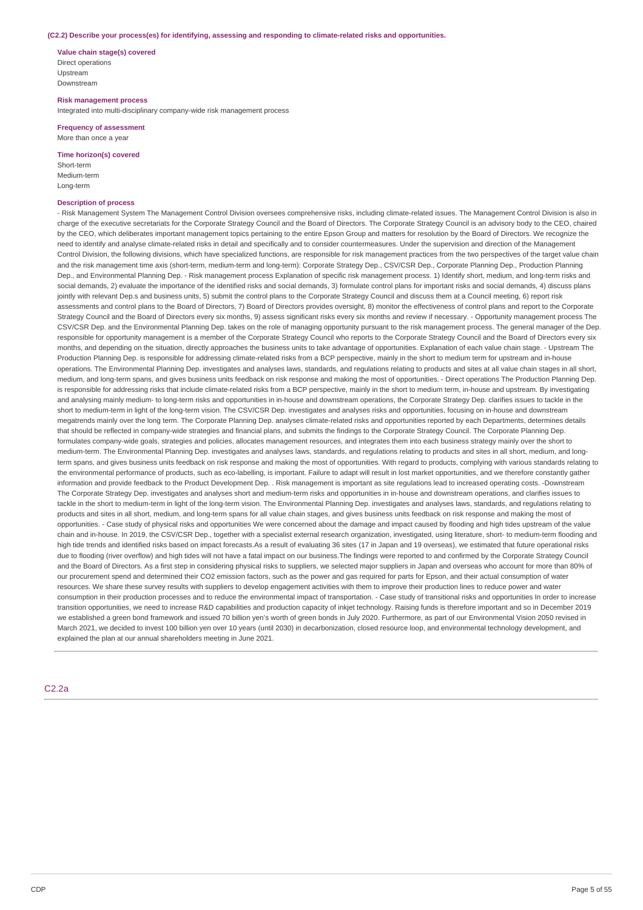#### **(C2.2) Describe your process(es) for identifying, assessing and responding to climate-related risks and opportunities.**

**Value chain stage(s) covered** Direct operations Upstream Downstream

**Risk management process** Integrated into multi-disciplinary company-wide risk management process

**Frequency of assessment** More than once a year

**Time horizon(s) covered**

Short-term Medium-term Long-term

## **Description of process**

- Risk Management System The Management Control Division oversees comprehensive risks, including climate-related issues. The Management Control Division is also in charge of the executive secretariats for the Corporate Strategy Council and the Board of Directors. The Corporate Strategy Council is an advisory body to the CEO, chaired by the CEO, which deliberates important management topics pertaining to the entire Epson Group and matters for resolution by the Board of Directors. We recognize the need to identify and analyse climate-related risks in detail and specifically and to consider countermeasures. Under the supervision and direction of the Management Control Division, the following divisions, which have specialized functions, are responsible for risk management practices from the two perspectives of the target value chain and the risk management time axis (short-term, medium-term and long-term): Corporate Strategy Dep., CSV/CSR Dep., Corporate Planning Dep., Production Planning Dep., and Environmental Planning Dep. - Risk management process Explanation of specific risk management process. 1) Identify short, medium, and long-term risks and social demands, 2) evaluate the importance of the identified risks and social demands. 3) formulate control plans for important risks and social demands, 4) discuss plans jointly with relevant Dep.s and business units, 5) submit the control plans to the Corporate Strategy Council and discuss them at a Council meeting, 6) report risk assessments and control plans to the Board of Directors, 7) Board of Directors provides oversight, 8) monitor the effectiveness of control plans and report to the Corporate Strategy Council and the Board of Directors every six months, 9) assess significant risks every six months and review if necessary. - Opportunity management process The CSV/CSR Dep. and the Environmental Planning Dep. takes on the role of managing opportunity pursuant to the risk management process. The general manager of the Dep. responsible for opportunity management is a member of the Corporate Strategy Council who reports to the Corporate Strategy Council and the Board of Directors every six months, and depending on the situation, directly approaches the business units to take advantage of opportunities. Explanation of each value chain stage. - Upstream The Production Planning Dep. is responsible for addressing climate-related risks from a BCP perspective, mainly in the short to medium term for upstream and in-house operations. The Environmental Planning Dep. investigates and analyses laws, standards, and regulations relating to products and sites at all value chain stages in all short, medium, and long-term spans, and gives business units feedback on risk response and making the most of opportunities. - Direct operations The Production Planning Dep. is responsible for addressing risks that include climate-related risks from a BCP perspective, mainly in the short to medium term, in-house and upstream. By investigating and analysing mainly medium- to long-term risks and opportunities in in-house and downstream operations, the Corporate Strategy Dep. clarifies issues to tackle in the short to medium-term in light of the long-term vision. The CSV/CSR Dep. investigates and analyses risks and opportunities, focusing on in-house and downstream megatrends mainly over the long term. The Corporate Planning Dep. analyses climate-related risks and opportunities reported by each Departments, determines details that should be reflected in company-wide strategies and financial plans, and submits the findings to the Corporate Strategy Council. The Corporate Planning Dep. formulates company-wide goals, strategies and policies, allocates management resources, and integrates them into each business strategy mainly over the short to medium-term. The Environmental Planning Dep. investigates and analyses laws, standards, and regulations relating to products and sites in all short, medium, and longterm spans, and gives business units feedback on risk response and making the most of opportunities. With regard to products, complying with various standards relating to the environmental performance of products, such as eco-labelling, is important. Failure to adapt will result in lost market opportunities, and we therefore constantly gather information and provide feedback to the Product Development Dep. . Risk management is important as site regulations lead to increased operating costs. -Downstream The Corporate Strategy Dep. investigates and analyses short and medium-term risks and opportunities in in-house and downstream operations, and clarifies issues to tackle in the short to medium-term in light of the long-term vision. The Environmental Planning Dep. investigates and analyses laws, standards, and regulations relating to products and sites in all short, medium, and long-term spans for all value chain stages, and gives business units feedback on risk response and making the most of opportunities. - Case study of physical risks and opportunities We were concerned about the damage and impact caused by flooding and high tides upstream of the value chain and in-house. In 2019, the CSV/CSR Dep., together with a specialist external research organization, investigated, using literature, short- to medium-term flooding and high tide trends and identified risks based on impact forecasts.As a result of evaluating 36 sites (17 in Japan and 19 overseas), we estimated that future operational risks due to flooding (river overflow) and high tides will not have a fatal impact on our business. The findings were reported to and confirmed by the Corporate Strategy Council and the Board of Directors. As a first step in considering physical risks to suppliers, we selected major suppliers in Japan and overseas who account for more than 80% of our procurement spend and determined their CO2 emission factors, such as the power and gas required for parts for Epson, and their actual consumption of water resources. We share these survey results with suppliers to develop engagement activities with them to improve their production lines to reduce power and water consumption in their production processes and to reduce the environmental impact of transportation. - Case study of transitional risks and opportunities In order to increase transition opportunities, we need to increase R&D capabilities and production capacity of inkjet technology. Raising funds is therefore important and so in December 2019 we established a green bond framework and issued 70 billion yen's worth of green bonds in July 2020. Furthermore, as part of our Environmental Vision 2050 revised in March 2021, we decided to invest 100 billion yen over 10 years (until 2030) in decarbonization, closed resource loop, and environmental technology development, and explained the plan at our annual shareholders meeting in June 2021.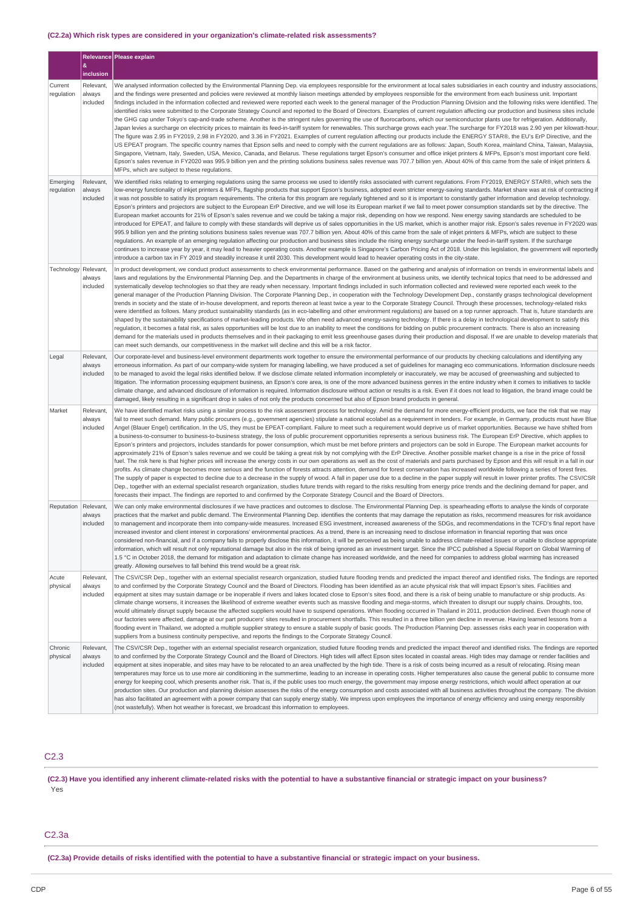## **(C2.2a) Which risk types are considered in your organization's climate-related risk assessments?**

|                        |                                 | Relevance Please explain                                                                                                                                                                                                                                                                                                                                                                                                                                                                                                                                                                                                                                                                                                                                                                                                                                                                                                                                                                                                                                                                                                                                                                                                                                                                                                                                                                                                                                                                                                                                                                                                                                                                                                                                                                                                                                                                                                                                                                                                                                                                          |
|------------------------|---------------------------------|---------------------------------------------------------------------------------------------------------------------------------------------------------------------------------------------------------------------------------------------------------------------------------------------------------------------------------------------------------------------------------------------------------------------------------------------------------------------------------------------------------------------------------------------------------------------------------------------------------------------------------------------------------------------------------------------------------------------------------------------------------------------------------------------------------------------------------------------------------------------------------------------------------------------------------------------------------------------------------------------------------------------------------------------------------------------------------------------------------------------------------------------------------------------------------------------------------------------------------------------------------------------------------------------------------------------------------------------------------------------------------------------------------------------------------------------------------------------------------------------------------------------------------------------------------------------------------------------------------------------------------------------------------------------------------------------------------------------------------------------------------------------------------------------------------------------------------------------------------------------------------------------------------------------------------------------------------------------------------------------------------------------------------------------------------------------------------------------------|
|                        | &<br>inclusion                  |                                                                                                                                                                                                                                                                                                                                                                                                                                                                                                                                                                                                                                                                                                                                                                                                                                                                                                                                                                                                                                                                                                                                                                                                                                                                                                                                                                                                                                                                                                                                                                                                                                                                                                                                                                                                                                                                                                                                                                                                                                                                                                   |
| Current<br>regulation  | Relevant.<br>always<br>included | We analysed information collected by the Environmental Planning Dep. via employees responsible for the environment at local sales subsidiaries in each country and industry associations,<br>and the findings were presented and policies were reviewed at monthly liaison meetings attended by employees responsible for the environment from each business unit. Important<br>findings included in the information collected and reviewed were reported each week to the general manager of the Production Planning Division and the following risks were identified. The<br>identified risks were submitted to the Corporate Strategy Council and reported to the Board of Directors. Examples of current regulation affecting our production and business sites include<br>the GHG cap under Tokyo's cap-and-trade scheme. Another is the stringent rules governing the use of fluorocarbons, which our semiconductor plants use for refrigeration. Additionally,<br>Japan levies a surcharge on electricity prices to maintain its feed-in-tariff system for renewables. This surcharge grows each year. The surcharge for FY2018 was 2.90 yen per kilowatt-hour<br>The figure was 2.95 in FY2019, 2.98 in FY2020, and 3.36 in FY2021. Examples of current regulation affecting our products include the ENERGY STAR®, the EU's ErP Directive, and the<br>US EPEAT program. The specific country names that Epson sells and need to comply with the current regulations are as follows: Japan, South Korea, mainland China, Taiwan, Malaysia,<br>Singapore, Vietnam, Italy, Sweden, USA, Mexico, Canada, and Belarus. These regulations target Epson's consumer and office inkjet printers & MFPs, Epson's most important core field.<br>Epson's sales revenue in FY2020 was 995.9 billion yen and the printing solutions business sales revenue was 707.7 billion yen. About 40% of this came from the sale of inkjet printers &<br>MFPs, which are subject to these regulations.                                                                                                           |
| Emerging<br>regulation | Relevant,<br>always<br>included | We identified risks relating to emerging regulations using the same process we used to identify risks associated with current regulations. From FY2019, ENERGY STAR®, which sets the<br>low-energy functionality of inkjet printers & MFPs, flagship products that support Epson's business, adopted even stricter energy-saving standards. Market share was at risk of contracting if<br>it was not possible to satisfy its program requirements. The criteria for this program are regularly tightened and so it is important to constantly gather information and develop technology.<br>Epson's printers and projectors are subject to the European ErP Directive, and we will lose its European market if we fail to meet power consumption standards set by the directive. The<br>European market accounts for 21% of Epson's sales revenue and we could be taking a major risk, depending on how we respond. New energy saving standards are scheduled to be<br>introduced for EPEAT, and failure to comply with these standards will deprive us of sales opportunities in the US market, which is another major risk. Epson's sales revenue in FY2020 was<br>995.9 billion yen and the printing solutions business sales revenue was 707.7 billion yen. About 40% of this came from the sale of inkjet printers & MFPs, which are subject to these<br>regulations. An example of an emerging regulation affecting our production and business sites include the rising energy surcharge under the feed-in-tariff system. If the surcharge<br>continues to increase year by year, it may lead to heavier operating costs. Another example is Singapore's Carbon Pricing Act of 2018. Under this legislation, the government will reportedly<br>introduce a carbon tax in FY 2019 and steadily increase it until 2030. This development would lead to heavier operating costs in the city-state.                                                                                                                                                                                            |
| Technology             | Relevant,<br>always<br>included | In product development, we conduct product assessments to check environmental performance. Based on the gathering and analysis of information on trends in environmental labels and<br>laws and regulations by the Environmental Planning Dep. and the Departments in charge of the environment at business units, we identify technical topics that need to be addressed and<br>systematically develop technologies so that they are ready when necessary. Important findings included in such information collected and reviewed were reported each week to the<br>general manager of the Production Planning Division. The Corporate Planning Dep., in cooperation with the Technology Development Dep., constantly grasps technological development<br>trends in society and the state of in-house development, and reports thereon at least twice a year to the Corporate Strategy Council. Through these processes, technology-related risks<br>were identified as follows. Many product sustainability standards (as in eco-labelling and other environment regulations) are based on a top runner approach. That is, future standards are<br>shaped by the sustainability specifications of market-leading products. We often need advanced energy-saving technology. If there is a delay in technological development to satisfy this<br>regulation, it becomes a fatal risk, as sales opportunities will be lost due to an inability to meet the conditions for bidding on public procurement contracts. There is also an increasing<br>demand for the materials used in products themselves and in their packaging to emit less greenhouse gases during their production and disposal. If we are unable to develop materials that<br>can meet such demands, our competitiveness in the market will decline and this will be a risk factor.                                                                                                                                                                                                                                             |
| Legal                  | Relevant,<br>always<br>included | Our corporate-level and business-level environment departments work together to ensure the environmental performance of our products by checking calculations and identifying any<br>erroneous information. As part of our company-wide system for managing labelling, we have produced a set of guidelines for managing eco communications. Information disclosure needs<br>to be managed to avoid the legal risks identified below. If we disclose climate related information incompletely or inaccurately, we may be accused of greenwashing and subjected to<br>litigation. The information processing equipment business, an Epson's core area, is one of the more advanced business genres in the entire industry when it comes to initiatives to tackle<br>climate change, and advanced disclosure of information is required. Information disclosure without action or results is a risk. Even if it does not lead to litigation, the brand image could be<br>damaged, likely resulting in a significant drop in sales of not only the products concerned but also of Epson brand products in general.                                                                                                                                                                                                                                                                                                                                                                                                                                                                                                                                                                                                                                                                                                                                                                                                                                                                                                                                                                                   |
| Market                 | Relevant,<br>always<br>included | We have identified market risks using a similar process to the risk assessment process for technology. Amid the demand for more energy-efficient products, we face the risk that we may<br>fail to meet such demand. Many public procurers (e.g., government agencies) stipulate a national ecolabel as a requirement in tenders. For example, in Germany, products must have Blue<br>Angel (Blauer Engel) certification. In the US, they must be EPEAT-compliant. Failure to meet such a requirement would deprive us of market opportunities. Because we have shifted from<br>a business-to-consumer to business-to-business strategy, the loss of public procurement opportunities represents a serious business risk. The European ErP Directive, which applies to<br>Epson's printers and projectors, includes standards for power consumption, which must be met before printers and projectors can be sold in Europe. The European market accounts for<br>approximately 21% of Epson's sales revenue and we could be taking a great risk by not complying with the ErP Directive. Another possible market change is a rise in the price of fossil<br>fuel. The risk here is that higher prices will increase the energy costs in our own operations as well as the cost of materials and parts purchased by Epson and this will result in a fall in our<br>profits. As climate change becomes more serious and the function of forests attracts attention, demand for forest conservation has increased worldwide following a series of forest fires.<br>The supply of paper is expected to decline due to a decrease in the supply of wood. A fall in paper use due to a decline in the paper supply will result in lower printer profits. The CSV/CSR<br>Dep., together with an external specialist research organization, studies future trends with regard to the risks resulting from energy price trends and the declining demand for paper, and<br>forecasts their impact. The findings are reported to and confirmed by the Corporate Strategy Council and the Board of Directors. |
| Reputation             | Relevant,<br>always<br>included | We can only make environmental disclosures if we have practices and outcomes to disclose. The Environmental Planning Dep. is spearheading efforts to analyse the kinds of corporate<br>practices that the market and public demand. The Environmental Planning Dep. identifies the contents that may damage the reputation as risks, recommend measures for risk avoidance<br>to management and incorporate them into company-wide measures. Increased ESG investment, increased awareness of the SDGs, and recommendations in the TCFD's final report have<br>increased investor and client interest in corporations' environmental practices. As a trend, there is an increasing need to disclose information in financial reporting that was once<br>considered non-financial, and if a company fails to properly disclose this information, it will be perceived as being unable to address climate-related issues or unable to disclose appropriate<br>information, which will result not only reputational damage but also in the risk of being ignored as an investment target. Since the IPCC published a Special Report on Global Warming of<br>1.5 °C in October 2018, the demand for mitigation and adaptation to climate change has increased worldwide, and the need for companies to address global warming has increased<br>greatly. Allowing ourselves to fall behind this trend would be a great risk.                                                                                                                                                                                                                                                                                                                                                                                                                                                                                                                                                                                                                                                                           |
| Acute<br>physical      | Relevant,<br>always<br>included | The CSV/CSR Dep., together with an external specialist research organization, studied future flooding trends and predicted the impact thereof and identified risks. The findings are reported<br>to and confirmed by the Corporate Strategy Council and the Board of Directors. Flooding has been identified as an acute physical risk that will impact Epson's sites. Facilities and<br>equipment at sites may sustain damage or be inoperable if rivers and lakes located close to Epson's sites flood, and there is a risk of being unable to manufacture or ship products. As<br>climate change worsens, it increases the likelihood of extreme weather events such as massive flooding and mega-storms, which threaten to disrupt our supply chains. Droughts, too,<br>would ultimately disrupt supply because the affected suppliers would have to suspend operations. When flooding occurred in Thailand in 2011, production declined. Even though none of<br>our factories were affected, damage at our part producers' sites resulted in procurement shortfalls. This resulted in a three billion yen decline in revenue. Having learned lessons from a<br>flooding event in Thailand, we adopted a multiple supplier strategy to ensure a stable supply of basic goods. The Production Planning Dep. assesses risks each year in cooperation with<br>suppliers from a business continuity perspective, and reports the findings to the Corporate Strategy Council.                                                                                                                                                                                                                                                                                                                                                                                                                                                                                                                                                                                                                      |
| Chronic<br>physical    | Relevant.<br>always<br>included | The CSV/CSR Dep., together with an external specialist research organization, studied future flooding trends and predicted the impact thereof and identified risks. The findings are reported<br>to and confirmed by the Corporate Strategy Council and the Board of Directors. High tides will affect Epson sites located in coastal areas. High tides may damage or render facilities and<br>equipment at sites inoperable, and sites may have to be relocated to an area unaffected by the high tide. There is a risk of costs being incurred as a result of relocating. Rising mean<br>temperatures may force us to use more air conditioning in the summertime, leading to an increase in operating costs. Higher temperatures also cause the general public to consume more<br>energy for keeping cool, which presents another risk. That is, if the public uses too much energy, the government may impose energy restrictions, which would affect operation at our<br>production sites. Our production and planning division assesses the risks of the energy consumption and costs associated with all business activities throughout the company. The division<br>has also facilitated an agreement with a power company that can supply energy stably. We impress upon employees the importance of energy efficiency and using energy responsibly<br>(not wastefully). When hot weather is forecast, we broadcast this information to employees.                                                                                                                                                                                                                                                                                                                                                                                                                                                                                                                                                                                                                                       |

# C2.3

(C2.3) Have you identified any inherent climate-related risks with the potential to have a substantive financial or strategic impact on your business? Yes

# C2.3a

(C2.3a) Provide details of risks identified with the potential to have a substantive financial or strategic impact on your business.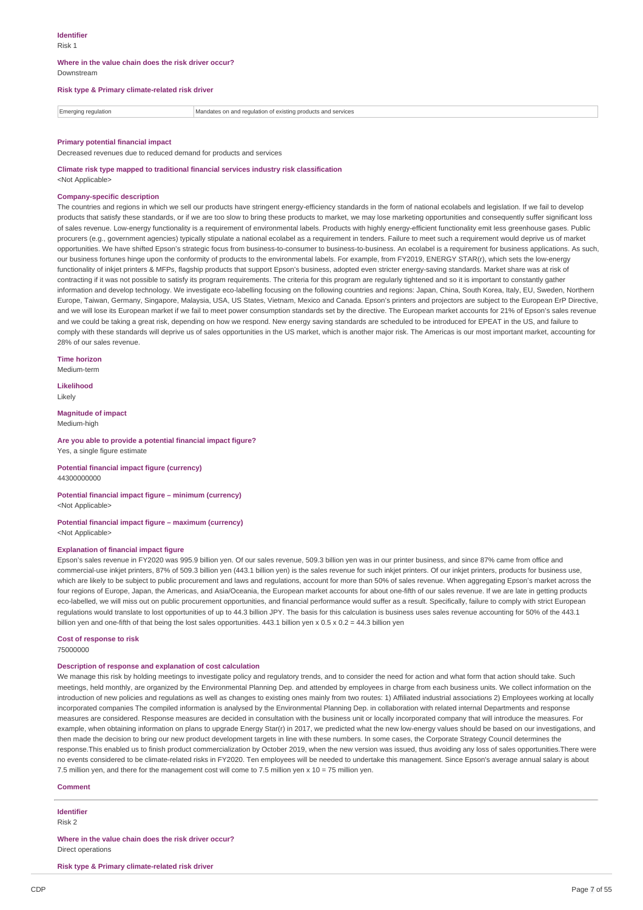#### **Where in the value chain does the risk driver occur?** Downstream

#### **Risk type & Primary climate-related risk driver**

 $\boxed{\color{red}\blacksquare}$  Emerging regulation  $\boxed{\color{red}\blacksquare}$  Mandates on and regulation of existing products and services

#### **Primary potential financial impact**

Decreased revenues due to reduced demand for products and services

## **Climate risk type mapped to traditional financial services industry risk classification**

<Not Applicable>

## **Company-specific description**

The countries and regions in which we sell our products have stringent energy-efficiency standards in the form of national ecolabels and legislation. If we fail to develop products that satisfy these standards, or if we are too slow to bring these products to market, we may lose marketing opportunities and consequently suffer significant loss of sales revenue. Low-energy functionality is a requirement of environmental labels. Products with highly energy-efficient functionality emit less greenhouse gases. Public procurers (e.g., government agencies) typically stipulate a national ecolabel as a requirement in tenders. Failure to meet such a requirement would deprive us of market opportunities. We have shifted Epson's strategic focus from business-to-consumer to business-to-business. An ecolabel is a requirement for business applications. As such, our business fortunes hinge upon the conformity of products to the environmental labels. For example, from FY2019, ENERGY STAR(r), which sets the low-energy functionality of inkjet printers & MFPs, flagship products that support Epson's business, adopted even stricter energy-saving standards. Market share was at risk of contracting if it was not possible to satisfy its program requirements. The criteria for this program are regularly tightened and so it is important to constantly gather information and develop technology. We investigate eco-labelling focusing on the following countries and regions: Japan, China, South Korea, Italy, EU, Sweden, Northern Europe, Taiwan, Germany, Singapore, Malaysia, USA, US States, Vietnam, Mexico and Canada. Epson's printers and projectors are subject to the European ErP Directive, and we will lose its European market if we fail to meet power consumption standards set by the directive. The European market accounts for 21% of Epson's sales revenue and we could be taking a great risk, depending on how we respond. New energy saving standards are scheduled to be introduced for EPEAT in the US, and failure to comply with these standards will deprive us of sales opportunities in the US market, which is another major risk. The Americas is our most important market, accounting for 28% of our sales revenue.

**Time horizon** Medium-term

**Likelihood**

Likely

**Magnitude of impact** Medium-high

**Are you able to provide a potential financial impact figure?** Yes, a single figure estimate

**Potential financial impact figure (currency)** 44300000000

**Potential financial impact figure – minimum (currency)** <Not Applicable>

**Potential financial impact figure – maximum (currency)** <Not Applicable>

## **Explanation of financial impact figure**

Epson's sales revenue in FY2020 was 995.9 billion yen. Of our sales revenue, 509.3 billion yen was in our printer business, and since 87% came from office and commercial-use inkjet printers, 87% of 509.3 billion yen (443.1 billion yen) is the sales revenue for such inkjet printers. Of our inkjet printers, products for business use, which are likely to be subject to public procurement and laws and regulations, account for more than 50% of sales revenue. When aggregating Epson's market across the four regions of Europe, Japan, the Americas, and Asia/Oceania, the European market accounts for about one-fifth of our sales revenue. If we are late in getting products eco-labelled, we will miss out on public procurement opportunities, and financial performance would suffer as a result. Specifically, failure to comply with strict European regulations would translate to lost opportunities of up to 44.3 billion JPY. The basis for this calculation is business uses sales revenue accounting for 50% of the 443.1 billion yen and one-fifth of that being the lost sales opportunities. 443.1 billion yen x 0.5 x 0.2 = 44.3 billion yen

## **Cost of response to risk**

75000000

## **Description of response and explanation of cost calculation**

We manage this risk by holding meetings to investigate policy and regulatory trends, and to consider the need for action and what form that action should take. Such meetings, held monthly, are organized by the Environmental Planning Dep. and attended by employees in charge from each business units. We collect information on the introduction of new policies and regulations as well as changes to existing ones mainly from two routes: 1) Affiliated industrial associations 2) Employees working at locally incorporated companies The compiled information is analysed by the Environmental Planning Dep. in collaboration with related internal Departments and response measures are considered. Response measures are decided in consultation with the business unit or locally incorporated company that will introduce the measures. For example, when obtaining information on plans to upgrade Energy Star(r) in 2017, we predicted what the new low-energy values should be based on our investigations, and then made the decision to bring our new product development targets in line with these numbers. In some cases, the Corporate Strategy Council determines the response.This enabled us to finish product commercialization by October 2019, when the new version was issued, thus avoiding any loss of sales opportunities.There were no events considered to be climate-related risks in FY2020. Ten employees will be needed to undertake this management. Since Epson's average annual salary is about 7.5 million yen, and there for the management cost will come to 7.5 million yen x 10 = 75 million yen.

## **Comment**

**Identifier** Risk 2

**Where in the value chain does the risk driver occur?** Direct operations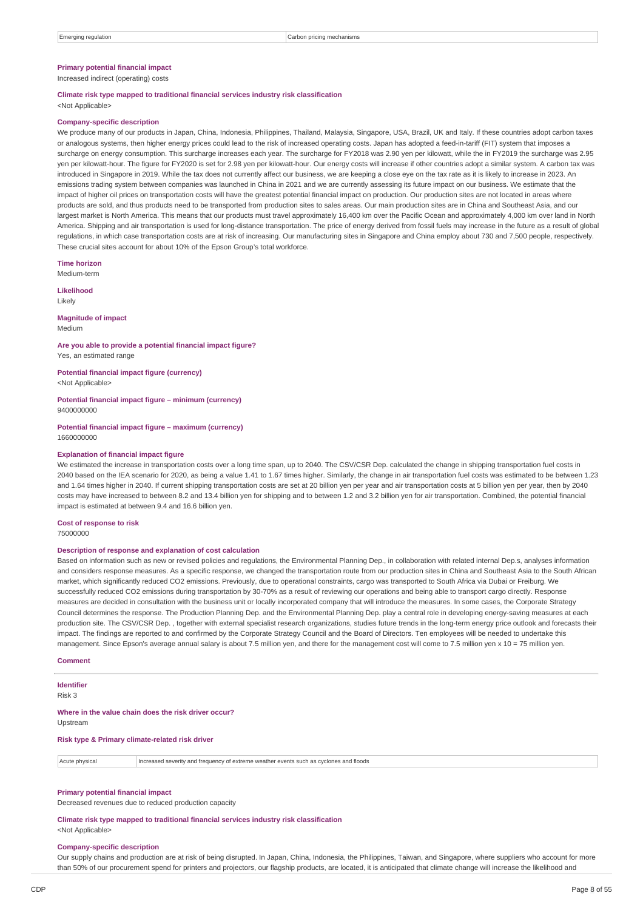## **Primary potential financial impact**

Increased indirect (operating) costs

## **Climate risk type mapped to traditional financial services industry risk classification**

<Not Applicable>

#### **Company-specific description**

We produce many of our products in Japan, China, Indonesia, Philippines, Thailand, Malaysia, Singapore, USA, Brazil, UK and Italy. If these countries adopt carbon taxes or analogous systems, then higher energy prices could lead to the risk of increased operating costs. Japan has adopted a feed-in-tariff (FIT) system that imposes a surcharge on energy consumption. This surcharge increases each year. The surcharge for FY2018 was 2.90 yen per kilowatt, while the in FY2019 the surcharge was 2.95 yen per kilowatt-hour. The figure for FY2020 is set for 2.98 yen per kilowatt-hour. Our energy costs will increase if other countries adopt a similar system. A carbon tax was introduced in Singapore in 2019. While the tax does not currently affect our business, we are keeping a close eye on the tax rate as it is likely to increase in 2023. An emissions trading system between companies was launched in China in 2021 and we are currently assessing its future impact on our business. We estimate that the impact of higher oil prices on transportation costs will have the greatest potential financial impact on production. Our production sites are not located in areas where products are sold, and thus products need to be transported from production sites to sales areas. Our main production sites are in China and Southeast Asia, and our largest market is North America. This means that our products must travel approximately 16,400 km over the Pacific Ocean and approximately 4,000 km over land in North America. Shipping and air transportation is used for long-distance transportation. The price of energy derived from fossil fuels may increase in the future as a result of global regulations, in which case transportation costs are at risk of increasing. Our manufacturing sites in Singapore and China employ about 730 and 7,500 people, respectively. These crucial sites account for about 10% of the Epson Group's total workforce.

**Time horizon**

Medium-term

**Likelihood** Likely

**Magnitude of impact** Medium

**Are you able to provide a potential financial impact figure?** Yes, an estimated range

**Potential financial impact figure (currency)** <Not Applicable>

**Potential financial impact figure – minimum (currency)** 9400000000

**Potential financial impact figure – maximum (currency)** 1660000000

#### **Explanation of financial impact figure**

We estimated the increase in transportation costs over a long time span, up to 2040. The CSV/CSR Dep. calculated the change in shipping transportation fuel costs in 2040 based on the IEA scenario for 2020, as being a value 1.41 to 1.67 times higher. Similarly, the change in air transportation fuel costs was estimated to be between 1.23 and 1.64 times higher in 2040. If current shipping transportation costs are set at 20 billion yen per year and air transportation costs at 5 billion yen per year, then by 2040 costs may have increased to between 8.2 and 13.4 billion yen for shipping and to between 1.2 and 3.2 billion yen for air transportation. Combined, the potential financial impact is estimated at between 9.4 and 16.6 billion yen.

**Cost of response to risk**

75000000

## **Description of response and explanation of cost calculation**

Based on information such as new or revised policies and regulations, the Environmental Planning Dep., in collaboration with related internal Dep.s, analyses information and considers response measures. As a specific response, we changed the transportation route from our production sites in China and Southeast Asia to the South African market, which significantly reduced CO2 emissions. Previously, due to operational constraints, cargo was transported to South Africa via Dubai or Freiburg. We successfully reduced CO2 emissions during transportation by 30-70% as a result of reviewing our operations and being able to transport cargo directly. Response measures are decided in consultation with the business unit or locally incorporated company that will introduce the measures. In some cases, the Corporate Strategy Council determines the response. The Production Planning Dep. and the Environmental Planning Dep. play a central role in developing energy-saving measures at each production site. The CSV/CSR Dep. , together with external specialist research organizations, studies future trends in the long-term energy price outlook and forecasts their impact. The findings are reported to and confirmed by the Corporate Strategy Council and the Board of Directors. Ten employees will be needed to undertake this management. Since Epson's average annual salary is about 7.5 million yen, and there for the management cost will come to 7.5 million yen x 10 = 75 million yen.

#### **Comment**

**Identifier** Risk 3

**Where in the value chain does the risk driver occur?**

Upstream

**Risk type & Primary climate-related risk driver**

Acute physical Increased severity and frequency of extreme weather events such as cyclones and floods

#### **Primary potential financial impact**

Decreased revenues due to reduced production capacity

#### **Climate risk type mapped to traditional financial services industry risk classification**

<Not Applicable>

#### **Company-specific description**

Our supply chains and production are at risk of being disrupted. In Japan, China, Indonesia, the Philippines, Taiwan, and Singapore, where suppliers who account for more than 50% of our procurement spend for printers and projectors, our flagship products, are located, it is anticipated that climate change will increase the likelihood and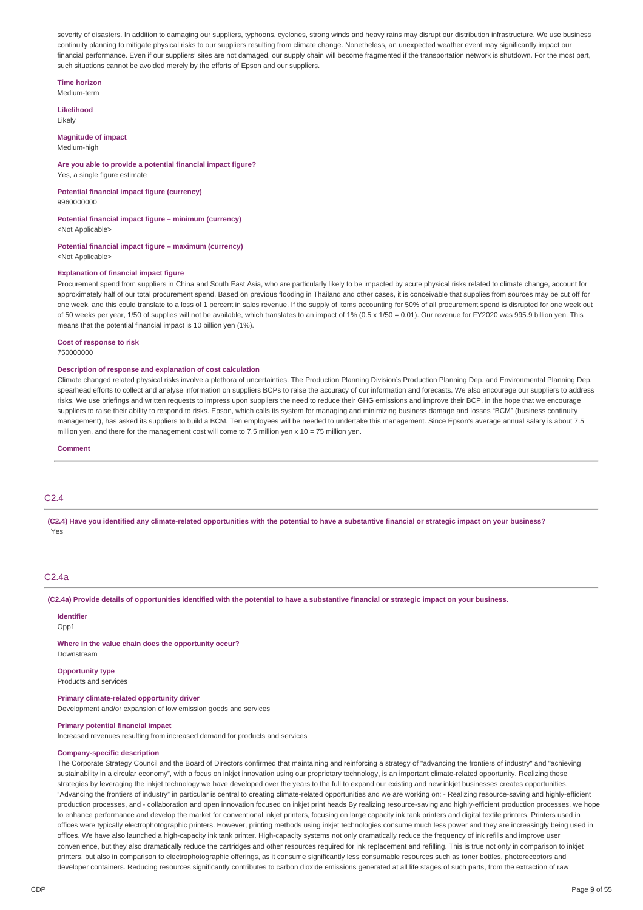severity of disasters. In addition to damaging our suppliers, typhoons, cyclones, strong winds and heavy rains may disrupt our distribution infrastructure. We use business continuity planning to mitigate physical risks to our suppliers resulting from climate change. Nonetheless, an unexpected weather event may significantly impact our financial performance. Even if our suppliers' sites are not damaged, our supply chain will become fragmented if the transportation network is shutdown. For the most part, such situations cannot be avoided merely by the efforts of Epson and our suppliers.

#### **Time horizon** Medium-term

**Likelihood** Likely

#### **Magnitude of impact** Medium-high

## **Are you able to provide a potential financial impact figure?**

Yes, a single figure estimate

**Potential financial impact figure (currency)** 9960000000

#### **Potential financial impact figure – minimum (currency)** <Not Applicable>

**Potential financial impact figure – maximum (currency)**

<Not Applicable>

### **Explanation of financial impact figure**

Procurement spend from suppliers in China and South East Asia, who are particularly likely to be impacted by acute physical risks related to climate change, account for approximately half of our total procurement spend. Based on previous flooding in Thailand and other cases, it is conceivable that supplies from sources may be cut off for one week, and this could translate to a loss of 1 percent in sales revenue. If the supply of items accounting for 50% of all procurement spend is disrupted for one week out of 50 weeks per year, 1/50 of supplies will not be available, which translates to an impact of 1% (0.5 x 1/50 = 0.01). Our revenue for FY2020 was 995.9 billion yen. This means that the potential financial impact is 10 billion yen (1%).

#### **Cost of response to risk**

750000000

#### **Description of response and explanation of cost calculation**

Climate changed related physical risks involve a plethora of uncertainties. The Production Planning Division's Production Planning Dep. and Environmental Planning Dep. spearhead efforts to collect and analyse information on suppliers BCPs to raise the accuracy of our information and forecasts. We also encourage our suppliers to address risks. We use briefings and written requests to impress upon suppliers the need to reduce their GHG emissions and improve their BCP, in the hope that we encourage suppliers to raise their ability to respond to risks. Epson, which calls its system for managing and minimizing business damage and losses "BCM" (business continuity management), has asked its suppliers to build a BCM. Ten employees will be needed to undertake this management. Since Epson's average annual salary is about 7.5 million yen, and there for the management cost will come to 7.5 million yen  $x$  10 = 75 million yen.

**Comment**

## C2.4

(C2.4) Have you identified any climate-related opportunities with the potential to have a substantive financial or strategic impact on your business? Yes

## C2.4a

(C2.4a) Provide details of opportunities identified with the potential to have a substantive financial or strategic impact on your business.

## **Identifier**

Opp1

**Where in the value chain does the opportunity occur?** Downstream

## **Opportunity type**

Products and services

## **Primary climate-related opportunity driver**

Development and/or expansion of low emission goods and services

## **Primary potential financial impact**

Increased revenues resulting from increased demand for products and services

# **Company-specific description**

The Corporate Strategy Council and the Board of Directors confirmed that maintaining and reinforcing a strategy of "advancing the frontiers of industry" and "achieving sustainability in a circular economy", with a focus on inkjet innovation using our proprietary technology, is an important climate-related opportunity. Realizing these strategies by leveraging the inkjet technology we have developed over the years to the full to expand our existing and new inkjet businesses creates opportunities. "Advancing the frontiers of industry" in particular is central to creating climate-related opportunities and we are working on: - Realizing resource-saving and highly-efficient production processes, and - collaboration and open innovation focused on inkjet print heads By realizing resource-saving and highly-efficient production processes, we hope to enhance performance and develop the market for conventional inkjet printers, focusing on large capacity ink tank printers and digital textile printers. Printers used in offices were typically electrophotographic printers. However, printing methods using inkjet technologies consume much less power and they are increasingly being used in offices. We have also launched a high-capacity ink tank printer. High-capacity systems not only dramatically reduce the frequency of ink refills and improve user convenience, but they also dramatically reduce the cartridges and other resources required for ink replacement and refilling. This is true not only in comparison to inkjet printers, but also in comparison to electrophotographic offerings, as it consume significantly less consumable resources such as toner bottles, photoreceptors and developer containers. Reducing resources significantly contributes to carbon dioxide emissions generated at all life stages of such parts, from the extraction of raw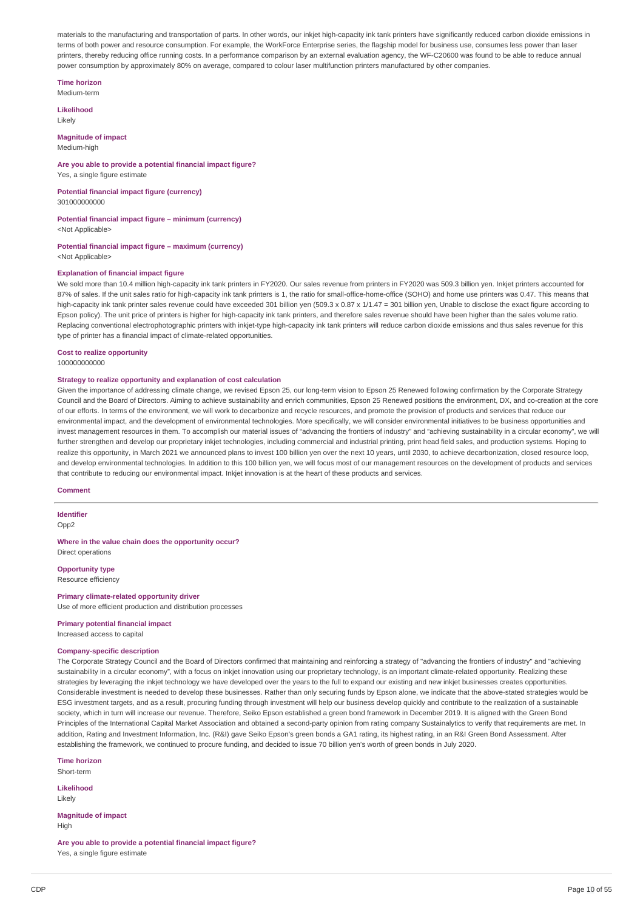materials to the manufacturing and transportation of parts. In other words, our inkjet high-capacity ink tank printers have significantly reduced carbon dioxide emissions in terms of both power and resource consumption. For example, the WorkForce Enterprise series, the flagship model for business use, consumes less power than laser printers, thereby reducing office running costs. In a performance comparison by an external evaluation agency, the WF-C20600 was found to be able to reduce annual power consumption by approximately 80% on average, compared to colour laser multifunction printers manufactured by other companies.

## **Time horizon**

Medium-term

**Likelihood** Likely

#### **Magnitude of impact** Medium-high

## **Are you able to provide a potential financial impact figure?**

Yes, a single figure estimate

**Potential financial impact figure (currency)** 301000000000

**Potential financial impact figure – minimum (currency)** <Not Applicable>

# **Potential financial impact figure – maximum (currency)**

<Not Applicable>

#### **Explanation of financial impact figure**

We sold more than 10.4 million high-capacity ink tank printers in FY2020. Our sales revenue from printers in FY2020 was 509.3 billion yen. Inkjet printers accounted for 87% of sales. If the unit sales ratio for high-capacity ink tank printers is 1, the ratio for small-office-home-office (SOHO) and home use printers was 0.47. This means that high-capacity ink tank printer sales revenue could have exceeded 301 billion yen (509.3 x 0.87 x 1/1.47 = 301 billion yen, Unable to disclose the exact figure according to Epson policy). The unit price of printers is higher for high-capacity ink tank printers, and therefore sales revenue should have been higher than the sales volume ratio Replacing conventional electrophotographic printers with inkjet-type high-capacity ink tank printers will reduce carbon dioxide emissions and thus sales revenue for this type of printer has a financial impact of climate-related opportunities.

## **Cost to realize opportunity**

100000000000

## **Strategy to realize opportunity and explanation of cost calculation**

Given the importance of addressing climate change, we revised Epson 25, our long-term vision to Epson 25 Renewed following confirmation by the Corporate Strategy Council and the Board of Directors. Aiming to achieve sustainability and enrich communities, Epson 25 Renewed positions the environment, DX, and co-creation at the core of our efforts. In terms of the environment, we will work to decarbonize and recycle resources, and promote the provision of products and services that reduce our environmental impact, and the development of environmental technologies. More specifically, we will consider environmental initiatives to be business opportunities and invest management resources in them. To accomplish our material issues of "advancing the frontiers of industry" and "achieving sustainability in a circular economy", we will further strengthen and develop our proprietary inkjet technologies, including commercial and industrial printing, print head field sales, and production systems. Hoping to realize this opportunity, in March 2021 we announced plans to invest 100 billion yen over the next 10 years, until 2030, to achieve decarbonization, closed resource loop, and develop environmental technologies. In addition to this 100 billion yen, we will focus most of our management resources on the development of products and services that contribute to reducing our environmental impact. Inkjet innovation is at the heart of these products and services.

## **Comment**

# **Identifier**

Opp2

# **Where in the value chain does the opportunity occur?**

Direct operations

**Opportunity type** Resource efficiency

#### **Primary climate-related opportunity driver** Use of more efficient production and distribution processes

**Primary potential financial impact** Increased access to capital

## **Company-specific description**

The Corporate Strategy Council and the Board of Directors confirmed that maintaining and reinforcing a strategy of "advancing the frontiers of industry" and "achieving sustainability in a circular economy", with a focus on inkjet innovation using our proprietary technology, is an important climate-related opportunity. Realizing these strategies by leveraging the inkjet technology we have developed over the years to the full to expand our existing and new inkjet businesses creates opportunities. Considerable investment is needed to develop these businesses. Rather than only securing funds by Epson alone, we indicate that the above-stated strategies would be ESG investment targets, and as a result, procuring funding through investment will help our business develop quickly and contribute to the realization of a sustainable society, which in turn will increase our revenue. Therefore, Seiko Epson established a green bond framework in December 2019. It is aligned with the Green Bond Principles of the International Capital Market Association and obtained a second-party opinion from rating company Sustainalytics to verify that requirements are met. In addition, Rating and Investment Information, Inc. (R&I) gave Seiko Epson's green bonds a GA1 rating, its highest rating, in an R&I Green Bond Assessment. After establishing the framework, we continued to procure funding, and decided to issue 70 billion yen's worth of green bonds in July 2020.

**Time horizon** Short-term

**Likelihood**

Likely

**Magnitude of impact High** 

**Are you able to provide a potential financial impact figure?** Yes, a single figure estimate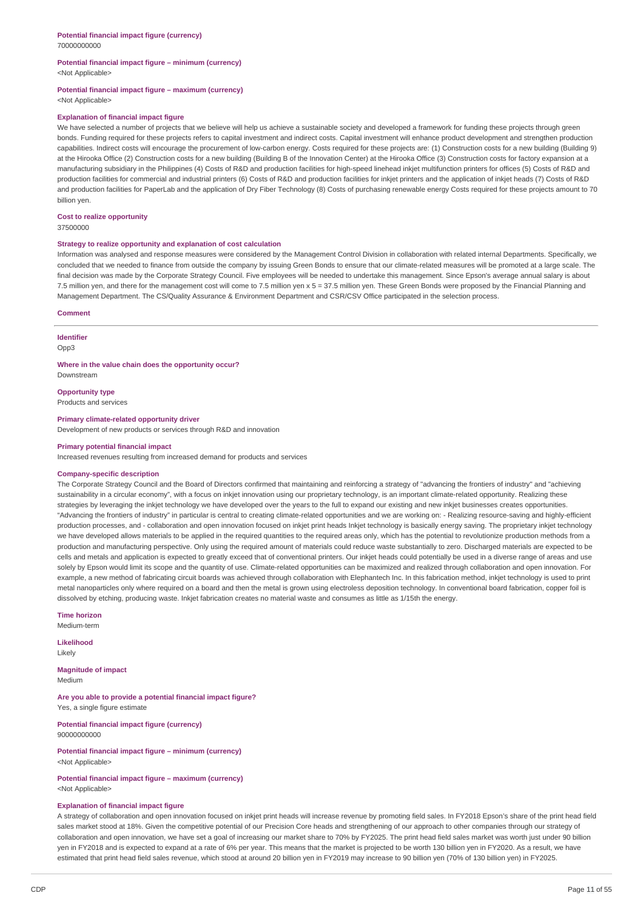## **Potential financial impact figure – minimum (currency)** <Not Applicable>

## **Potential financial impact figure – maximum (currency)**

<Not Applicable>

## **Explanation of financial impact figure**

We have selected a number of projects that we believe will help us achieve a sustainable society and developed a framework for funding these projects through green bonds. Funding required for these projects refers to capital investment and indirect costs. Capital investment will enhance product development and strengthen production capabilities. Indirect costs will encourage the procurement of low-carbon energy. Costs required for these projects are: (1) Construction costs for a new building (Building 9) at the Hirooka Office (2) Construction costs for a new building (Building B of the Innovation Center) at the Hirooka Office (3) Construction costs for factory expansion at a manufacturing subsidiary in the Philippines (4) Costs of R&D and production facilities for high-speed linehead inkjet multifunction printers for offices (5) Costs of R&D and production facilities for commercial and industrial printers (6) Costs of R&D and production facilities for inkiet printers and the application of inkiet heads (7) Costs of R&D and production facilities for PaperLab and the application of Dry Fiber Technology (8) Costs of purchasing renewable energy Costs required for these projects amount to 70 billion yen.

## **Cost to realize opportunity**

37500000

#### **Strategy to realize opportunity and explanation of cost calculation**

Information was analysed and response measures were considered by the Management Control Division in collaboration with related internal Departments. Specifically, we concluded that we needed to finance from outside the company by issuing Green Bonds to ensure that our climate-related measures will be promoted at a large scale. The final decision was made by the Corporate Strategy Council. Five employees will be needed to undertake this management. Since Epson's average annual salary is about 7.5 million yen, and there for the management cost will come to 7.5 million yen x 5 = 37.5 million yen. These Green Bonds were proposed by the Financial Planning and Management Department. The CS/Quality Assurance & Environment Department and CSR/CSV Office participated in the selection process.

#### **Comment**

#### **Identifier**

Opp3

**Where in the value chain does the opportunity occur?** Downstream

**Opportunity type** Products and services

**Primary climate-related opportunity driver** Development of new products or services through R&D and innovation

## **Primary potential financial impact**

Increased revenues resulting from increased demand for products and services

#### **Company-specific description**

The Corporate Strategy Council and the Board of Directors confirmed that maintaining and reinforcing a strategy of "advancing the frontiers of industry" and "achieving sustainability in a circular economy", with a focus on inkjet innovation using our proprietary technology, is an important climate-related opportunity. Realizing these strategies by leveraging the inkiet technology we have developed over the years to the full to expand our existing and new inkiet businesses creates opportunities. "Advancing the frontiers of industry" in particular is central to creating climate-related opportunities and we are working on: - Realizing resource-saving and highly-efficient production processes, and - collaboration and open innovation focused on inkjet print heads Inkjet technology is basically energy saving. The proprietary inkjet technology we have developed allows materials to be applied in the required quantities to the required areas only, which has the potential to revolutionize production methods from a production and manufacturing perspective. Only using the required amount of materials could reduce waste substantially to zero. Discharged materials are expected to be cells and metals and application is expected to greatly exceed that of conventional printers. Our inkiet heads could potentially be used in a diverse range of areas and use solely by Epson would limit its scope and the quantity of use. Climate-related opportunities can be maximized and realized through collaboration and open innovation. For example, a new method of fabricating circuit boards was achieved through collaboration with Elephantech Inc. In this fabrication method, inkiet technology is used to print metal nanoparticles only where required on a board and then the metal is grown using electroless deposition technology. In conventional board fabrication, copper foil is dissolved by etching, producing waste. Inkjet fabrication creates no material waste and consumes as little as 1/15th the energy.

**Time horizon**

Medium-term

**Likelihood** Likely

**Magnitude of impact** Medium

**Are you able to provide a potential financial impact figure?** Yes, a single figure estimate

**Potential financial impact figure (currency)** 90000000000

**Potential financial impact figure – minimum (currency)** <Not Applicable>

#### **Potential financial impact figure – maximum (currency)** <Not Applicable>

# **Explanation of financial impact figure**

A strategy of collaboration and open innovation focused on inkiet print heads will increase revenue by promoting field sales. In FY2018 Epson's share of the print head field sales market stood at 18%. Given the competitive potential of our Precision Core heads and strengthening of our approach to other companies through our strategy of collaboration and open innovation, we have set a goal of increasing our market share to 70% by FY2025. The print head field sales market was worth just under 90 billion yen in FY2018 and is expected to expand at a rate of 6% per year. This means that the market is projected to be worth 130 billion yen in FY2020. As a result, we have estimated that print head field sales revenue, which stood at around 20 billion yen in FY2019 may increase to 90 billion yen (70% of 130 billion yen) in FY2025.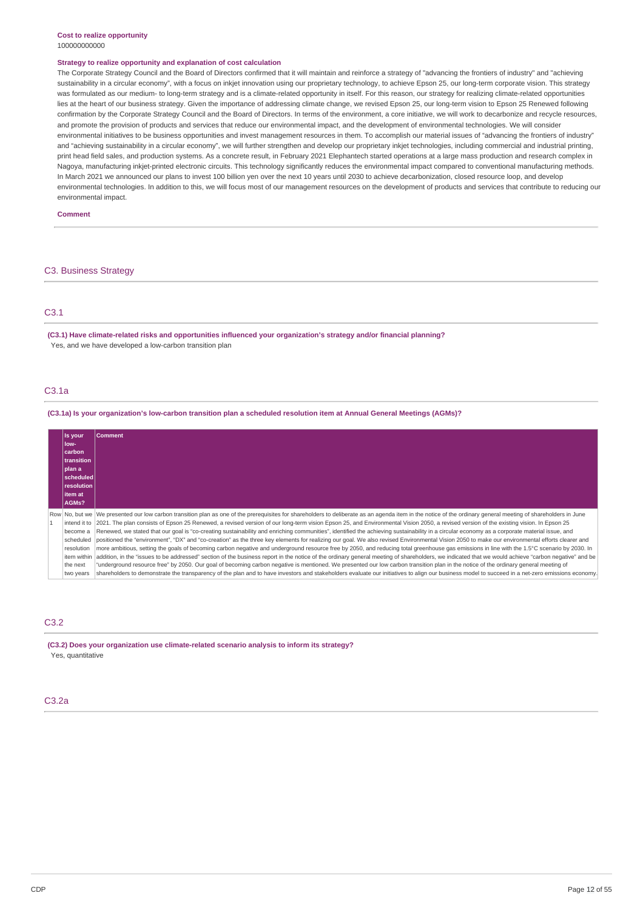#### **Strategy to realize opportunity and explanation of cost calculation**

The Corporate Strategy Council and the Board of Directors confirmed that it will maintain and reinforce a strategy of "advancing the frontiers of industry" and "achieving sustainability in a circular economy", with a focus on inkjet innovation using our proprietary technology, to achieve Epson 25, our long-term corporate vision. This strategy was formulated as our medium- to long-term strategy and is a climate-related opportunity in itself. For this reason, our strategy for realizing climate-related opportunities lies at the heart of our business strategy. Given the importance of addressing climate change, we revised Epson 25, our long-term vision to Epson 25 Renewed following confirmation by the Corporate Strategy Council and the Board of Directors. In terms of the environment, a core initiative, we will work to decarbonize and recycle resources, and promote the provision of products and services that reduce our environmental impact, and the development of environmental technologies. We will consider environmental initiatives to be business opportunities and invest management resources in them. To accomplish our material issues of "advancing the frontiers of industry" and "achieving sustainability in a circular economy", we will further strengthen and develop our proprietary inkjet technologies, including commercial and industrial printing, print head field sales, and production systems. As a concrete result, in February 2021 Elephantech started operations at a large mass production and research complex in Nagoya, manufacturing inkjet-printed electronic circuits. This technology significantly reduces the environmental impact compared to conventional manufacturing methods. In March 2021 we announced our plans to invest 100 billion yen over the next 10 years until 2030 to achieve decarbonization, closed resource loop, and develop environmental technologies. In addition to this, we will focus most of our management resources on the development of products and services that contribute to reducing our environmental impact.

#### **Comment**

## C3. Business Strategy

## C3.1

**(C3.1) Have climate-related risks and opportunities influenced your organization's strategy and/or financial planning?** Yes, and we have developed a low-carbon transition plan

## C3.1a

## (C3.1a) Is your organization's low-carbon transition plan a scheduled resolution item at Annual General Meetings (AGMs)?

| Is your<br>low-<br>carbon<br>transition<br>plan a<br>scheduled<br>resolution<br>litem at    | <b>Comment</b>                                                                                                                                                                                                                                                                                                                                                                                                                                                                                                                                                                                                                                                                                                                                                                                                                                                                                                                                                                                                                                                                                                                                                                                                                                                                                                                                                                                                                                                                                                                                                                                               |
|---------------------------------------------------------------------------------------------|--------------------------------------------------------------------------------------------------------------------------------------------------------------------------------------------------------------------------------------------------------------------------------------------------------------------------------------------------------------------------------------------------------------------------------------------------------------------------------------------------------------------------------------------------------------------------------------------------------------------------------------------------------------------------------------------------------------------------------------------------------------------------------------------------------------------------------------------------------------------------------------------------------------------------------------------------------------------------------------------------------------------------------------------------------------------------------------------------------------------------------------------------------------------------------------------------------------------------------------------------------------------------------------------------------------------------------------------------------------------------------------------------------------------------------------------------------------------------------------------------------------------------------------------------------------------------------------------------------------|
| AGMs?                                                                                       |                                                                                                                                                                                                                                                                                                                                                                                                                                                                                                                                                                                                                                                                                                                                                                                                                                                                                                                                                                                                                                                                                                                                                                                                                                                                                                                                                                                                                                                                                                                                                                                                              |
| intend it to<br>become a<br>scheduled<br>resolution<br>item within<br>the next<br>two years | Row No, but we  We presented our low carbon transition plan as one of the prerequisites for shareholders to deliberate as an agenda item in the notice of the ordinary general meeting of shareholders in June<br>2021. The plan consists of Epson 25 Renewed, a revised version of our long-term vision Epson 25, and Environmental Vision 2050, a revised version of the existing vision. In Epson 25<br>Renewed, we stated that our goal is "co-creating sustainability and enriching communities", identified the achieving sustainability in a circular economy as a corporate material issue, and<br>positioned the "environment", "DX" and "co-creation" as the three key elements for realizing our goal. We also revised Environmental Vision 2050 to make our environmental efforts clearer and<br>more ambitious, setting the goals of becoming carbon negative and underground resource free by 2050, and reducing total greenhouse gas emissions in line with the 1.5°C scenario by 2030. In<br>addition, in the "issues to be addressed" section of the business report in the notice of the ordinary general meeting of shareholders, we indicated that we would achieve "carbon negative" and be<br>"underground resource free" by 2050. Our goal of becoming carbon negative is mentioned. We presented our low carbon transition plan in the notice of the ordinary general meeting of<br>shareholders to demonstrate the transparency of the plan and to have investors and stakeholders evaluate our initiatives to align our business model to succeed in a net-zero emissions economy. |

## C3.2

**(C3.2) Does your organization use climate-related scenario analysis to inform its strategy?** Yes, quantitative

## C3.2a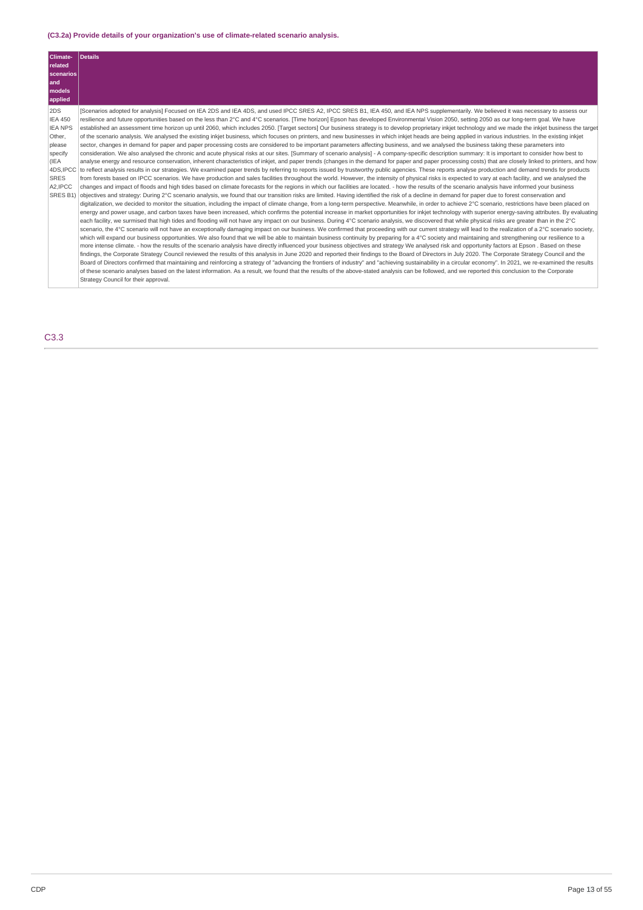# **(C3.2a) Provide details of your organization's use of climate-related scenario analysis.**

| models<br>applied                                                                                                                                                                                                                                                                                                                                                                                                                                                                                                                                                                                                                                                                                                                                                                                                                                                                                                                                                                                                                                                                                                                                                                                                                                                                                                                                                                                                                                                                                                                                                                                                                                                                                                                                                                                                                                                                                                                                                                                                                                                                                                                                                                                                                                                                                                                                                                                                                                                                                                                                                                                                                                                                                                                                                                                                                                                                                                                                                                                                                                                                                                                                                                                                                                                                                                                                                                                                                                                                                                                                                                                                                                                                                                                                                                                                                                                                                                                                                                                                                                                                                                                                                                                                                                                                                                            |  |
|------------------------------------------------------------------------------------------------------------------------------------------------------------------------------------------------------------------------------------------------------------------------------------------------------------------------------------------------------------------------------------------------------------------------------------------------------------------------------------------------------------------------------------------------------------------------------------------------------------------------------------------------------------------------------------------------------------------------------------------------------------------------------------------------------------------------------------------------------------------------------------------------------------------------------------------------------------------------------------------------------------------------------------------------------------------------------------------------------------------------------------------------------------------------------------------------------------------------------------------------------------------------------------------------------------------------------------------------------------------------------------------------------------------------------------------------------------------------------------------------------------------------------------------------------------------------------------------------------------------------------------------------------------------------------------------------------------------------------------------------------------------------------------------------------------------------------------------------------------------------------------------------------------------------------------------------------------------------------------------------------------------------------------------------------------------------------------------------------------------------------------------------------------------------------------------------------------------------------------------------------------------------------------------------------------------------------------------------------------------------------------------------------------------------------------------------------------------------------------------------------------------------------------------------------------------------------------------------------------------------------------------------------------------------------------------------------------------------------------------------------------------------------------------------------------------------------------------------------------------------------------------------------------------------------------------------------------------------------------------------------------------------------------------------------------------------------------------------------------------------------------------------------------------------------------------------------------------------------------------------------------------------------------------------------------------------------------------------------------------------------------------------------------------------------------------------------------------------------------------------------------------------------------------------------------------------------------------------------------------------------------------------------------------------------------------------------------------------------------------------------------------------------------------------------------------------------------------------------------------------------------------------------------------------------------------------------------------------------------------------------------------------------------------------------------------------------------------------------------------------------------------------------------------------------------------------------------------------------------------------------------------------------------------------------------------------------|--|
| 2DS<br>[Scenarios adopted for analysis] Focused on IEA 2DS and IEA 4DS, and used IPCC SRES A2, IPCC SRES B1, IEA 450, and IEA NPS supplementarily. We believed it was necessary to assess our<br><b>IEA 450</b><br>resilience and future opportunities based on the less than 2°C and 4°C scenarios. [Time horizon] Epson has developed Environmental Vision 2050, setting 2050 as our long-term goal. We have<br><b>IEA NPS</b><br>established an assessment time horizon up until 2060, which includes 2050. [Target sectors] Our business strategy is to develop proprietary inkjet technology and we made the inkjet business the target<br>Other,<br>of the scenario analysis. We analysed the existing inkjet business, which focuses on printers, and new businesses in which inkjet heads are being applied in various industries. In the existing inkjet<br>sector, changes in demand for paper and paper processing costs are considered to be important parameters affecting business, and we analysed the business taking these parameters into<br>please<br>consideration. We also analysed the chronic and acute physical risks at our sites. [Summary of scenario analysis] - A company-specific description summary: It is important to consider how best to<br>specify<br>(IEA<br>analyse energy and resource conservation, inherent characteristics of inkjet, and paper trends (changes in the demand for paper and paper processing costs) that are closely linked to printers, and how<br>4DS.IPCC<br>to reflect analysis results in our strategies. We examined paper trends by referring to reports issued by trustworthy public agencies. These reports analyse production and demand trends for products<br><b>SRES</b><br>from forests based on IPCC scenarios. We have production and sales facilities throughout the world. However, the intensity of physical risks is expected to vary at each facility, and we analysed the<br>A2.IPCC<br>changes and impact of floods and high tides based on climate forecasts for the regions in which our facilities are located. - how the results of the scenario analysis have informed your business<br>objectives and strategy: During 2°C scenario analysis, we found that our transition risks are limited. Having identified the risk of a decline in demand for paper due to forest conservation and<br>SRES B1)<br>digitalization, we decided to monitor the situation, including the impact of climate change, from a long-term perspective. Meanwhile, in order to achieve 2°C scenario, restrictions have been placed on<br>energy and power usage, and carbon taxes have been increased, which confirms the potential increase in market opportunities for inkjet technology with superior energy-saving attributes. By evaluating<br>each facility, we surmised that high tides and flooding will not have any impact on our business. During 4°C scenario analysis, we discovered that while physical risks are greater than in the 2°C<br>scenario, the 4°C scenario will not have an exceptionally damaging impact on our business. We confirmed that proceeding with our current strategy will lead to the realization of a 2°C scenario society,<br>which will expand our business opportunities. We also found that we will be able to maintain business continuity by preparing for a 4°C society and maintaining and strengthening our resilience to a<br>more intense climate. - how the results of the scenario analysis have directly influenced your business objectives and strategy We analysed risk and opportunity factors at Epson . Based on these<br>findings, the Corporate Strategy Council reviewed the results of this analysis in June 2020 and reported their findings to the Board of Directors in July 2020. The Corporate Strategy Council and the<br>Board of Directors confirmed that maintaining and reinforcing a strategy of "advancing the frontiers of industry" and "achieving sustainability in a circular economy". In 2021, we re-examined the results<br>of these scenario analyses based on the latest information. As a result, we found that the results of the above-stated analysis can be followed, and we reported this conclusion to the Corporate<br>Strategy Council for their approval. |  |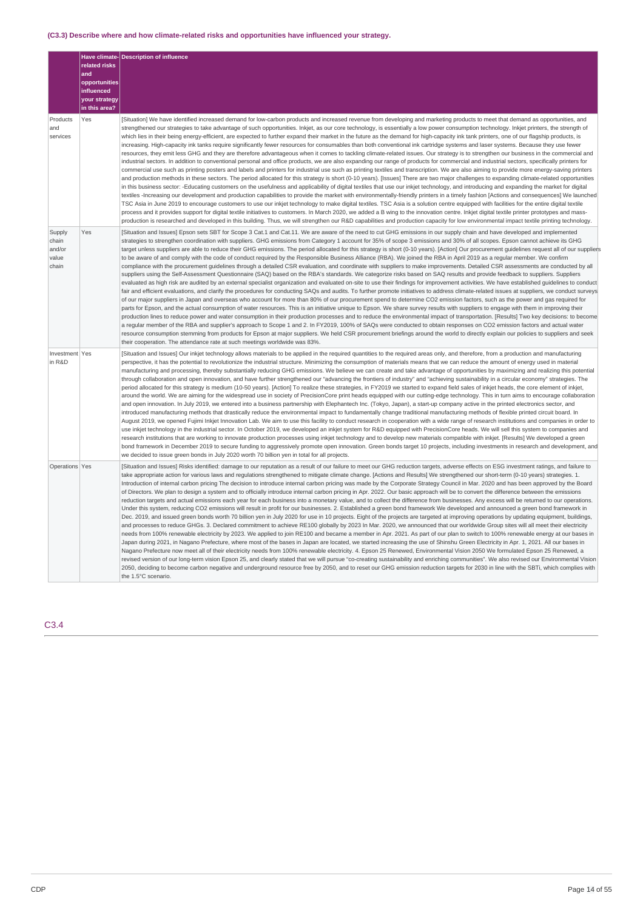## **(C3.3) Describe where and how climate-related risks and opportunities have influenced your strategy.**

|                                             | related risks<br>and<br>opportunities<br>influenced<br>your strategy<br>in this area? | Have climate- Description of influence                                                                                                                                                                                                                                                                                                                                                                                                                                                                                                                                                                                                                                                                                                                                                                                                                                                                                                                                                                                                                                                                                                                                                                                                                                                                                                                                                                                                                                                                                                                                                                                                                                                                                                                                                                                                                                                                                                                                                                                                                                                                                                                                                                                                                                                                                                                                                                                                                                                                                         |
|---------------------------------------------|---------------------------------------------------------------------------------------|--------------------------------------------------------------------------------------------------------------------------------------------------------------------------------------------------------------------------------------------------------------------------------------------------------------------------------------------------------------------------------------------------------------------------------------------------------------------------------------------------------------------------------------------------------------------------------------------------------------------------------------------------------------------------------------------------------------------------------------------------------------------------------------------------------------------------------------------------------------------------------------------------------------------------------------------------------------------------------------------------------------------------------------------------------------------------------------------------------------------------------------------------------------------------------------------------------------------------------------------------------------------------------------------------------------------------------------------------------------------------------------------------------------------------------------------------------------------------------------------------------------------------------------------------------------------------------------------------------------------------------------------------------------------------------------------------------------------------------------------------------------------------------------------------------------------------------------------------------------------------------------------------------------------------------------------------------------------------------------------------------------------------------------------------------------------------------------------------------------------------------------------------------------------------------------------------------------------------------------------------------------------------------------------------------------------------------------------------------------------------------------------------------------------------------------------------------------------------------------------------------------------------------|
| Products<br>and<br>services                 | Yes                                                                                   | [Situation] We have identified increased demand for low-carbon products and increased revenue from developing and marketing products to meet that demand as opportunities, and<br>strengthened our strategies to take advantage of such opportunities. Inkjet, as our core technology, is essentially a low power consumption technology. Inkjet printers, the strength of<br>which lies in their being energy-efficient, are expected to further expand their market in the future as the demand for high-capacity ink tank printers, one of our flagship products, is<br>increasing. High-capacity ink tanks require significantly fewer resources for consumables than both conventional ink cartridge systems and laser systems. Because they use fewer<br>resources, they emit less GHG and they are therefore advantageous when it comes to tackling climate-related issues. Our strategy is to strengthen our business in the commercial and<br>industrial sectors. In addition to conventional personal and office products, we are also expanding our range of products for commercial and industrial sectors, specifically printers for<br>commercial use such as printing posters and labels and printers for industrial use such as printing textiles and transcription. We are also aiming to provide more energy-saving printers<br>and production methods in these sectors. The period allocated for this strategy is short (0-10 years). [Issues] There are two major challenges to expanding climate-related opportunities<br>in this business sector: -Educating customers on the usefulness and applicability of digital textiles that use our inkjet technology, and introducing and expanding the market for digital<br>textiles -Increasing our development and production capabilities to provide the market with environmentally-friendly printers in a timely fashion [Actions and consequences] We launched<br>TSC Asia in June 2019 to encourage customers to use our inkjet technology to make digital textiles. TSC Asia is a solution centre equipped with facilities for the entire digital textile<br>process and it provides support for digital textile initiatives to customers. In March 2020, we added a B wing to the innovation centre. Inkjet digital textile printer prototypes and mass-<br>production is researched and developed in this building. Thus, we will strengthen our R&D capabilities and production capacity for low environmental impact textile printing technology. |
| Supply<br>chain<br>and/or<br>value<br>chain | Yes                                                                                   | [Situation and Issues] Epson sets SBT for Scope 3 Cat.1 and Cat.11. We are aware of the need to cut GHG emissions in our supply chain and have developed and implemented<br>strategies to strengthen coordination with suppliers. GHG emissions from Category 1 account for 35% of scope 3 emissions and 30% of all scopes. Epson cannot achieve its GHG<br>target unless suppliers are able to reduce their GHG emissions. The period allocated for this strategy is short (0-10 years). [Action] Our procurement guidelines request all of our suppliers<br>to be aware of and comply with the code of conduct required by the Responsible Business Alliance (RBA). We joined the RBA in April 2019 as a regular member. We confirm<br>compliance with the procurement guidelines through a detailed CSR evaluation, and coordinate with suppliers to make improvements. Detailed CSR assessments are conducted by all<br>suppliers using the Self-Assessment Questionnaire (SAQ) based on the RBA's standards. We categorize risks based on SAQ results and provide feedback to suppliers. Suppliers<br>evaluated as high risk are audited by an external specialist organization and evaluated on-site to use their findings for improvement activities. We have established quidelines to conduct<br>fair and efficient evaluations, and clarify the procedures for conducting SAQs and audits. To further promote initiatives to address climate-related issues at suppliers, we conduct surveys<br>of our major suppliers in Japan and overseas who account for more than 80% of our procurement spend to determine CO2 emission factors, such as the power and gas required for<br>parts for Epson, and the actual consumption of water resources. This is an initiative unique to Epson. We share survey results with suppliers to engage with them in improving their<br>production lines to reduce power and water consumption in their production processes and to reduce the environmental impact of transportation. [Results] Two key decisions: to become<br>a regular member of the RBA and supplier's approach to Scope 1 and 2. In FY2019, 100% of SAQs were conducted to obtain responses on CO2 emission factors and actual water<br>resource consumption stemming from products for Epson at major suppliers. We held CSR procurement briefings around the world to directly explain our policies to suppliers and seek<br>their cooperation. The attendance rate at such meetings worldwide was 83%.     |
| Investment Yes<br>in R&D                    |                                                                                       | [Situation and Issues] Our inkjet technology allows materials to be applied in the required quantities to the required areas only, and therefore, from a production and manufacturing<br>perspective, it has the potential to revolutionize the industrial structure. Minimizing the consumption of materials means that we can reduce the amount of energy used in material<br>manufacturing and processing, thereby substantially reducing GHG emissions. We believe we can create and take advantage of opportunities by maximizing and realizing this potential<br>through collaboration and open innovation, and have further strengthened our "advancing the frontiers of industry" and "achieving sustainability in a circular economy" strategies. The<br>period allocated for this strategy is medium (10-50 years). [Action] To realize these strategies, in FY2019 we started to expand field sales of inkjet heads, the core element of inkjet,<br>around the world. We are aiming for the widespread use in society of PrecisionCore print heads equipped with our cutting-edge technology. This in turn aims to encourage collaboration<br>and open innovation. In July 2019, we entered into a business partnership with Elephantech Inc. (Tokyo, Japan), a start-up company active in the printed electronics sector, and<br>introduced manufacturing methods that drastically reduce the environmental impact to fundamentally change traditional manufacturing methods of flexible printed circuit board. In<br>August 2019, we opened Fujimi Inkjet Innovation Lab. We aim to use this facility to conduct research in cooperation with a wide range of research institutions and companies in order to<br>use inkjet technology in the industrial sector. In October 2019, we developed an inkjet system for R&D equipped with PrecisionCore heads. We will sell this system to companies and<br>research institutions that are working to innovate production processes using inkjet technology and to develop new materials compatible with inkjet. [Results] We developed a green<br>bond framework in December 2019 to secure funding to aggressively promote open innovation. Green bonds target 10 projects, including investments in research and development, and<br>we decided to issue green bonds in July 2020 worth 70 billion yen in total for all projects.                                                                                                                                  |
| Operations Yes                              |                                                                                       | [Situation and Issues] Risks identified: damage to our reputation as a result of our failure to meet our GHG reduction targets, adverse effects on ESG investment ratings, and failure to<br>take appropriate action for various laws and regulations strengthened to mitigate climate change. [Actions and Results] We strengthened our short-term (0-10 years) strategies. 1.<br>Introduction of internal carbon pricing The decision to introduce internal carbon pricing was made by the Corporate Strategy Council in Mar. 2020 and has been approved by the Board<br>of Directors. We plan to design a system and to officially introduce internal carbon pricing in Apr. 2022. Our basic approach will be to convert the difference between the emissions<br>reduction targets and actual emissions each year for each business into a monetary value, and to collect the difference from businesses. Any excess will be returned to our operations.<br>Under this system, reducing CO2 emissions will result in profit for our businesses. 2. Established a green bond framework We developed and announced a green bond framework in<br>Dec. 2019, and issued green bonds worth 70 billion yen in July 2020 for use in 10 projects. Eight of the projects are targeted at improving operations by updating equipment, buildings,<br>and processes to reduce GHGs. 3. Declared commitment to achieve RE100 globally by 2023 In Mar. 2020, we announced that our worldwide Group sites will all meet their electricity<br>needs from 100% renewable electricity by 2023. We applied to join RE100 and became a member in Apr. 2021. As part of our plan to switch to 100% renewable energy at our bases in<br>Japan during 2021, in Nagano Prefecture, where most of the bases in Japan are located, we started increasing the use of Shinshu Green Electricity in Apr. 1, 2021. All our bases in<br>Nagano Prefecture now meet all of their electricity needs from 100% renewable electricity. 4. Epson 25 Renewed, Environmental Vision 2050 We formulated Epson 25 Renewed, a<br>revised version of our long-term vision Epson 25, and clearly stated that we will pursue "co-creating sustainability and enriching communities". We also revised our Environmental Vision<br>2050, deciding to become carbon negative and underground resource free by 2050, and to reset our GHG emission reduction targets for 2030 in line with the SBTi, which complies with<br>the 1.5°C scenario.                             |

## C3.4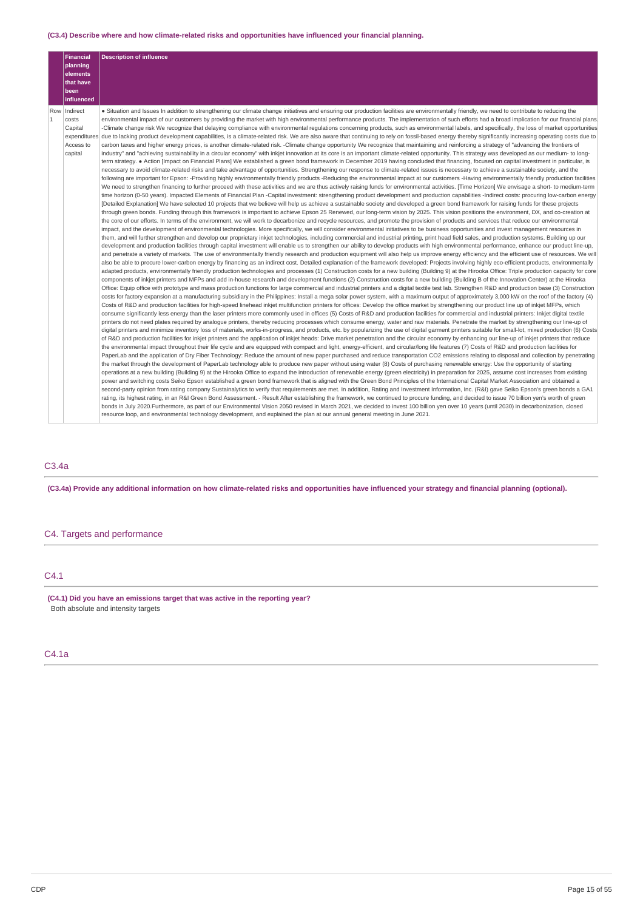## **(C3.4) Describe where and how climate-related risks and opportunities have influenced your financial planning.**

|                | <b>Financial</b>      | <b>Description of influence</b>                                                                                                                                                                                                                                                                                                                                                                       |
|----------------|-----------------------|-------------------------------------------------------------------------------------------------------------------------------------------------------------------------------------------------------------------------------------------------------------------------------------------------------------------------------------------------------------------------------------------------------|
|                | planning              |                                                                                                                                                                                                                                                                                                                                                                                                       |
|                | elements<br>that have |                                                                                                                                                                                                                                                                                                                                                                                                       |
|                | been                  |                                                                                                                                                                                                                                                                                                                                                                                                       |
|                | influenced            |                                                                                                                                                                                                                                                                                                                                                                                                       |
| Row            | Indirect              | . Situation and Issues In addition to strengthening our climate change initiatives and ensuring our production facilities are environmentally friendly, we need to contribute to reducing the                                                                                                                                                                                                         |
| $\overline{1}$ | costs                 | environmental impact of our customers by providing the market with high environmental performance products. The implementation of such efforts had a broad implication for our financial plans.                                                                                                                                                                                                       |
|                | Capital               | -Climate change risk We recognize that delaying compliance with environmental regulations concerning products, such as environmental labels, and specifically, the loss of market opportunities                                                                                                                                                                                                       |
|                |                       | expenditures due to lacking product development capabilities, is a climate-related risk. We are also aware that continuing to rely on fossil-based energy thereby significantly increasing operating costs due to                                                                                                                                                                                     |
|                | Access to             | carbon taxes and higher energy prices, is another climate-related risk. -Climate change opportunity We recognize that maintaining and reinforcing a strategy of "advancing the frontiers of                                                                                                                                                                                                           |
|                | capital               | industry" and "achieving sustainability in a circular economy" with inkjet innovation at its core is an important climate-related opportunity. This strategy was developed as our medium- to long-                                                                                                                                                                                                    |
|                |                       | term strategy. ● Action [Impact on Financial Plans] We established a green bond framework in December 2019 having concluded that financing, focused on capital investment in particular, is                                                                                                                                                                                                           |
|                |                       | necessary to avoid climate-related risks and take advantage of opportunities. Strengthening our response to climate-related issues is necessary to achieve a sustainable society, and the                                                                                                                                                                                                             |
|                |                       | following are important for Epson: -Providing highly environmentally friendly products -Reducing the environmental impact at our customers -Having environmentally friendly production facilities<br>We need to strengthen financing to further proceed with these activities and we are thus actively raising funds for environmental activities. [Time Horizon] We envisage a short- to medium-term |
|                |                       | time horizon (0-50 years). Impacted Elements of Financial Plan -Capital investment: strengthening product development and production capabilities -Indirect costs: procuring low-carbon energy                                                                                                                                                                                                        |
|                |                       | [Detailed Explanation] We have selected 10 projects that we believe will help us achieve a sustainable society and developed a green bond framework for raising funds for these projects                                                                                                                                                                                                              |
|                |                       | through green bonds. Funding through this framework is important to achieve Epson 25 Renewed, our long-term vision by 2025. This vision positions the environment, DX, and co-creation at                                                                                                                                                                                                             |
|                |                       | the core of our efforts. In terms of the environment, we will work to decarbonize and recycle resources, and promote the provision of products and services that reduce our environmental                                                                                                                                                                                                             |
|                |                       | impact, and the development of environmental technologies. More specifically, we will consider environmental initiatives to be business opportunities and invest management resources in                                                                                                                                                                                                              |
|                |                       | them, and will further strengthen and develop our proprietary inkjet technologies, including commercial and industrial printing, print head field sales, and production systems. Building up our                                                                                                                                                                                                      |
|                |                       | development and production facilities through capital investment will enable us to strengthen our ability to develop products with high environmental performance, enhance our product line-up,                                                                                                                                                                                                       |
|                |                       | and penetrate a variety of markets. The use of environmentally friendly research and production equipment will also help us improve energy efficiency and the efficient use of resources. We will                                                                                                                                                                                                     |
|                |                       | also be able to procure lower-carbon energy by financing as an indirect cost. Detailed explanation of the framework developed: Projects involving highly eco-efficient products, environmentally                                                                                                                                                                                                      |
|                |                       | adapted products, environmentally friendly production technologies and processes (1) Construction costs for a new building (Building 9) at the Hirooka Office: Triple production capacity for core                                                                                                                                                                                                    |
|                |                       | components of inkjet printers and MFPs and add in-house research and development functions (2) Construction costs for a new building (Building B of the Innovation Center) at the Hirooka                                                                                                                                                                                                             |
|                |                       | Office: Equip office with prototype and mass production functions for large commercial and industrial printers and a digital textile test lab. Strengthen R&D and production base (3) Construction                                                                                                                                                                                                    |
|                |                       | costs for factory expansion at a manufacturing subsidiary in the Philippines: Install a mega solar power system, with a maximum output of approximately 3,000 kW on the roof of the factory (4)                                                                                                                                                                                                       |
|                |                       | Costs of R&D and production facilities for high-speed linehead inkjet multifunction printers for offices: Develop the office market by strengthening our product line up of inkjet MFPs, which                                                                                                                                                                                                        |
|                |                       | consume significantly less energy than the laser printers more commonly used in offices (5) Costs of R&D and production facilities for commercial and industrial printers: Inkjet digital textile<br>printers do not need plates required by analoque printers, thereby reducing processes which consume energy, water and raw materials. Penetrate the market by strengthening our line-up of        |
|                |                       | digital printers and minimize inventory loss of materials, works-in-progress, and products, etc. by popularizing the use of digital garment printers suitable for small-lot, mixed production (6) Costs                                                                                                                                                                                               |
|                |                       | of R&D and production facilities for inkjet printers and the application of inkjet heads: Drive market penetration and the circular economy by enhancing our line-up of inkjet printers that reduce                                                                                                                                                                                                   |
|                |                       | the environmental impact throughout their life cycle and are equipped with compact and light, energy-efficient, and circular/long life features (7) Costs of R&D and production facilities for                                                                                                                                                                                                        |
|                |                       | PaperLab and the application of Dry Fiber Technology: Reduce the amount of new paper purchased and reduce transportation CO2 emissions relating to disposal and collection by penetrating                                                                                                                                                                                                             |
|                |                       | the market through the development of PaperLab technology able to produce new paper without using water (8) Costs of purchasing renewable energy: Use the opportunity of starting                                                                                                                                                                                                                     |
|                |                       | operations at a new building (Building 9) at the Hirooka Office to expand the introduction of renewable energy (green electricity) in preparation for 2025, assume cost increases from existing                                                                                                                                                                                                       |
|                |                       | power and switching costs Seiko Epson established a green bond framework that is aligned with the Green Bond Principles of the International Capital Market Association and obtained a                                                                                                                                                                                                                |
|                |                       | second-party opinion from rating company Sustainalytics to verify that requirements are met. In addition, Rating and Investment Information, Inc. (R&I) gave Seiko Epson's green bonds a GA1                                                                                                                                                                                                          |
|                |                       | rating, its highest rating, in an R&I Green Bond Assessment. - Result After establishing the framework, we continued to procure funding, and decided to issue 70 billion yen's worth of green                                                                                                                                                                                                         |
|                |                       | bonds in July 2020.Furthermore, as part of our Environmental Vision 2050 revised in March 2021, we decided to invest 100 billion yen over 10 years (until 2030) in decarbonization, closed                                                                                                                                                                                                            |
|                |                       | resource loop, and environmental technology development, and explained the plan at our annual general meeting in June 2021.                                                                                                                                                                                                                                                                           |

# C3.4a

(C3.4a) Provide any additional information on how climate-related risks and opportunities have influenced your strategy and financial planning (optional).

# C4. Targets and performance

# C4.1

**(C4.1) Did you have an emissions target that was active in the reporting year?** Both absolute and intensity targets

# C4.1a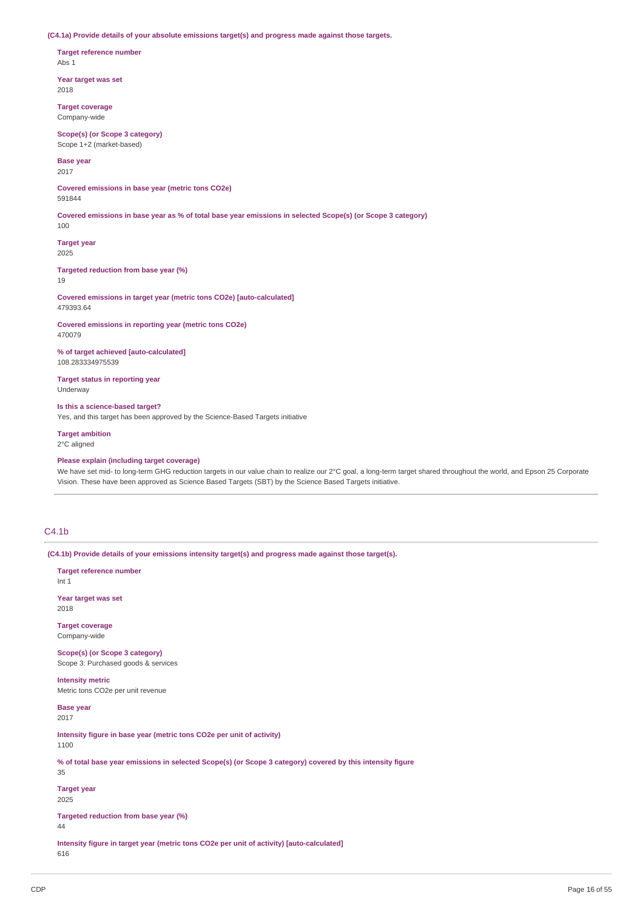**(C4.1a) Provide details of your absolute emissions target(s) and progress made against those targets.**

**Target reference number** Abs 1

**Year target was set** 2018

**Target coverage** Company-wide

**Scope(s) (or Scope 3 category)** Scope 1+2 (market-based)

**Base year**

2017

**Covered emissions in base year (metric tons CO2e)** 591844

Covered emissions in base year as % of total base year emissions in selected Scope(s) (or Scope 3 category)

**Target year** 2025

100

**Targeted reduction from base year (%)** 19

**Covered emissions in target year (metric tons CO2e) [auto-calculated]** 479393.64

**Covered emissions in reporting year (metric tons CO2e)** 470079

**% of target achieved [auto-calculated]** 108.283334975539

**Target status in reporting year** Underway

**Is this a science-based target?** Yes, and this target has been approved by the Science-Based Targets initiative

**Target ambition** 2°C aligned

**Please explain (including target coverage)**

We have set mid- to long-term GHG reduction targets in our value chain to realize our 2°C goal, a long-term target shared throughout the world, and Epson 25 Corporate Vision. These have been approved as Science Based Targets (SBT) by the Science Based Targets initiative.

## $C4.1<sub>b</sub>$

**(C4.1b) Provide details of your emissions intensity target(s) and progress made against those target(s).**

**Target reference number** Int 1 **Year target was set** 2018 **Target coverage** Company-wide **Scope(s) (or Scope 3 category)** Scope 3: Purchased goods & services **Intensity metric** Metric tons CO2e per unit revenue **Base year** 2017 **Intensity figure in base year (metric tons CO2e per unit of activity)** 1100 % of total base year emissions in selected Scope(s) (or Scope 3 category) covered by this intensity figure 35 **Target year** 2025

**Targeted reduction from base year (%)**

**Intensity figure in target year (metric tons CO2e per unit of activity) [auto-calculated]** 616

 $\Delta\Delta$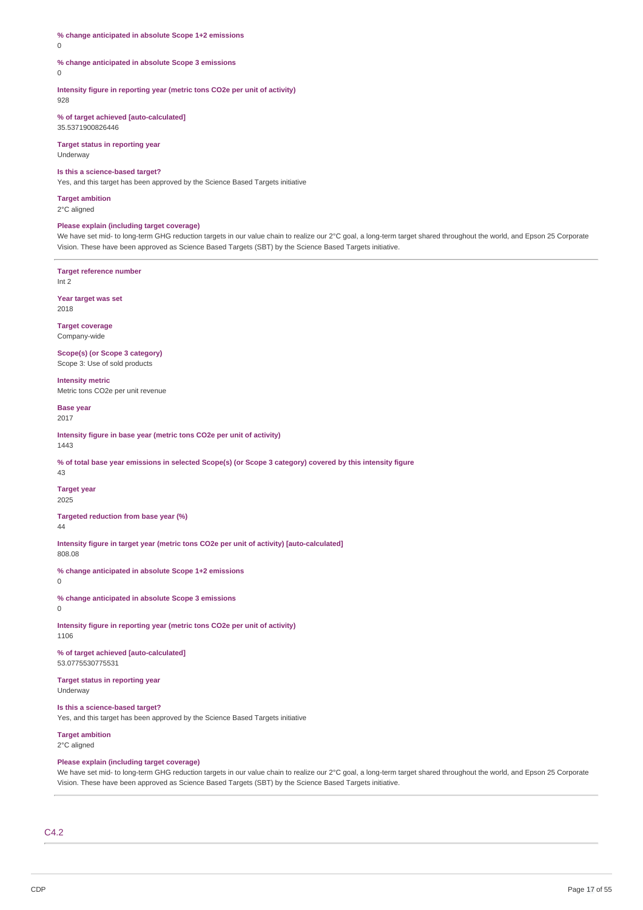## **% change anticipated in absolute Scope 1+2 emissions**

0

#### **% change anticipated in absolute Scope 3 emissions**

 $\theta$ 

## **Intensity figure in reporting year (metric tons CO2e per unit of activity)**

928

#### **% of target achieved [auto-calculated]** 35.5371900826446

**Target status in reporting year** Underway

## **Is this a science-based target?**

Yes, and this target has been approved by the Science Based Targets initiative

# **Target ambition**

2°C aligned

## **Please explain (including target coverage)**

We have set mid- to long-term GHG reduction targets in our value chain to realize our 2°C goal, a long-term target shared throughout the world, and Epson 25 Corporate Vision. These have been approved as Science Based Targets (SBT) by the Science Based Targets initiative.

**Target reference number** Int 2

**Year target was set** 2018

**Target coverage** Company-wide

**Scope(s) (or Scope 3 category)**

Scope 3: Use of sold products

**Intensity metric** Metric tons CO2e per unit revenue

**Base year** 2017

**Intensity figure in base year (metric tons CO2e per unit of activity)**

1443

% of total base year emissions in selected Scope(s) (or Scope 3 category) covered by this intensity figure  $\overline{43}$ 

## **Target year**

2025

**Targeted reduction from base year (%)** 44

**Intensity figure in target year (metric tons CO2e per unit of activity) [auto-calculated]** 808.08

**% change anticipated in absolute Scope 1+2 emissions**

0

 $\Omega$ 

**% change anticipated in absolute Scope 3 emissions**

**Intensity figure in reporting year (metric tons CO2e per unit of activity)**

1106 **% of target achieved [auto-calculated]**

53.0775530775531

**Target status in reporting year** Underway

**Is this a science-based target?** Yes, and this target has been approved by the Science Based Targets initiative

**Target ambition**

2°C aligned

## **Please explain (including target coverage)**

We have set mid- to long-term GHG reduction targets in our value chain to realize our 2°C goal, a long-term target shared throughout the world, and Epson 25 Corporate Vision. These have been approved as Science Based Targets (SBT) by the Science Based Targets initiative.

 $C_{4.2}$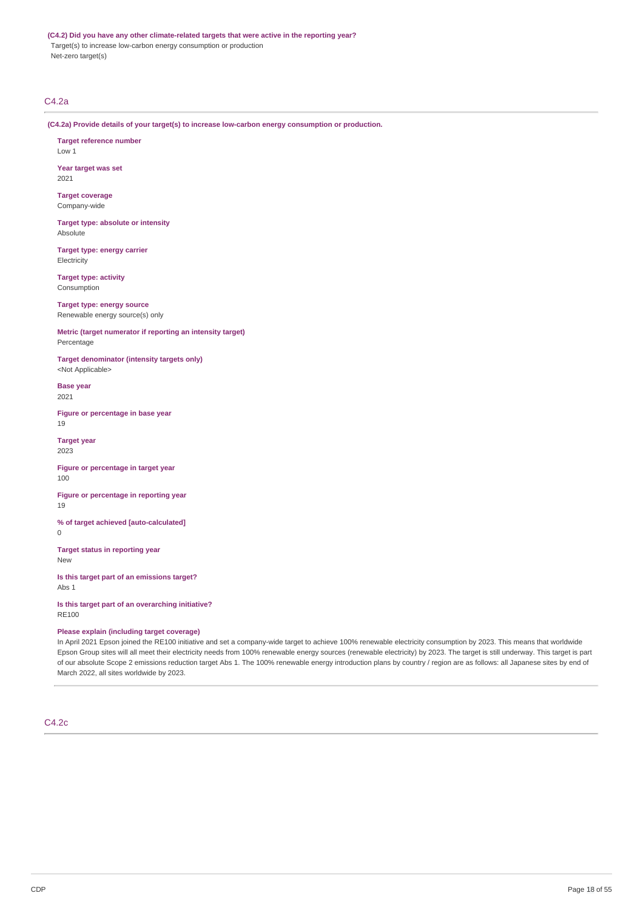#### **(C4.2) Did you have any other climate-related targets that were active in the reporting year?**

Target(s) to increase low-carbon energy consumption or production Net-zero target(s)

## C4.2a

**(C4.2a) Provide details of your target(s) to increase low-carbon energy consumption or production.**

**Target reference number** Low 1

**Year target was set** 2021

**Target coverage** Company-wide

**Target type: absolute or intensity** Absolute

**Target type: energy carrier Electricity** 

**Target type: activity** Consumption

**Target type: energy source** Renewable energy source(s) only

**Metric (target numerator if reporting an intensity target)** Percentage

**Target denominator (intensity targets only)** <Not Applicable>

**Base year** 2021

**Figure or percentage in base year** 19

**Target year** 2023

**Figure or percentage in target year** 100

**Figure or percentage in reporting year** 19

**% of target achieved [auto-calculated]**  $\theta$ 

**Target status in reporting year** New

**Is this target part of an emissions target?** Abs 1

**Is this target part of an overarching initiative?** RE100

## **Please explain (including target coverage)**

In April 2021 Epson joined the RE100 initiative and set a company-wide target to achieve 100% renewable electricity consumption by 2023. This means that worldwide Epson Group sites will all meet their electricity needs from 100% renewable energy sources (renewable electricity) by 2023. The target is still underway. This target is part of our absolute Scope 2 emissions reduction target Abs 1. The 100% renewable energy introduction plans by country / region are as follows: all Japanese sites by end of March 2022, all sites worldwide by 2023.

## C4.2c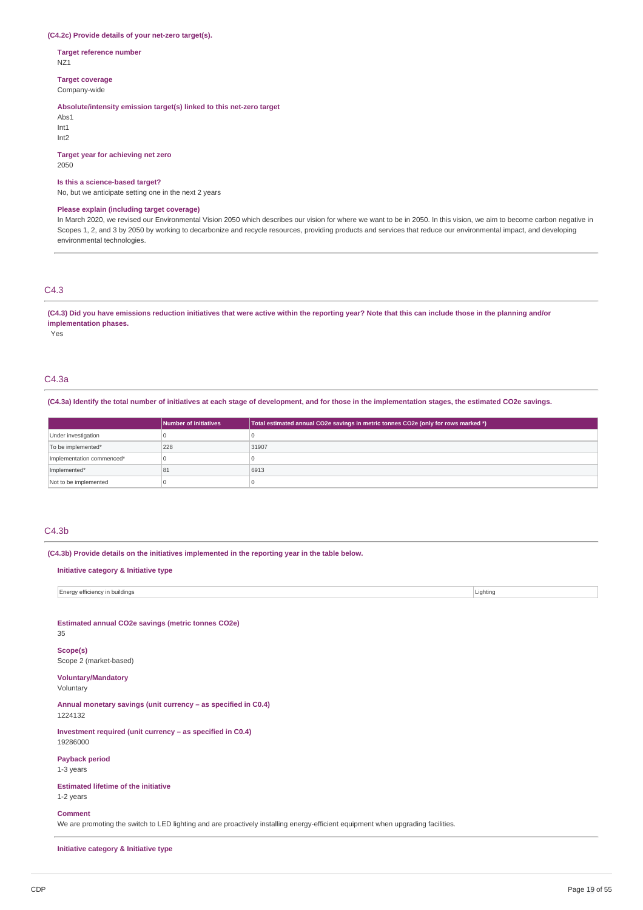## **(C4.2c) Provide details of your net-zero target(s).**

**Target reference number** NZ1

**Target coverage**

Company-wide

#### **Absolute/intensity emission target(s) linked to this net-zero target**

Abs1 Int1 Int2

## **Target year for achieving net zero**

2050

#### **Is this a science-based target?**

No, but we anticipate setting one in the next 2 years

## **Please explain (including target coverage)**

In March 2020, we revised our Environmental Vision 2050 which describes our vision for where we want to be in 2050. In this vision, we aim to become carbon negative in Scopes 1, 2, and 3 by 2050 by working to decarbonize and recycle resources, providing products and services that reduce our environmental impact, and developing environmental technologies.

## C4.3

## (C4.3) Did you have emissions reduction initiatives that were active within the reporting year? Note that this can include those in the planning and/or **implementation phases.**

Yes

## C4.3a

(C4.3a) Identify the total number of initiatives at each stage of development, and for those in the implementation stages, the estimated CO2e savings.

|                           | Number of initiatives | Total estimated annual CO2e savings in metric tonnes CO2e (only for rows marked *) |
|---------------------------|-----------------------|------------------------------------------------------------------------------------|
| Under investigation       |                       |                                                                                    |
| To be implemented*        | 228                   | 31907                                                                              |
| Implementation commenced* |                       |                                                                                    |
| Implemented*              | 81                    | 6913                                                                               |
| Not to be implemented     |                       |                                                                                    |

## C4.3b

**(C4.3b) Provide details on the initiatives implemented in the reporting year in the table below.**

#### **Initiative category & Initiative type**

| Energy efficiency in buildings | Lighting |
|--------------------------------|----------|
|                                |          |
|                                |          |

**Estimated annual CO2e savings (metric tonnes CO2e)**

35

**Scope(s)** Scope 2 (market-based)

# **Voluntary/Mandatory**

Voluntary

**Annual monetary savings (unit currency – as specified in C0.4)** 1224132

**Investment required (unit currency – as specified in C0.4)** 19286000

## **Payback period**

1-3 years

**Estimated lifetime of the initiative** 1-2 years

## **Comment**

We are promoting the switch to LED lighting and are proactively installing energy-efficient equipment when upgrading facilities.

**Initiative category & Initiative type**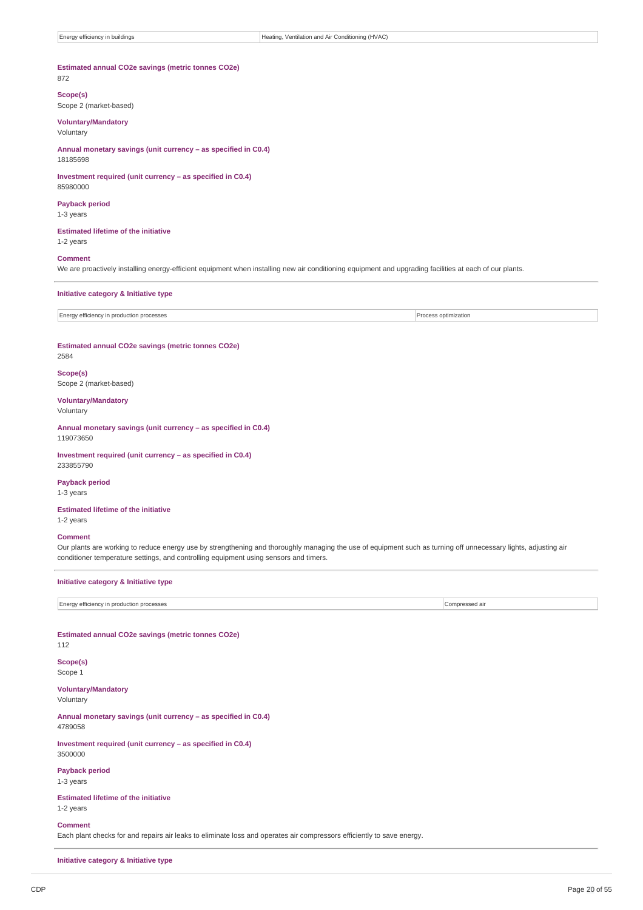# **Estimated annual CO2e savings (metric tonnes CO2e)**

# 872

**Scope(s)** Scope 2 (market-based)

#### **Voluntary/Mandatory**

Voluntary

**Annual monetary savings (unit currency – as specified in C0.4)** 18185698

## **Investment required (unit currency – as specified in C0.4)**

**Payback period**

1-3 years

85980000

**Estimated lifetime of the initiative** 1-2 years

## **Comment**

We are proactively installing energy-efficient equipment when installing new air conditioning equipment and upgrading facilities at each of our plants.

#### **Initiative category & Initiative type**

Energy efficiency in production processes **Process optimization** 

#### **Estimated annual CO2e savings (metric tonnes CO2e)** 2584

**Scope(s)**

Scope 2 (market-based)

**Voluntary/Mandatory** Voluntary

**Annual monetary savings (unit currency – as specified in C0.4)** 119073650

**Investment required (unit currency – as specified in C0.4)** 233855790

#### **Payback period**

1-3 years

**Estimated lifetime of the initiative**

1-2 years

## **Comment**

Our plants are working to reduce energy use by strengthening and thoroughly managing the use of equipment such as turning off unnecessary lights, adjusting air conditioner temperature settings, and controlling equipment using sensors and timers.

## **Initiative category & Initiative type**

Energy efficiency in production processes Compressed air

## **Estimated annual CO2e savings (metric tonnes CO2e)** 112

**Scope(s)** Scope 1

**Voluntary/Mandatory**

Voluntary

**Annual monetary savings (unit currency – as specified in C0.4)** 4789058

**Investment required (unit currency – as specified in C0.4)** 3500000

**Payback period**

1-3 years

**Estimated lifetime of the initiative** 1-2 years

**Comment**

Each plant checks for and repairs air leaks to eliminate loss and operates air compressors efficiently to save energy.

**Initiative category & Initiative type**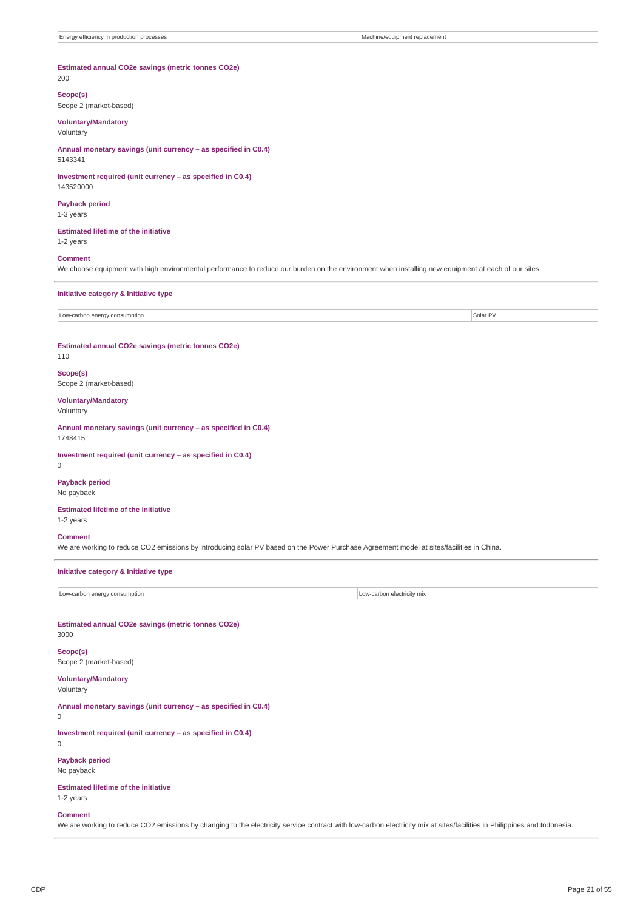## **Estimated annual CO2e savings (metric tonnes CO2e)** 200

# **Scope(s)**

Scope 2 (market-based)

## **Voluntary/Mandatory**

Voluntary

**Annual monetary savings (unit currency – as specified in C0.4)** 5143341

#### **Investment required (unit currency – as specified in C0.4)** 143520000

# **Payback period**

1-3 years

## **Estimated lifetime of the initiative** 1-2 years

## **Comment**

We choose equipment with high environmental performance to reduce our burden on the environment when installing new equipment at each of our sites.

#### **Initiative category & Initiative type**

Low-carbon energy consumption Solar PV

#### **Estimated annual CO2e savings (metric tonnes CO2e)** 110

# **Scope(s)**

Scope 2 (market-based)

#### **Voluntary/Mandatory** Voluntary

**Annual monetary savings (unit currency – as specified in C0.4)** 1748415

## **Investment required (unit currency – as specified in C0.4)**

0

## **Payback period** No payback

## **Estimated lifetime of the initiative**

1-2 years

## **Comment**

We are working to reduce CO2 emissions by introducing solar PV based on the Power Purchase Agreement model at sites/facilities in China.

## **Initiative category & Initiative type**

| consumption            | electric  |
|------------------------|-----------|
| Low-carbo <sup>®</sup> | hv mix    |
| energy                 | Low-carbo |
| $-1$                   |           |

## **Estimated annual CO2e savings (metric tonnes CO2e)**

3000

# **Scope(s)**

Scope 2 (market-based)

#### **Voluntary/Mandatory** Voluntary

**Annual monetary savings (unit currency – as specified in C0.4)**

 $\Omega$ 

**Investment required (unit currency – as specified in C0.4)** 0

**Payback period**

## No payback

**Estimated lifetime of the initiative** 1-2 years

#### **Comment**

We are working to reduce CO2 emissions by changing to the electricity service contract with low-carbon electricity mix at sites/facilities in Philippines and Indonesia.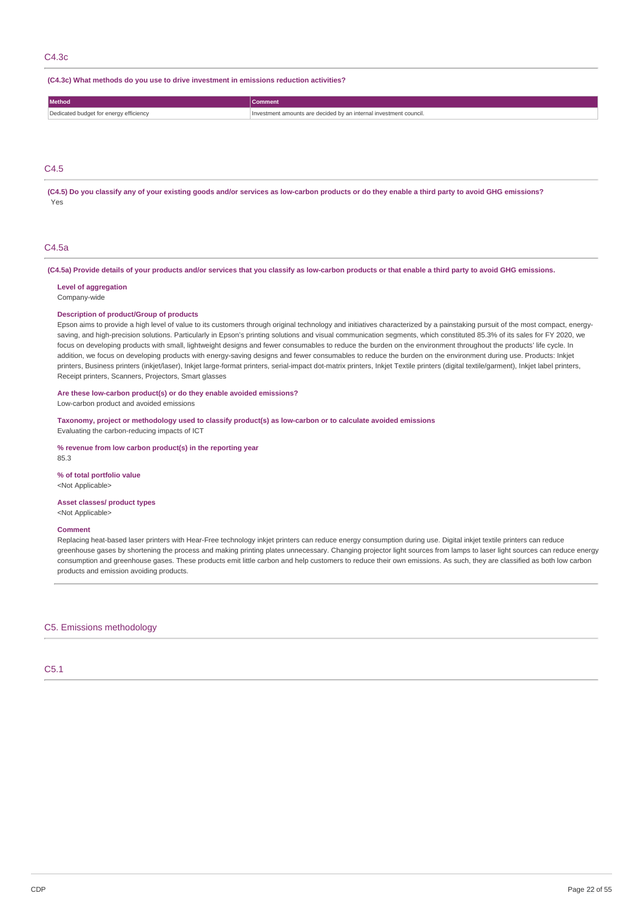## C4.3c

**(C4.3c) What methods do you use to drive investment in emissions reduction activities?**

| Method                                 | Comment                                                |
|----------------------------------------|--------------------------------------------------------|
| Dedicated budget for energy efficiency | amounts are decided by an internal investment council. |

#### C4.5

(C4.5) Do you classify any of your existing goods and/or services as low-carbon products or do they enable a third party to avoid GHG emissions? Yes

## $C4.5a$

(C4.5a) Provide details of your products and/or services that you classify as low-carbon products or that enable a third party to avoid GHG emissions.

**Level of aggregation** Company-wide

#### **Description of product/Group of products**

Epson aims to provide a high level of value to its customers through original technology and initiatives characterized by a painstaking pursuit of the most compact, energysaving, and high-precision solutions. Particularly in Epson's printing solutions and visual communication segments, which constituted 85.3% of its sales for FY 2020, we focus on developing products with small, lightweight designs and fewer consumables to reduce the burden on the environment throughout the products' life cycle. In addition, we focus on developing products with energy-saving designs and fewer consumables to reduce the burden on the environment during use. Products: Inkjet printers, Business printers (inkjet/laser), Inkjet large-format printers, serial-impact dot-matrix printers, Inkjet Textile printers (digital textile/garment), Inkjet label printers, Receipt printers, Scanners, Projectors, Smart glasses

## **Are these low-carbon product(s) or do they enable avoided emissions?**

Low-carbon product and avoided emissions

**Taxonomy, project or methodology used to classify product(s) as low-carbon or to calculate avoided emissions** Evaluating the carbon-reducing impacts of ICT

**% revenue from low carbon product(s) in the reporting year** 85.3

**% of total portfolio value** <Not Applicable>

#### **Asset classes/ product types**

<Not Applicable>

## **Comment**

Replacing heat-based laser printers with Hear-Free technology inkjet printers can reduce energy consumption during use. Digital inkjet textile printers can reduce greenhouse gases by shortening the process and making printing plates unnecessary. Changing projector light sources from lamps to laser light sources can reduce energy consumption and greenhouse gases. These products emit little carbon and help customers to reduce their own emissions. As such, they are classified as both low carbon products and emission avoiding products.

C5. Emissions methodology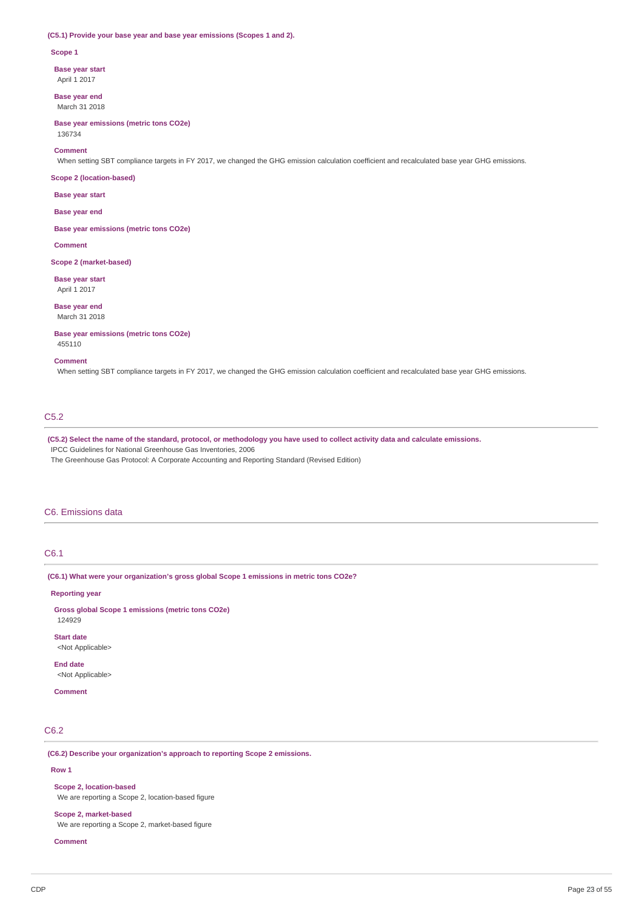#### **(C5.1) Provide your base year and base year emissions (Scopes 1 and 2).**

#### **Scope 1**

**Base year start** April 1 2017

**Base year end** March 31 2018

**Base year emissions (metric tons CO2e)** 136734

#### **Comment**

When setting SBT compliance targets in FY 2017, we changed the GHG emission calculation coefficient and recalculated base year GHG emissions.

#### **Scope 2 (location-based)**

**Base year start**

#### **Base year end**

**Base year emissions (metric tons CO2e)**

**Comment**

**Scope 2 (market-based)**

## **Base year start** April 1 2017

**Base year end** March 31 2018

**Base year emissions (metric tons CO2e)** 455110

#### **Comment**

When setting SBT compliance targets in FY 2017, we changed the GHG emission calculation coefficient and recalculated base year GHG emissions.

## C5.2

(C5.2) Select the name of the standard, protocol, or methodology you have used to collect activity data and calculate emissions. IPCC Guidelines for National Greenhouse Gas Inventories, 2006

The Greenhouse Gas Protocol: A Corporate Accounting and Reporting Standard (Revised Edition)

## C6. Emissions data

# C6.1

**(C6.1) What were your organization's gross global Scope 1 emissions in metric tons CO2e?**

### **Reporting year**

**Gross global Scope 1 emissions (metric tons CO2e)** 124929

**Start date** <Not Applicable>

**End date** <Not Applicable>

## **Comment**

# C6.2

**(C6.2) Describe your organization's approach to reporting Scope 2 emissions.**

## **Row 1**

**Scope 2, location-based** We are reporting a Scope 2, location-based figure

**Scope 2, market-based**

We are reporting a Scope 2, market-based figure

**Comment**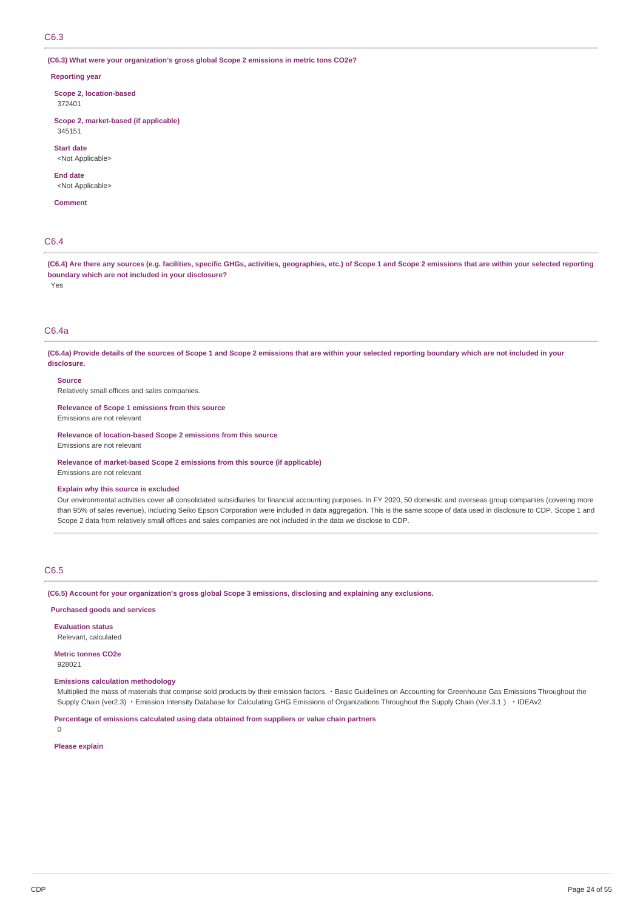**(C6.3) What were your organization's gross global Scope 2 emissions in metric tons CO2e?**

#### **Reporting year**

**Scope 2, location-based** 372401

**Scope 2, market-based (if applicable)** 345151

**Start date**

<Not Applicable>

**End date**

<Not Applicable>

**Comment**

# C6.4

(C6.4) Are there any sources (e.g. facilities, specific GHGs, activities, geographies, etc.) of Scope 1 and Scope 2 emissions that are within your selected reporting **boundary which are not included in your disclosure?** Yes

# C6.4a

(C6.4a) Provide details of the sources of Scope 1 and Scope 2 emissions that are within your selected reporting boundary which are not included in your **disclosure.**

**Source**

Relatively small offices and sales companies.

**Relevance of Scope 1 emissions from this source** Emissions are not relevant

**Relevance of location-based Scope 2 emissions from this source**

Emissions are not relevant

**Relevance of market-based Scope 2 emissions from this source (if applicable)** Emissions are not relevant

## **Explain why this source is excluded**

Our environmental activities cover all consolidated subsidiaries for financial accounting purposes. In FY 2020, 50 domestic and overseas group companies (covering more than 95% of sales revenue), including Seiko Epson Corporation were included in data aggregation. This is the same scope of data used in disclosure to CDP. Scope 1 and Scope 2 data from relatively small offices and sales companies are not included in the data we disclose to CDP.

## C6.5

**(C6.5) Account for your organization's gross global Scope 3 emissions, disclosing and explaining any exclusions.**

## **Purchased goods and services**

**Evaluation status** Relevant, calculated

**Metric tonnes CO2e**

928021

## **Emissions calculation methodology**

Multiplied the mass of materials that comprise sold products by their emission factors. · Basic Guidelines on Accounting for Greenhouse Gas Emissions Throughout the Supply Chain (ver2.3) · Emission Intensity Database for Calculating GHG Emissions of Organizations Throughout the Supply Chain (Ver.3.1) · IDEAv2

**Percentage of emissions calculated using data obtained from suppliers or value chain partners**

**Please explain**

 $\Omega$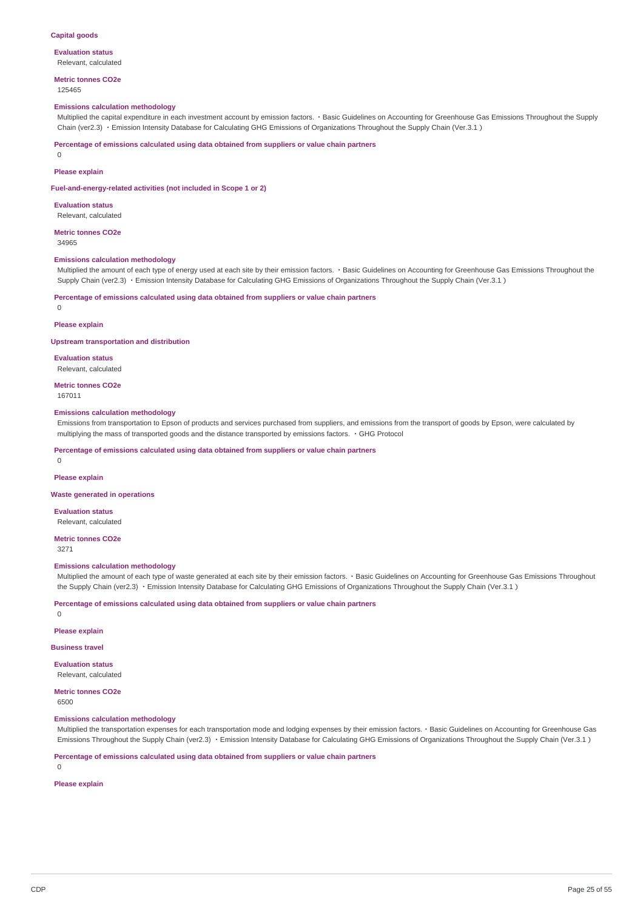#### **Capital goods**

#### **Evaluation status** Relevant, calculated

**Metric tonnes CO2e** 125465

#### **Emissions calculation methodology**

Multiplied the capital expenditure in each investment account by emission factors. · Basic Guidelines on Accounting for Greenhouse Gas Emissions Throughout the Supply Chain (ver2.3) ・Emission Intensity Database for Calculating GHG Emissions of Organizations Throughout the Supply Chain (Ver.3.1)

**Percentage of emissions calculated using data obtained from suppliers or value chain partners**

0

## **Please explain**

**Fuel-and-energy-related activities (not included in Scope 1 or 2)**

**Evaluation status** Relevant, calculated

## **Metric tonnes CO2e**

34965

#### **Emissions calculation methodology**

Multiplied the amount of each type of energy used at each site by their emission factors. · Basic Guidelines on Accounting for Greenhouse Gas Emissions Throughout the Supply Chain (ver2.3) · Emission Intensity Database for Calculating GHG Emissions of Organizations Throughout the Supply Chain (Ver.3.1)

**Percentage of emissions calculated using data obtained from suppliers or value chain partners**

 $\Omega$ 

#### **Please explain**

**Upstream transportation and distribution**

**Evaluation status**

Relevant, calculated

**Metric tonnes CO2e** 167011

#### **Emissions calculation methodology**

Emissions from transportation to Epson of products and services purchased from suppliers, and emissions from the transport of goods by Epson, were calculated by multiplying the mass of transported goods and the distance transported by emissions factors. ・GHG Protocol

**Percentage of emissions calculated using data obtained from suppliers or value chain partners**

0

#### **Please explain**

**Waste generated in operations**

**Evaluation status**

Relevant, calculated

**Metric tonnes CO2e**

3271

#### **Emissions calculation methodology**

Multiplied the amount of each type of waste generated at each site by their emission factors.・Basic Guidelines on Accounting for Greenhouse Gas Emissions Throughout the Supply Chain (ver2.3) · Emission Intensity Database for Calculating GHG Emissions of Organizations Throughout the Supply Chain (Ver.3.1)

**Percentage of emissions calculated using data obtained from suppliers or value chain partners**

 $\Omega$ 

#### **Please explain**

**Business travel**

**Evaluation status**

Relevant, calculated

**Metric tonnes CO2e**

6500

#### **Emissions calculation methodology**

Multiplied the transportation expenses for each transportation mode and lodging expenses by their emission factors.・Basic Guidelines on Accounting for Greenhouse Gas Emissions Throughout the Supply Chain (ver2.3) · Emission Intensity Database for Calculating GHG Emissions of Organizations Throughout the Supply Chain (Ver.3.1)

**Percentage of emissions calculated using data obtained from suppliers or value chain partners**

0

**Please explain**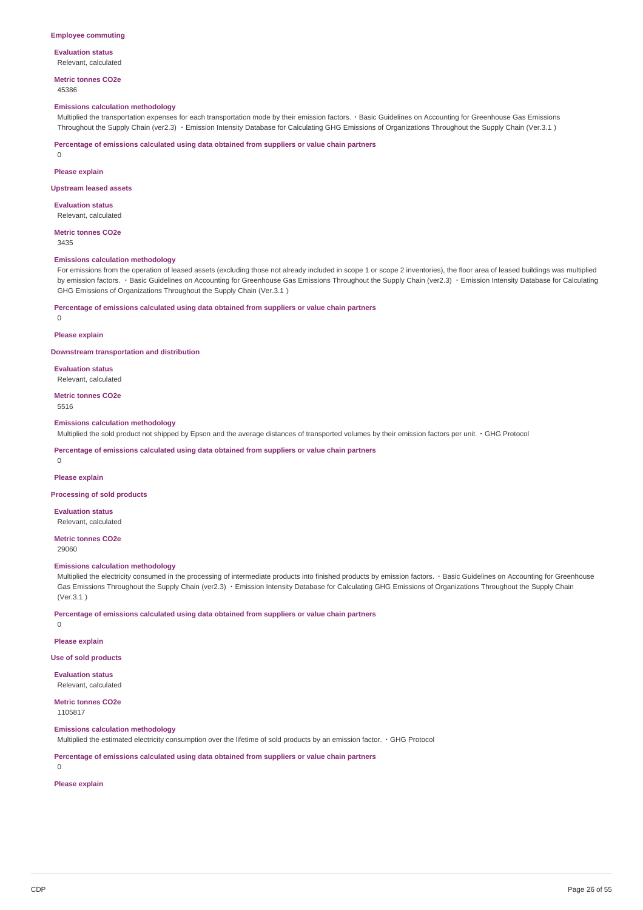# **Evaluation status**

Relevant, calculated

**Metric tonnes CO2e** 45386

#### **Emissions calculation methodology**

Multiplied the transportation expenses for each transportation mode by their emission factors.・Basic Guidelines on Accounting for Greenhouse Gas Emissions Throughout the Supply Chain (ver2.3) ・Emission Intensity Database for Calculating GHG Emissions of Organizations Throughout the Supply Chain (Ver.3.1)

**Percentage of emissions calculated using data obtained from suppliers or value chain partners**

0

**Please explain**

#### **Upstream leased assets**

**Evaluation status** Relevant, calculated

**Metric tonnes CO2e**

3435

#### **Emissions calculation methodology**

For emissions from the operation of leased assets (excluding those not already included in scope 1 or scope 2 inventories), the floor area of leased buildings was multiplied by emission factors. · Basic Guidelines on Accounting for Greenhouse Gas Emissions Throughout the Supply Chain (ver2.3) · Emission Intensity Database for Calculating GHG Emissions of Organizations Throughout the Supply Chain (Ver.3.1)

**Percentage of emissions calculated using data obtained from suppliers or value chain partners**

# $\theta$

**Please explain**

**Downstream transportation and distribution**

**Evaluation status** Relevant, calculated

**Metric tonnes CO2e** 5516

**Emissions calculation methodology**

Multiplied the sold product not shipped by Epson and the average distances of transported volumes by their emission factors per unit.・GHG Protocol

**Percentage of emissions calculated using data obtained from suppliers or value chain partners**

0

**Please explain**

**Processing of sold products**

**Evaluation status**

Relevant, calculated

**Metric tonnes CO2e**

29060

0

### **Emissions calculation methodology**

Multiplied the electricity consumed in the processing of intermediate products into finished products by emission factors. · Basic Guidelines on Accounting for Greenhouse Gas Emissions Throughout the Supply Chain (ver2.3) ・Emission Intensity Database for Calculating GHG Emissions of Organizations Throughout the Supply Chain (Ver.3.1)

**Percentage of emissions calculated using data obtained from suppliers or value chain partners**

**Please explain**

## **Use of sold products**

**Evaluation status** Relevant, calculated

**Metric tonnes CO2e** 1105817

### **Emissions calculation methodology**

Multiplied the estimated electricity consumption over the lifetime of sold products by an emission factor.・GHG Protocol

**Percentage of emissions calculated using data obtained from suppliers or value chain partners**

0

**Please explain**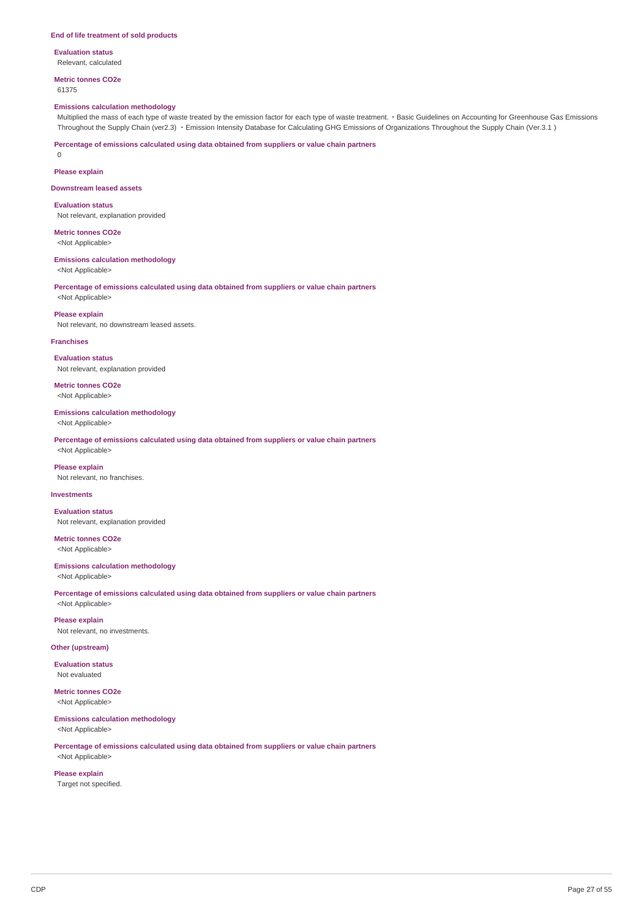#### **End of life treatment of sold products**

**Evaluation status** Relevant, calculated

**Metric tonnes CO2e** 61375

#### **Emissions calculation methodology**

Multiplied the mass of each type of waste treated by the emission factor for each type of waste treatment.・Basic Guidelines on Accounting for Greenhouse Gas Emissions Throughout the Supply Chain (ver2.3) ・Emission Intensity Database for Calculating GHG Emissions of Organizations Throughout the Supply Chain (Ver.3.1)

**Percentage of emissions calculated using data obtained from suppliers or value chain partners**

0

**Please explain**

**Downstream leased assets**

**Evaluation status** Not relevant, explanation provided

**Metric tonnes CO2e** <Not Applicable>

**Emissions calculation methodology**

<Not Applicable>

**Percentage of emissions calculated using data obtained from suppliers or value chain partners** <Not Applicable>

#### **Please explain**

Not relevant, no downstream leased assets.

#### **Franchises**

**Evaluation status** Not relevant, explanation provided

**Metric tonnes CO2e** <Not Applicable>

#### **Emissions calculation methodology**

<Not Applicable>

**Percentage of emissions calculated using data obtained from suppliers or value chain partners** <Not Applicable>

**Please explain** Not relevant, no franchises.

## **Investments**

**Evaluation status** Not relevant, explanation provided

**Metric tonnes CO2e** <Not Applicable>

## **Emissions calculation methodology**

<Not Applicable>

**Percentage of emissions calculated using data obtained from suppliers or value chain partners** <Not Applicable>

**Please explain** Not relevant, no investments.

## **Other (upstream)**

**Evaluation status** Not evaluated

# **Metric tonnes CO2e**

<Not Applicable>

**Emissions calculation methodology**

<Not Applicable>

**Percentage of emissions calculated using data obtained from suppliers or value chain partners**

<Not Applicable> **Please explain**

Target not specified.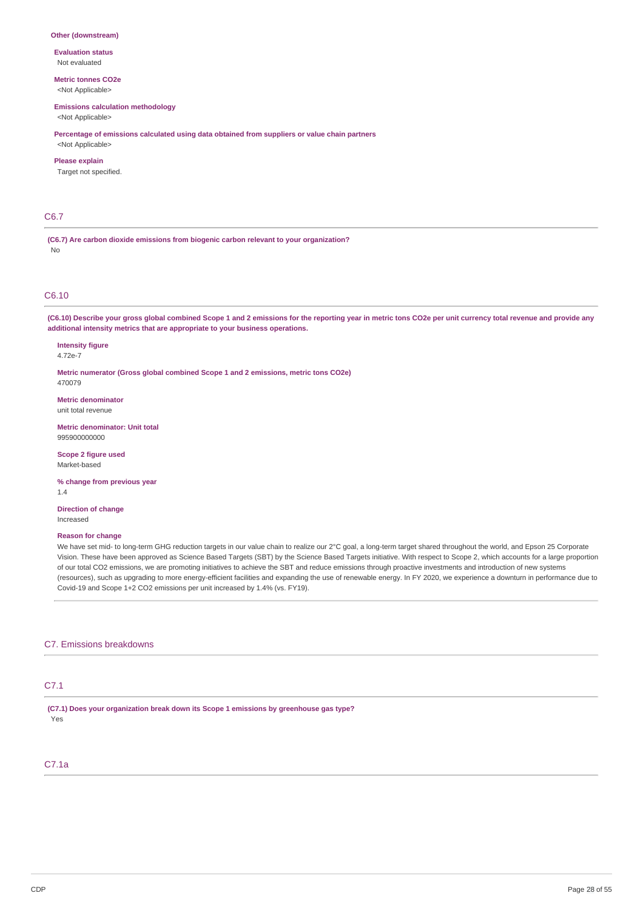#### **Other (downstream)**

**Evaluation status** Not evaluated

**Metric tonnes CO2e** <Not Applicable>

**Emissions calculation methodology**

<Not Applicable>

**Percentage of emissions calculated using data obtained from suppliers or value chain partners**

<Not Applicable> **Please explain**

Target not specified.

## C6.7

**(C6.7) Are carbon dioxide emissions from biogenic carbon relevant to your organization?** No

## C6.10

(C6.10) Describe your gross global combined Scope 1 and 2 emissions for the reporting year in metric tons CO2e per unit currency total revenue and provide any **additional intensity metrics that are appropriate to your business operations.**

**Intensity figure** 4.72e-7

**Metric numerator (Gross global combined Scope 1 and 2 emissions, metric tons CO2e)** 470079

**Metric denominator** unit total revenue

**Metric denominator: Unit total** 995900000000

**Scope 2 figure used** Market-based

**% change from previous year** 1.4

**Direction of change** Increased

## **Reason for change**

We have set mid- to long-term GHG reduction targets in our value chain to realize our 2°C goal, a long-term target shared throughout the world, and Epson 25 Corporate Vision. These have been approved as Science Based Targets (SBT) by the Science Based Targets initiative. With respect to Scope 2, which accounts for a large proportion of our total CO2 emissions, we are promoting initiatives to achieve the SBT and reduce emissions through proactive investments and introduction of new systems (resources), such as upgrading to more energy-efficient facilities and expanding the use of renewable energy. In FY 2020, we experience a downturn in performance due to Covid-19 and Scope 1+2 CO2 emissions per unit increased by 1.4% (vs. FY19).

## C7. Emissions breakdowns

## C7.1

**(C7.1) Does your organization break down its Scope 1 emissions by greenhouse gas type?** Yes

# C7.1a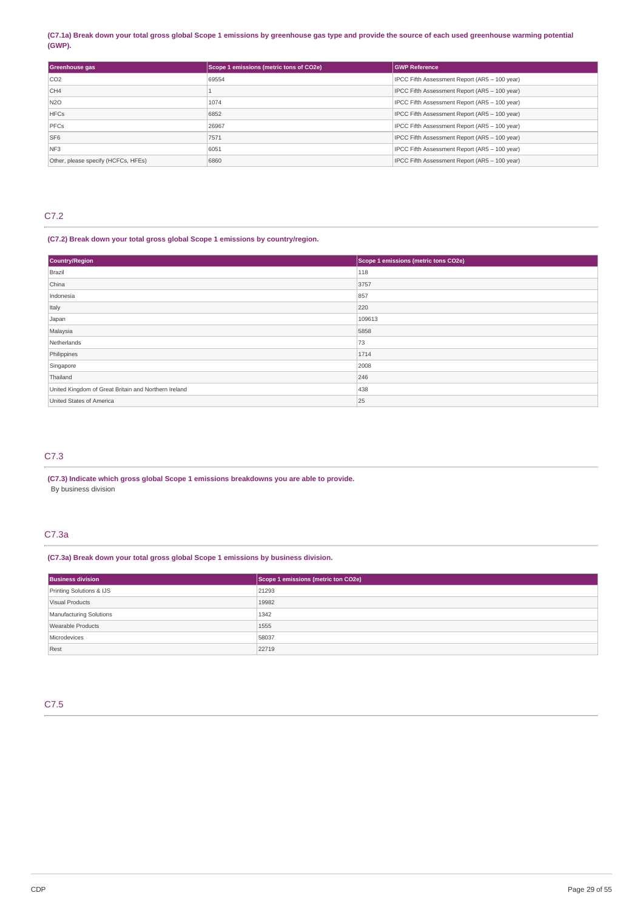## (C7.1a) Break down your total gross global Scope 1 emissions by greenhouse gas type and provide the source of each used greenhouse warming potential **(GWP).**

| Greenhouse gas                      | Scope 1 emissions (metric tons of CO2e) | <b>GWP Reference</b>                          |
|-------------------------------------|-----------------------------------------|-----------------------------------------------|
| CO <sub>2</sub>                     | 69554                                   | IPCC Fifth Assessment Report (AR5 - 100 year) |
| CH <sub>4</sub>                     |                                         | IPCC Fifth Assessment Report (AR5 - 100 year) |
| <b>N2O</b>                          | 1074                                    | IPCC Fifth Assessment Report (AR5 - 100 year) |
| <b>HFCs</b>                         | 6852                                    | IPCC Fifth Assessment Report (AR5 - 100 year) |
| <b>PFCs</b>                         | 26967                                   | IPCC Fifth Assessment Report (AR5 - 100 year) |
| SF <sub>6</sub>                     | 7571                                    | IPCC Fifth Assessment Report (AR5 - 100 year) |
| NF <sub>3</sub>                     | 6051                                    | IPCC Fifth Assessment Report (AR5 - 100 year) |
| Other, please specify (HCFCs, HFEs) | 6860                                    | IPCC Fifth Assessment Report (AR5 - 100 year) |

# C7.2

## **(C7.2) Break down your total gross global Scope 1 emissions by country/region.**

| Country/Region                                       | Scope 1 emissions (metric tons CO2e) |
|------------------------------------------------------|--------------------------------------|
| Brazil                                               | 118                                  |
| China                                                | 3757                                 |
| Indonesia                                            | 857                                  |
| Italy                                                | 220                                  |
| Japan                                                | 109613                               |
| Malaysia                                             | 5858                                 |
| Netherlands                                          | 73                                   |
| Philippines                                          | 1714                                 |
| Singapore                                            | 2008                                 |
| Thailand                                             | 246                                  |
| United Kingdom of Great Britain and Northern Ireland | 438                                  |
| United States of America                             | 25                                   |

## C7.3

## **(C7.3) Indicate which gross global Scope 1 emissions breakdowns you are able to provide.** By business division

# C7.3a

## **(C7.3a) Break down your total gross global Scope 1 emissions by business division.**

| <b>Business division</b> | Scope 1 emissions (metric ton CO2e) |
|--------------------------|-------------------------------------|
| Printing Solutions & IJS | 21293                               |
| Visual Products          | 19982                               |
| Manufacturing Solutions  | 1342                                |
| Wearable Products        | 1555                                |
| Microdevices             | 58037                               |
| Rest                     | 22719                               |

# C7.5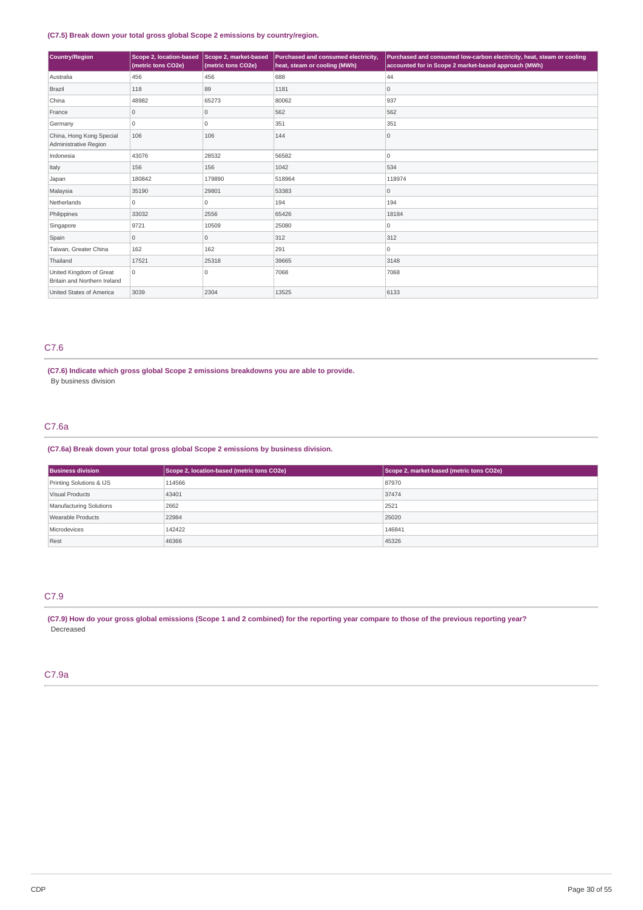## **(C7.5) Break down your total gross global Scope 2 emissions by country/region.**

| Country/Region                                          | Scope 2, location-based<br>(metric tons CO2e) | Scope 2, market-based<br>(metric tons CO2e) | Purchased and consumed electricity,<br>heat, steam or cooling (MWh) | Purchased and consumed low-carbon electricity, heat, steam or cooling<br>accounted for in Scope 2 market-based approach (MWh) |
|---------------------------------------------------------|-----------------------------------------------|---------------------------------------------|---------------------------------------------------------------------|-------------------------------------------------------------------------------------------------------------------------------|
| Australia                                               | 456                                           | 456                                         | 688                                                                 | 44                                                                                                                            |
| Brazil                                                  | 118                                           | 89                                          | 1181                                                                | $\overline{0}$                                                                                                                |
| China                                                   | 48982                                         | 65273                                       | 80062                                                               | 937                                                                                                                           |
| France                                                  | $\overline{0}$                                | $\mathbf 0$                                 | 562                                                                 | 562                                                                                                                           |
| Germany                                                 | 0                                             | $\Omega$                                    | 351                                                                 | 351                                                                                                                           |
| China, Hong Kong Special<br>Administrative Region       | 106                                           | 106                                         | 144                                                                 | $\overline{0}$                                                                                                                |
| Indonesia                                               | 43076                                         | 28532                                       | 56582                                                               | 0                                                                                                                             |
| Italy                                                   | 156                                           | 156                                         | 1042                                                                | 534                                                                                                                           |
| Japan                                                   | 180842                                        | 179890                                      | 518964                                                              | 118974                                                                                                                        |
| Malaysia                                                | 35190                                         | 29801                                       | 53383                                                               | $\circ$                                                                                                                       |
| Netherlands                                             | 0                                             | 0                                           | 194                                                                 | 194                                                                                                                           |
| Philippines                                             | 33032                                         | 2556                                        | 65426                                                               | 18184                                                                                                                         |
| Singapore                                               | 9721                                          | 10509                                       | 25080                                                               | 0                                                                                                                             |
| Spain                                                   | $\overline{0}$                                | 0                                           | 312                                                                 | 312                                                                                                                           |
| Taiwan, Greater China                                   | 162                                           | 162                                         | 291                                                                 | 0                                                                                                                             |
| Thailand                                                | 17521                                         | 25318                                       | 39665                                                               | 3148                                                                                                                          |
| United Kingdom of Great<br>Britain and Northern Ireland | 0                                             | $\Omega$                                    | 7068                                                                | 7068                                                                                                                          |
| United States of America                                | 3039                                          | 2304                                        | 13525                                                               | 6133                                                                                                                          |

## C7.6

**(C7.6) Indicate which gross global Scope 2 emissions breakdowns you are able to provide.** By business division

# C7.6a

## **(C7.6a) Break down your total gross global Scope 2 emissions by business division.**

| <b>Business division</b> | Scope 2, location-based (metric tons CO2e) | Scope 2, market-based (metric tons CO2e) |
|--------------------------|--------------------------------------------|------------------------------------------|
| Printing Solutions & IJS | 114566                                     | 87970                                    |
| Visual Products          | 43401                                      | 37474                                    |
| Manufacturing Solutions  | 2662                                       | 2521                                     |
| Wearable Products        | 22984                                      | 25020                                    |
| Microdevices             | 142422                                     | 146841                                   |
| Rest                     | 46366                                      | 45326                                    |

# C7.9

(C7.9) How do your gross global emissions (Scope 1 and 2 combined) for the reporting year compare to those of the previous reporting year? Decreased

## C7.9a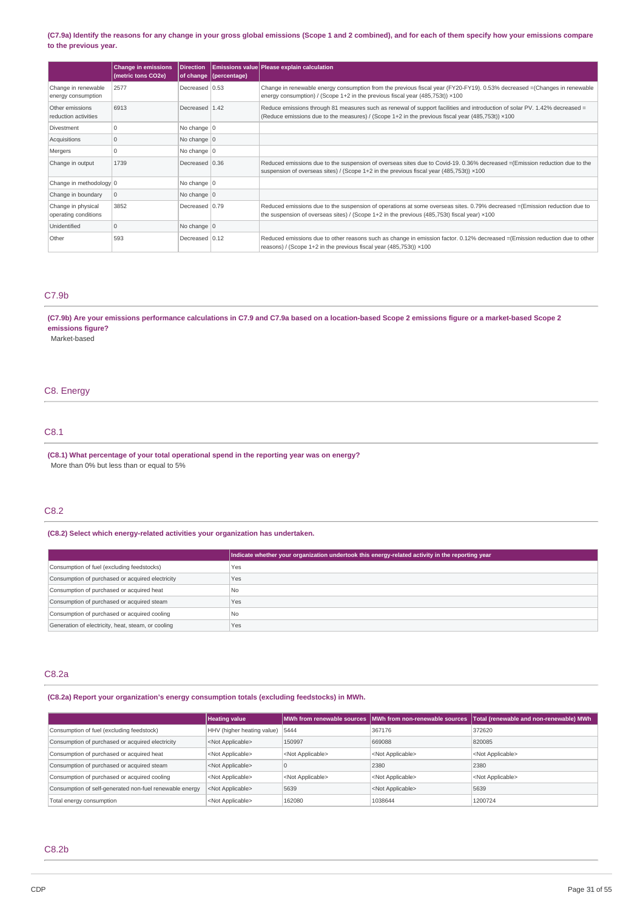## (C7.9a) Identify the reasons for any change in your gross global emissions (Scope 1 and 2 combined), and for each of them specify how your emissions compare **to the previous year.**

|                                            | <b>Change in emissions</b><br>(metric tons CO2e) | <b>Direction</b> | of change (percentage) | Emissions value Please explain calculation                                                                                                                                                                                               |
|--------------------------------------------|--------------------------------------------------|------------------|------------------------|------------------------------------------------------------------------------------------------------------------------------------------------------------------------------------------------------------------------------------------|
| Change in renewable<br>energy consumption  | 2577                                             | Decreased 0.53   |                        | Change in renewable energy consumption from the previous fiscal year (FY20-FY19). 0.53% decreased =(Changes in renewable<br>energy consumption) / (Scope 1+2 in the previous fiscal year (485,753t)) $\times$ 100                        |
| Other emissions<br>reduction activities    | 6913                                             | Decreased 1.42   |                        | Reduce emissions through 81 measures such as renewal of support facilities and introduction of solar PV. 1.42% decreased =<br>(Reduce emissions due to the measures) / (Scope $1+2$ in the previous fiscal year (485,753t)) $\times$ 100 |
| Divestment                                 | $\Omega$                                         | No change $ 0$   |                        |                                                                                                                                                                                                                                          |
| Acquisitions                               | 10                                               | No change $ 0$   |                        |                                                                                                                                                                                                                                          |
| Mergers                                    |                                                  | No change 0      |                        |                                                                                                                                                                                                                                          |
| Change in output                           | 1739                                             | Decreased 0.36   |                        | Reduced emissions due to the suspension of overseas sites due to Covid-19, 0.36% decreased = (Emission reduction due to the<br>suspension of overseas sites) / (Scope 1+2 in the previous fiscal year (485,753t)) ×100                   |
| Change in methodology 0                    |                                                  | No change $ 0$   |                        |                                                                                                                                                                                                                                          |
| Change in boundary                         | 10                                               | No change $ 0$   |                        |                                                                                                                                                                                                                                          |
| Change in physical<br>operating conditions | 3852                                             | Decreased 0.79   |                        | Reduced emissions due to the suspension of operations at some overseas sites. 0.79% decreased = (Emission reduction due to<br>the suspension of overseas sites) / (Scope $1+2$ in the previous (485,753t) fiscal year) $\times 100$      |
| Unidentified                               | $\Omega$                                         | No change 0      |                        |                                                                                                                                                                                                                                          |
| Other                                      | 593                                              | Decreased 0.12   |                        | Reduced emissions due to other reasons such as change in emission factor. 0.12% decreased = (Emission reduction due to other<br>reasons) / (Scope 1+2 in the previous fiscal year (485,753t)) $\times$ 100                               |

## C7.9b

## (C7.9b) Are your emissions performance calculations in C7.9 and C7.9a based on a location-based Scope 2 emissions figure or a market-based Scope 2 **emissions figure?**

Market-based

## C8. Energy

# C8.1

**(C8.1) What percentage of your total operational spend in the reporting year was on energy?** More than 0% but less than or equal to 5%

# C8.2

## **(C8.2) Select which energy-related activities your organization has undertaken.**

|                                                    | Indicate whether your organization undertook this energy-related activity in the reporting year |
|----------------------------------------------------|-------------------------------------------------------------------------------------------------|
| Consumption of fuel (excluding feedstocks)         | Yes                                                                                             |
| Consumption of purchased or acquired electricity   | Yes                                                                                             |
| Consumption of purchased or acquired heat          | N <sub>0</sub>                                                                                  |
| Consumption of purchased or acquired steam         | Yes                                                                                             |
| Consumption of purchased or acquired cooling       | N <sub>0</sub>                                                                                  |
| Generation of electricity, heat, steam, or cooling | Yes                                                                                             |

## C8.2a

**(C8.2a) Report your organization's energy consumption totals (excluding feedstocks) in MWh.**

|                                                         | <b>Heating value</b>            |                           | MWh from renewable sources MWh from non-renewable sources | Total (renewable and non-renewable) MWh |
|---------------------------------------------------------|---------------------------------|---------------------------|-----------------------------------------------------------|-----------------------------------------|
| Consumption of fuel (excluding feedstock)               | HHV (higher heating value) 5444 |                           | 367176                                                    | 372620                                  |
| Consumption of purchased or acquired electricity        | <not applicable=""></not>       | 150997                    | 669088                                                    | 820085                                  |
| Consumption of purchased or acquired heat               | <not applicable=""></not>       | <not applicable=""></not> | <not applicable=""></not>                                 | <not applicable=""></not>               |
| Consumption of purchased or acquired steam              | <not applicable=""></not>       |                           | 2380                                                      | 2380                                    |
| Consumption of purchased or acquired cooling            | <not applicable=""></not>       | <not applicable=""></not> | <not applicable=""></not>                                 | <not applicable=""></not>               |
| Consumption of self-generated non-fuel renewable energy | <not applicable=""></not>       | 5639                      | <not applicable=""></not>                                 | 5639                                    |
| Total energy consumption                                | <not applicable=""></not>       | 162080                    | 1038644                                                   | 1200724                                 |

## C8.2b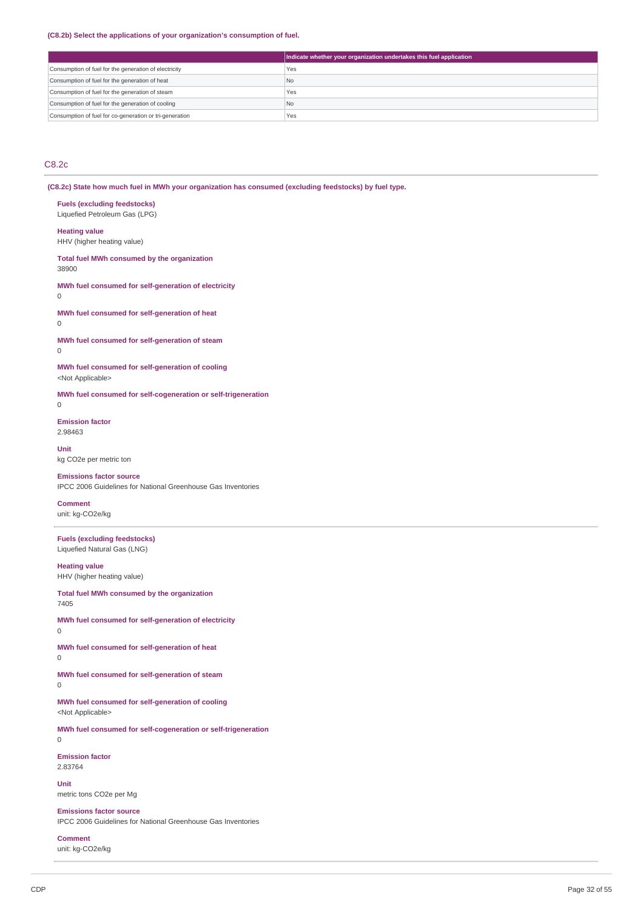#### **(C8.2b) Select the applications of your organization's consumption of fuel.**

|                                                         | Indicate whether your organization undertakes this fuel application |
|---------------------------------------------------------|---------------------------------------------------------------------|
| Consumption of fuel for the generation of electricity   | Yes                                                                 |
| Consumption of fuel for the generation of heat          | N <sub>o</sub>                                                      |
| Consumption of fuel for the generation of steam         | Yes                                                                 |
| Consumption of fuel for the generation of cooling       | N <sub>0</sub>                                                      |
| Consumption of fuel for co-generation or tri-generation | Yes                                                                 |

# C8.2c

**(C8.2c) State how much fuel in MWh your organization has consumed (excluding feedstocks) by fuel type.**

# **Fuels (excluding feedstocks)**

Liquefied Petroleum Gas (LPG)

# **Heating value**

HHV (higher heating value)

#### **Total fuel MWh consumed by the organization** 38900

**MWh fuel consumed for self-generation of electricity**

#### $\Omega$

**MWh fuel consumed for self-generation of heat**  $\Omega$ 

**MWh fuel consumed for self-generation of steam**

## 0

**MWh fuel consumed for self-generation of cooling** <Not Applicable>

**MWh fuel consumed for self-cogeneration or self-trigeneration**

# $\Omega$

**Emission factor** 2.98463

#### **Unit** kg CO2e per metric ton

**Emissions factor source** IPCC 2006 Guidelines for National Greenhouse Gas Inventories

## **Comment**

unit: kg-CO2e/kg

## **Fuels (excluding feedstocks)** Liquefied Natural Gas (LNG)

#### **Heating value**

HHV (higher heating value)

#### **Total fuel MWh consumed by the organization** 7405

**MWh fuel consumed for self-generation of electricity**

- 0
- **MWh fuel consumed for self-generation of heat**

```
0
```
**MWh fuel consumed for self-generation of steam**

0

**MWh fuel consumed for self-generation of cooling** <Not Applicable>

**MWh fuel consumed for self-cogeneration or self-trigeneration**  $\overline{0}$ 

**Emission factor** 2.83764

# **Unit**

metric tons CO2e per Mg

# **Emissions factor source**

IPCC 2006 Guidelines for National Greenhouse Gas Inventories

## **Comment**

unit: kg-CO2e/kg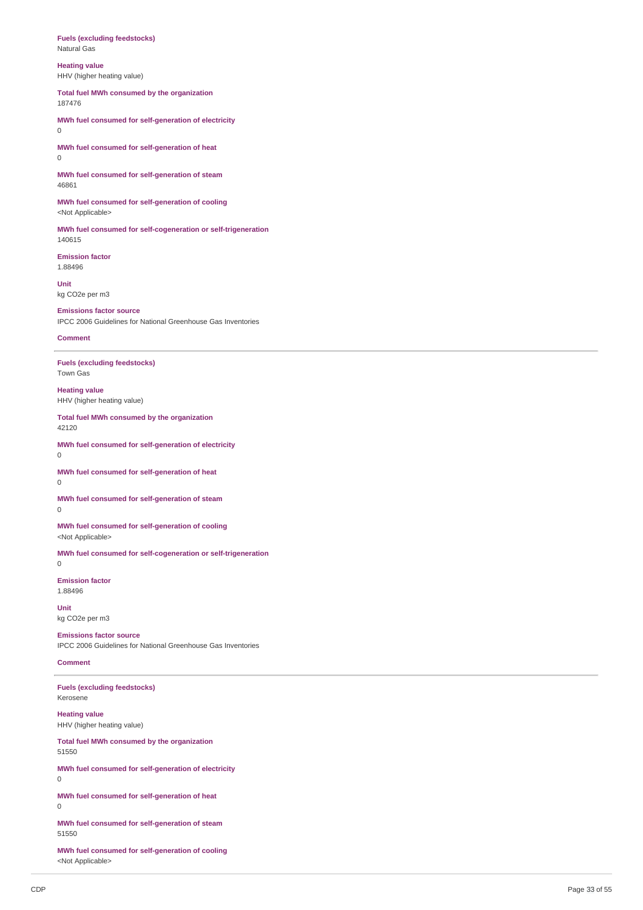#### **Fuels (excluding feedstocks)** Natural Gas

**Heating value**

HHV (higher heating value)

**Total fuel MWh consumed by the organization** 187476

**MWh fuel consumed for self-generation of electricity**  $\Omega$ 

**MWh fuel consumed for self-generation of heat**  $\overline{0}$ 

**MWh fuel consumed for self-generation of steam** 46861

**MWh fuel consumed for self-generation of cooling** <Not Applicable>

**MWh fuel consumed for self-cogeneration or self-trigeneration** 140615

**Emission factor** 1.88496 **Unit**

kg CO2e per m3

**Emissions factor source** IPCC 2006 Guidelines for National Greenhouse Gas Inventories

**Comment**

**Fuels (excluding feedstocks)** Town Gas

**Heating value** HHV (higher heating value)

**Total fuel MWh consumed by the organization** 42120

**MWh fuel consumed for self-generation of electricity** 0

**MWh fuel consumed for self-generation of heat** 0

**MWh fuel consumed for self-generation of steam**  $\theta$ 

**MWh fuel consumed for self-generation of cooling** <Not Applicable>

**MWh fuel consumed for self-cogeneration or self-trigeneration** 0

**Emission factor** 1.88496

**Unit** kg CO2e per m3

**Emissions factor source** IPCC 2006 Guidelines for National Greenhouse Gas Inventories

### **Comment**

**Fuels (excluding feedstocks)** Kerosene

**Heating value** HHV (higher heating value)

**Total fuel MWh consumed by the organization** 51550

**MWh fuel consumed for self-generation of electricity** 0

**MWh fuel consumed for self-generation of heat** 0

**MWh fuel consumed for self-generation of steam** 51550

**MWh fuel consumed for self-generation of cooling** <Not Applicable>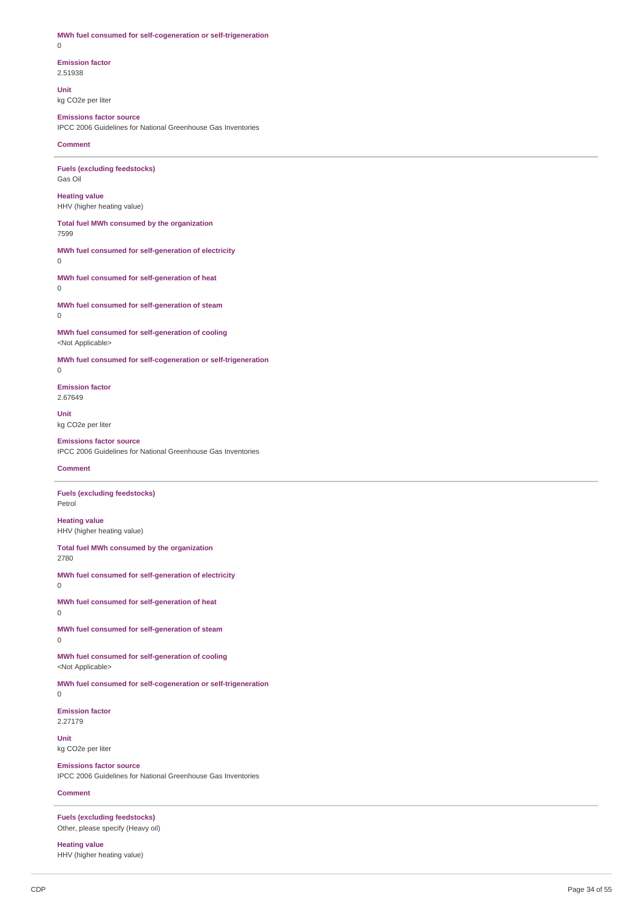**MWh fuel consumed for self-cogeneration or self-trigeneration** 0

**Emission factor** 2.51938

**Unit** kg CO2e per liter

# **Emissions factor source**

IPCC 2006 Guidelines for National Greenhouse Gas Inventories

**Comment**

**Fuels (excluding feedstocks)** Gas Oil

**Heating value** HHV (higher heating value)

**Total fuel MWh consumed by the organization** 7599

**MWh fuel consumed for self-generation of electricity**  $\Omega$ 

**MWh fuel consumed for self-generation of heat** 0

**MWh fuel consumed for self-generation of steam** 0

**MWh fuel consumed for self-generation of cooling** <Not Applicable>

**MWh fuel consumed for self-cogeneration or self-trigeneration**

0

**Emission factor** 2.67649

**Unit** kg CO2e per liter

# **Emissions factor source**

IPCC 2006 Guidelines for National Greenhouse Gas Inventories

## **Comment**

**Fuels (excluding feedstocks)** Petrol

**Heating value** HHV (higher heating value)

**Total fuel MWh consumed by the organization** 2780

**MWh fuel consumed for self-generation of electricity** 0

**MWh fuel consumed for self-generation of heat** 0

**MWh fuel consumed for self-generation of steam** 0

**MWh fuel consumed for self-generation of cooling** <Not Applicable>

**MWh fuel consumed for self-cogeneration or self-trigeneration** 0

**Emission factor** 2.27179

**Unit** kg CO2e per liter

**Emissions factor source** IPCC 2006 Guidelines for National Greenhouse Gas Inventories

## **Comment**

**Fuels (excluding feedstocks)** Other, please specify (Heavy oil)

**Heating value** HHV (higher heating value)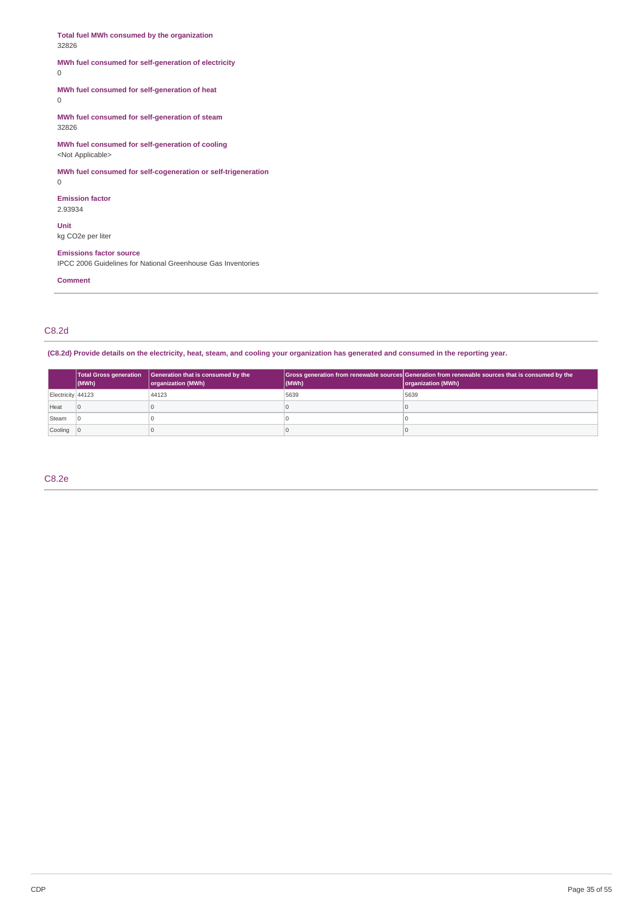**Total fuel MWh consumed by the organization** 32826 **MWh fuel consumed for self-generation of electricity** 0 **MWh fuel consumed for self-generation of heat** 0 **MWh fuel consumed for self-generation of steam** 32826 **MWh fuel consumed for self-generation of cooling** <Not Applicable> **MWh fuel consumed for self-cogeneration or self-trigeneration** 0 **Emission factor** 2.93934 **Unit** kg CO2e per liter **Emissions factor source** IPCC 2006 Guidelines for National Greenhouse Gas Inventories

**Comment**

C8.2d

(C8.2d) Provide details on the electricity, heat, steam, and cooling your organization has generated and consumed in the reporting year.

|                   | (MWh) | Total Gross generation   Generation that is consumed by the<br>organization (MWh) | (MWh) | Gross generation from renewable sources Generation from renewable sources that is consumed by the<br>organization (MWh) |
|-------------------|-------|-----------------------------------------------------------------------------------|-------|-------------------------------------------------------------------------------------------------------------------------|
| Electricity 44123 |       | 44123                                                                             | 5639  | 5639                                                                                                                    |
| Heat              |       |                                                                                   |       |                                                                                                                         |
| Steam             |       |                                                                                   |       |                                                                                                                         |
| Cooling 0         |       |                                                                                   |       |                                                                                                                         |

C8.2e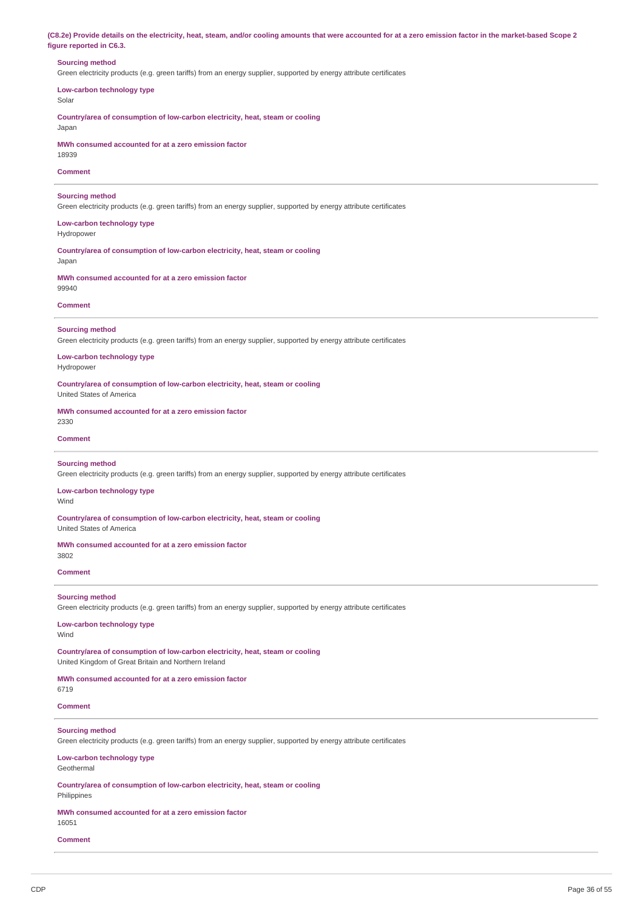(C8.2e) Provide details on the electricity, heat, steam, and/or cooling amounts that were accounted for at a zero emission factor in the market-based Scope 2 **figure reported in C6.3.**

## **Sourcing method**

Green electricity products (e.g. green tariffs) from an energy supplier, supported by energy attribute certificates

**Low-carbon technology type**

Solar

**Country/area of consumption of low-carbon electricity, heat, steam or cooling** Japan

**MWh consumed accounted for at a zero emission factor** 18939

## **Comment**

#### **Sourcing method**

Green electricity products (e.g. green tariffs) from an energy supplier, supported by energy attribute certificates

**Low-carbon technology type** Hydropower

**Country/area of consumption of low-carbon electricity, heat, steam or cooling** Japan

**MWh consumed accounted for at a zero emission factor** 99940

#### **Comment**

## **Sourcing method**

Green electricity products (e.g. green tariffs) from an energy supplier, supported by energy attribute certificates

#### **Low-carbon technology type** Hydropower

**Country/area of consumption of low-carbon electricity, heat, steam or cooling** United States of America

**MWh consumed accounted for at a zero emission factor**

#### **Comment**

2330

#### **Sourcing method**

Green electricity products (e.g. green tariffs) from an energy supplier, supported by energy attribute certificates

## **Low-carbon technology type**

Wind

**Country/area of consumption of low-carbon electricity, heat, steam or cooling** United States of America

## **MWh consumed accounted for at a zero emission factor**

3802

## **Comment**

## **Sourcing method**

Green electricity products (e.g. green tariffs) from an energy supplier, supported by energy attribute certificates

#### **Low-carbon technology type** Wind

**Country/area of consumption of low-carbon electricity, heat, steam or cooling** United Kingdom of Great Britain and Northern Ireland

#### **MWh consumed accounted for at a zero emission factor** 6719

**Comment**

## **Sourcing method**

Green electricity products (e.g. green tariffs) from an energy supplier, supported by energy attribute certificates

#### **Low-carbon technology type** Geothermal

**Country/area of consumption of low-carbon electricity, heat, steam or cooling** Philippines

## **MWh consumed accounted for at a zero emission factor**

16051

## **Comment**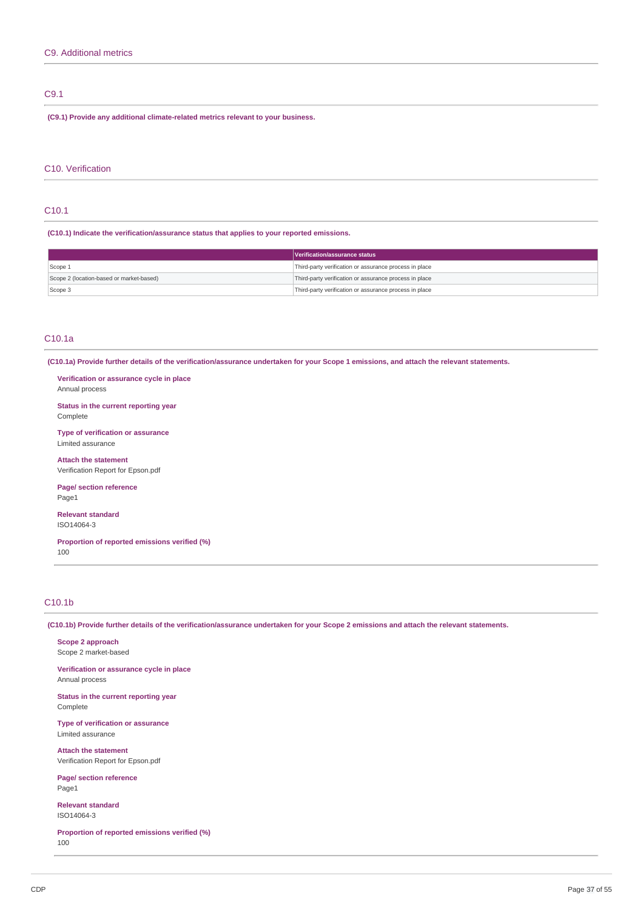## C9.1

**(C9.1) Provide any additional climate-related metrics relevant to your business.**

## C10. Verification

# C10.1

**(C10.1) Indicate the verification/assurance status that applies to your reported emissions.**

|                                          | Verification/assurance status                          |
|------------------------------------------|--------------------------------------------------------|
| Scope 1                                  | Third-party verification or assurance process in place |
| Scope 2 (location-based or market-based) | Third-party verification or assurance process in place |
| Scope 3                                  | Third-party verification or assurance process in place |

## C10.1a

(C10.1a) Provide further details of the verification/assurance undertaken for your Scope 1 emissions, and attach the relevant statements.

**Verification or assurance cycle in place** Annual process

**Status in the current reporting year** Complete

**Type of verification or assurance** Limited assurance

**Attach the statement** Verification Report for Epson.pdf

**Page/ section reference** Page1

**Relevant standard** ISO14064-3

**Proportion of reported emissions verified (%)** 100

# C10.1b

(C10.1b) Provide further details of the verification/assurance undertaken for your Scope 2 emissions and attach the relevant statements.

**Scope 2 approach** Scope 2 market-based

**Verification or assurance cycle in place** Annual process

**Status in the current reporting year** Complete

**Type of verification or assurance** Limited assurance

**Attach the statement** Verification Report for Epson.pdf

**Page/ section reference** Page1

**Relevant standard** ISO14064-3

**Proportion of reported emissions verified (%)** 100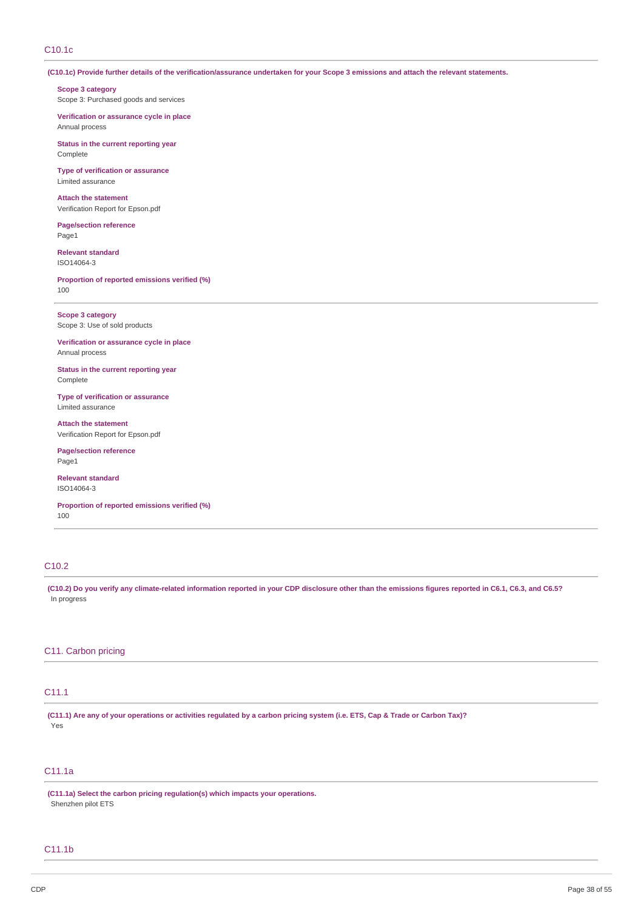# C10.1c

(C10.1c) Provide further details of the verification/assurance undertaken for your Scope 3 emissions and attach the relevant statements.

**Scope 3 category** Scope 3: Purchased goods and services

**Verification or assurance cycle in place** Annual process

**Status in the current reporting year** Complete

**Type of verification or assurance** Limited assurance

**Attach the statement** Verification Report for Epson.pdf

**Page/section reference** Page1

**Relevant standard** ISO14064-3

**Proportion of reported emissions verified (%)** 100

**Scope 3 category** Scope 3: Use of sold products

**Verification or assurance cycle in place** Annual process

**Status in the current reporting year** Complete

**Type of verification or assurance** Limited assurance

**Attach the statement** Verification Report for Epson.pdf

**Page/section reference** Page1

**Relevant standard** ISO14064-3

**Proportion of reported emissions verified (%)** 100

# C10.2

(C10.2) Do you verify any climate-related information reported in your CDP disclosure other than the emissions figures reported in C6.1, C6.3, and C6.5? In progress

## C11. Carbon pricing

# C11.1

(C11.1) Are any of your operations or activities regulated by a carbon pricing system (i.e. ETS, Cap & Trade or Carbon Tax)? Yes

# C11.1a

**(C11.1a) Select the carbon pricing regulation(s) which impacts your operations.** Shenzhen pilot ETS

## C11.1b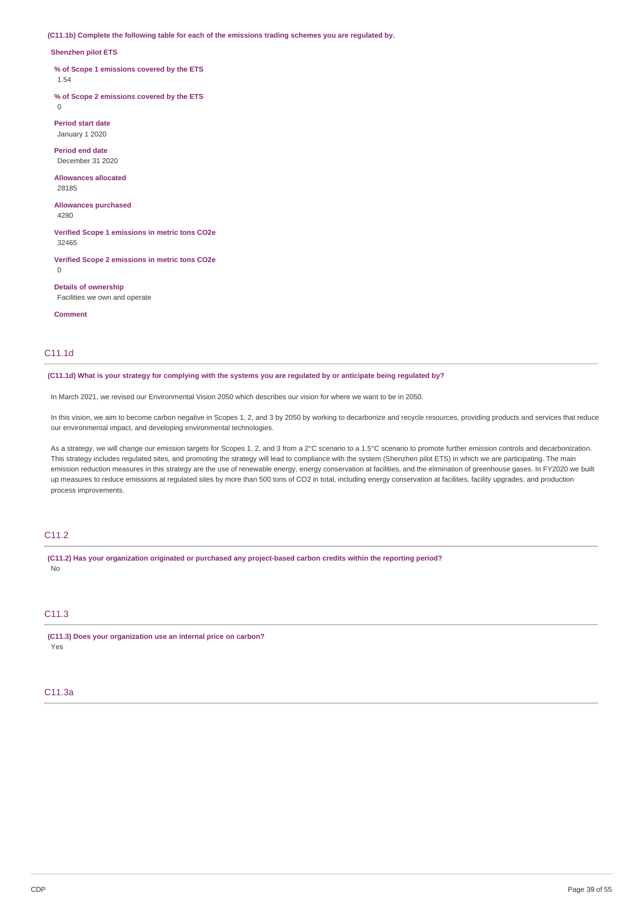**(C11.1b) Complete the following table for each of the emissions trading schemes you are regulated by.**

#### **Shenzhen pilot ETS**

**% of Scope 1 emissions covered by the ETS**

1.54

**% of Scope 2 emissions covered by the ETS**  $\Omega$ 

**Period start date** January 1 2020

**Period end date** December 31 2020

**Allowances allocated** 28185

**Allowances purchased** 4280

**Verified Scope 1 emissions in metric tons CO2e**

32465

**Verified Scope 2 emissions in metric tons CO2e** 0

**Details of ownership** Facilities we own and operate

**Comment**

## C11.1d

(C11.1d) What is your strategy for complying with the systems you are regulated by or anticipate being regulated by?

In March 2021, we revised our Environmental Vision 2050 which describes our vision for where we want to be in 2050.

In this vision, we aim to become carbon negative in Scopes 1, 2, and 3 by 2050 by working to decarbonize and recycle resources, providing products and services that reduce our environmental impact, and developing environmental technologies.

As a strategy, we will change our emission targets for Scopes 1, 2, and 3 from a 2°C scenario to a 1.5°C scenario to promote further emission controls and decarbonization. This strategy includes regulated sites, and promoting the strategy will lead to compliance with the system (Shenzhen pilot ETS) in which we are participating. The main emission reduction measures in this strategy are the use of renewable energy, energy conservation at facilities, and the elimination of greenhouse gases. In FY2020 we built up measures to reduce emissions at regulated sites by more than 500 tons of CO2 in total, including energy conservation at facilities, facility upgrades, and production process improvements.

## C<sub>11.2</sub>

**(C11.2) Has your organization originated or purchased any project-based carbon credits within the reporting period?** No

## C<sub>11.3</sub>

**(C11.3) Does your organization use an internal price on carbon?** Yes

## C11.3a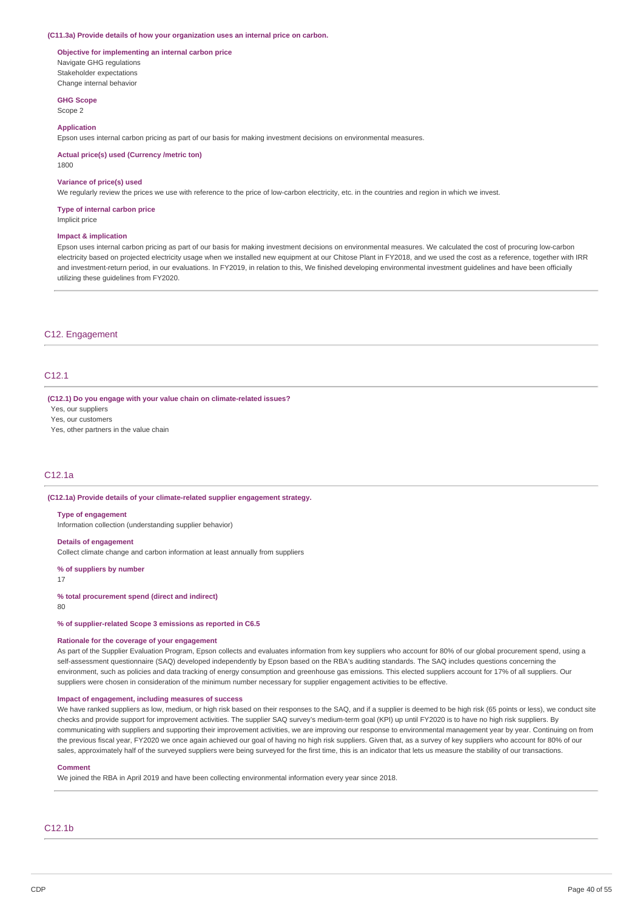#### **(C11.3a) Provide details of how your organization uses an internal price on carbon.**

#### **Objective for implementing an internal carbon price** Navigate GHG regulations Stakeholder expectations Change internal behavior

**GHG Scope**

Scope 2

#### **Application**

Epson uses internal carbon pricing as part of our basis for making investment decisions on environmental measures.

**Actual price(s) used (Currency /metric ton)**

1800

## **Variance of price(s) used**

We regularly review the prices we use with reference to the price of low-carbon electricity, etc. in the countries and region in which we invest.

## **Type of internal carbon price**

Implicit price

## **Impact & implication**

Epson uses internal carbon pricing as part of our basis for making investment decisions on environmental measures. We calculated the cost of procuring low-carbon electricity based on projected electricity usage when we installed new equipment at our Chitose Plant in FY2018, and we used the cost as a reference, together with IRR and investment-return period, in our evaluations. In FY2019, in relation to this, We finished developing environmental investment guidelines and have been officially utilizing these guidelines from FY2020.

## C12. Engagement

## C12.1

**(C12.1) Do you engage with your value chain on climate-related issues?**

Yes, our suppliers

Yes, our customers

Yes, other partners in the value chain

## C12.1a

## **(C12.1a) Provide details of your climate-related supplier engagement strategy.**

#### **Type of engagement**

Information collection (understanding supplier behavior)

#### **Details of engagement**

Collect climate change and carbon information at least annually from suppliers

#### **% of suppliers by number**

17

## **% total procurement spend (direct and indirect)**

80

**% of supplier-related Scope 3 emissions as reported in C6.5**

## **Rationale for the coverage of your engagement**

As part of the Supplier Evaluation Program, Epson collects and evaluates information from key suppliers who account for 80% of our global procurement spend, using a self-assessment questionnaire (SAQ) developed independently by Epson based on the RBA's auditing standards. The SAQ includes questions concerning the environment, such as policies and data tracking of energy consumption and greenhouse gas emissions. This elected suppliers account for 17% of all suppliers. Our suppliers were chosen in consideration of the minimum number necessary for supplier engagement activities to be effective.

### **Impact of engagement, including measures of success**

We have ranked suppliers as low, medium, or high risk based on their responses to the SAQ, and if a supplier is deemed to be high risk (65 points or less), we conduct site checks and provide support for improvement activities. The supplier SAQ survey's medium-term goal (KPI) up until FY2020 is to have no high risk suppliers. By communicating with suppliers and supporting their improvement activities, we are improving our response to environmental management year by year. Continuing on from the previous fiscal year, FY2020 we once again achieved our goal of having no high risk suppliers. Given that, as a survey of key suppliers who account for 80% of our sales, approximately half of the surveyed suppliers were being surveyed for the first time, this is an indicator that lets us measure the stability of our transactions.

#### **Comment**

We joined the RBA in April 2019 and have been collecting environmental information every year since 2018.

# C12.1b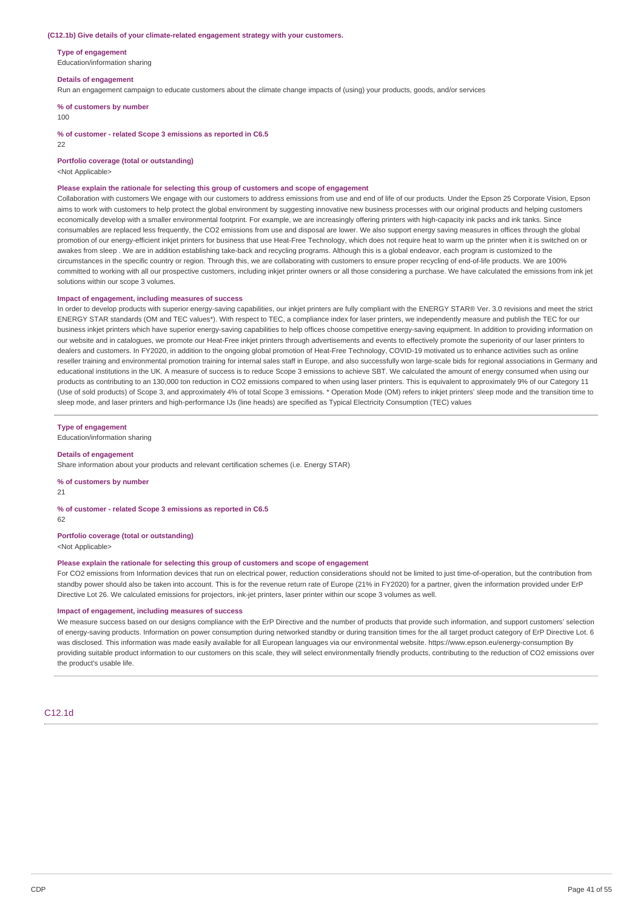#### **(C12.1b) Give details of your climate-related engagement strategy with your customers.**

**Type of engagement**

Education/information sharing

#### **Details of engagement**

Run an engagement campaign to educate customers about the climate change impacts of (using) your products, goods, and/or services

**% of customers by number**

#### 100

**% of customer - related Scope 3 emissions as reported in C6.5**

 $22$ 

**Portfolio coverage (total or outstanding)**

<Not Applicable>

#### **Please explain the rationale for selecting this group of customers and scope of engagement**

Collaboration with customers We engage with our customers to address emissions from use and end of life of our products. Under the Epson 25 Corporate Vision, Epson aims to work with customers to help protect the global environment by suggesting innovative new business processes with our original products and helping customers economically develop with a smaller environmental footprint. For example, we are increasingly offering printers with high-capacity ink packs and ink tanks. Since consumables are replaced less frequently, the CO2 emissions from use and disposal are lower. We also support energy saving measures in offices through the global promotion of our energy-efficient inkjet printers for business that use Heat-Free Technology, which does not require heat to warm up the printer when it is switched on or awakes from sleep . We are in addition establishing take-back and recycling programs. Although this is a global endeavor, each program is customized to the circumstances in the specific country or region. Through this, we are collaborating with customers to ensure proper recycling of end-of-life products. We are 100% committed to working with all our prospective customers, including inkjet printer owners or all those considering a purchase. We have calculated the emissions from ink jet solutions within our scope 3 volumes.

#### **Impact of engagement, including measures of success**

In order to develop products with superior energy-saving capabilities, our inkjet printers are fully compliant with the ENERGY STAR® Ver. 3.0 revisions and meet the strict ENERGY STAR standards (OM and TEC values\*). With respect to TEC, a compliance index for laser printers, we independently measure and publish the TEC for our business inkjet printers which have superior energy-saving capabilities to help offices choose competitive energy-saving equipment. In addition to providing information on our website and in catalogues, we promote our Heat-Free inkjet printers through advertisements and events to effectively promote the superiority of our laser printers to dealers and customers. In FY2020, in addition to the ongoing global promotion of Heat-Free Technology, COVID-19 motivated us to enhance activities such as online reseller training and environmental promotion training for internal sales staff in Europe, and also successfully won large-scale bids for regional associations in Germany and educational institutions in the UK. A measure of success is to reduce Scope 3 emissions to achieve SBT. We calculated the amount of energy consumed when using our products as contributing to an 130,000 ton reduction in CO2 emissions compared to when using laser printers. This is equivalent to approximately 9% of our Category 11 (Use of sold products) of Scope 3, and approximately 4% of total Scope 3 emissions. \* Operation Mode (OM) refers to inkjet printers' sleep mode and the transition time to sleep mode, and laser printers and high-performance IJs (line heads) are specified as Typical Electricity Consumption (TEC) values

#### **Type of engagement**

Education/information sharing

#### **Details of engagement**

Share information about your products and relevant certification schemes (i.e. Energy STAR)

**% of customers by number**

 $21$ 

### **% of customer - related Scope 3 emissions as reported in C6.5**

62

## **Portfolio coverage (total or outstanding)**

<Not Applicable>

## **Please explain the rationale for selecting this group of customers and scope of engagement**

For CO2 emissions from Information devices that run on electrical power, reduction considerations should not be limited to just time-of-operation, but the contribution from standby power should also be taken into account. This is for the revenue return rate of Europe (21% in FY2020) for a partner, given the information provided under ErP Directive Lot 26. We calculated emissions for projectors, ink-jet printers, laser printer within our scope 3 volumes as well.

## **Impact of engagement, including measures of success**

We measure success based on our designs compliance with the ErP Directive and the number of products that provide such information, and support customers' selection of energy-saving products. Information on power consumption during networked standby or during transition times for the all target product category of ErP Directive Lot. 6 was disclosed. This information was made easily available for all European languages via our environmental website. https://www.epson.eu/energy-consumption By providing suitable product information to our customers on this scale, they will select environmentally friendly products, contributing to the reduction of CO2 emissions over the product's usable life.

## C12.1d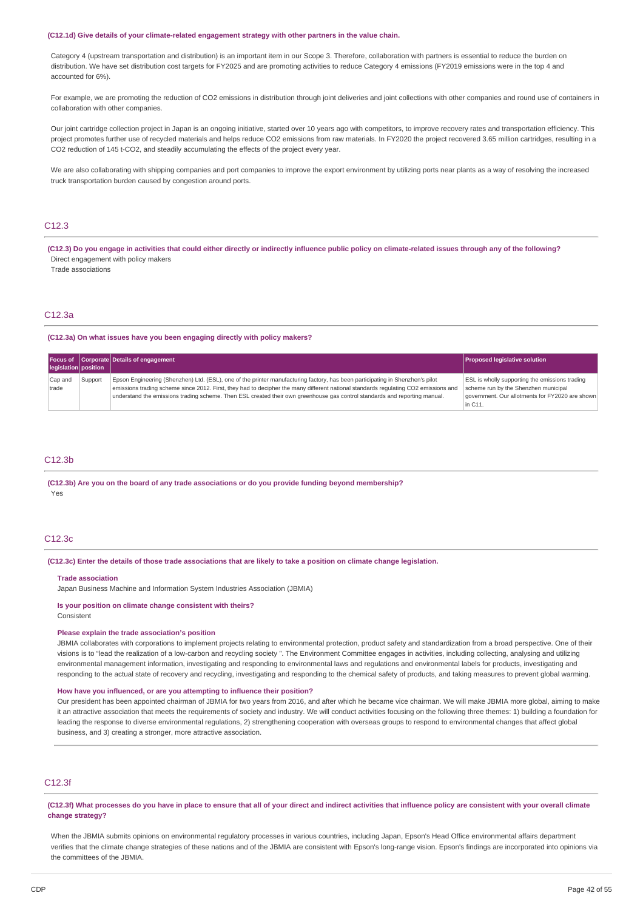#### **(C12.1d) Give details of your climate-related engagement strategy with other partners in the value chain.**

Category 4 (upstream transportation and distribution) is an important item in our Scope 3. Therefore, collaboration with partners is essential to reduce the burden on distribution. We have set distribution cost targets for FY2025 and are promoting activities to reduce Category 4 emissions (FY2019 emissions were in the top 4 and accounted for 6%).

For example, we are promoting the reduction of CO2 emissions in distribution through joint deliveries and joint collections with other companies and round use of containers in collaboration with other companies.

Our joint cartridge collection project in Japan is an ongoing initiative, started over 10 years ago with competitors, to improve recovery rates and transportation efficiency. This project promotes further use of recycled materials and helps reduce CO2 emissions from raw materials. In FY2020 the project recovered 3.65 million cartridges, resulting in a CO2 reduction of 145 t-CO2, and steadily accumulating the effects of the project every year.

We are also collaborating with shipping companies and port companies to improve the export environment by utilizing ports near plants as a way of resolving the increased truck transportation burden caused by congestion around ports.

## $C12.3$

(C12.3) Do you engage in activities that could either directly or indirectly influence public policy on climate-related issues through any of the following? Direct engagement with policy makers

Trade associations

# C12.3a

**(C12.3a) On what issues have you been engaging directly with policy makers?**

|                      |         | Focus of Corporate Details of engagement                                                                                                                                                                                                                                                                                                                                                           | <b>Proposed legislative solution</b>                                                                                                                        |
|----------------------|---------|----------------------------------------------------------------------------------------------------------------------------------------------------------------------------------------------------------------------------------------------------------------------------------------------------------------------------------------------------------------------------------------------------|-------------------------------------------------------------------------------------------------------------------------------------------------------------|
| legislation position |         |                                                                                                                                                                                                                                                                                                                                                                                                    |                                                                                                                                                             |
| Cap and<br>trade     | Support | Epson Engineering (Shenzhen) Ltd. (ESL), one of the printer manufacturing factory, has been participating in Shenzhen's pilot<br>emissions trading scheme since 2012. First, they had to decipher the many different national standards regulating CO2 emissions and<br>understand the emissions trading scheme. Then ESL created their own greenhouse gas control standards and reporting manual. | <b>ESL</b> is wholly supporting the emissions trading<br>scheme run by the Shenzhen municipal<br>government. Our allotments for FY2020 are shown<br>in C11. |

#### C12.3b

## **(C12.3b) Are you on the board of any trade associations or do you provide funding beyond membership?** Yes

## C12.3c

(C12.3c) Enter the details of those trade associations that are likely to take a position on climate change legislation.

#### **Trade association**

Japan Business Machine and Information System Industries Association (JBMIA)

#### **Is your position on climate change consistent with theirs?**

Consistent

#### **Please explain the trade association's position**

JBMIA collaborates with corporations to implement projects relating to environmental protection, product safety and standardization from a broad perspective. One of their visions is to "lead the realization of a low-carbon and recycling society ". The Environment Committee engages in activities, including collecting, analysing and utilizing environmental management information, investigating and responding to environmental laws and regulations and environmental labels for products, investigating and responding to the actual state of recovery and recycling, investigating and responding to the chemical safety of products, and taking measures to prevent global warming.

## **How have you influenced, or are you attempting to influence their position?**

Our president has been appointed chairman of JBMIA for two years from 2016, and after which he became vice chairman. We will make JBMIA more global, aiming to make it an attractive association that meets the requirements of society and industry. We will conduct activities focusing on the following three themes: 1) building a foundation for leading the response to diverse environmental regulations, 2) strengthening cooperation with overseas groups to respond to environmental changes that affect global business, and 3) creating a stronger, more attractive association.

## C12.3f

(C12.3f) What processes do you have in place to ensure that all of your direct and indirect activities that influence policy are consistent with your overall climate **change strategy?**

When the JBMIA submits opinions on environmental regulatory processes in various countries, including Japan, Epson's Head Office environmental affairs department verifies that the climate change strategies of these nations and of the JBMIA are consistent with Epson's long-range vision. Epson's findings are incorporated into opinions via the committees of the JBMIA.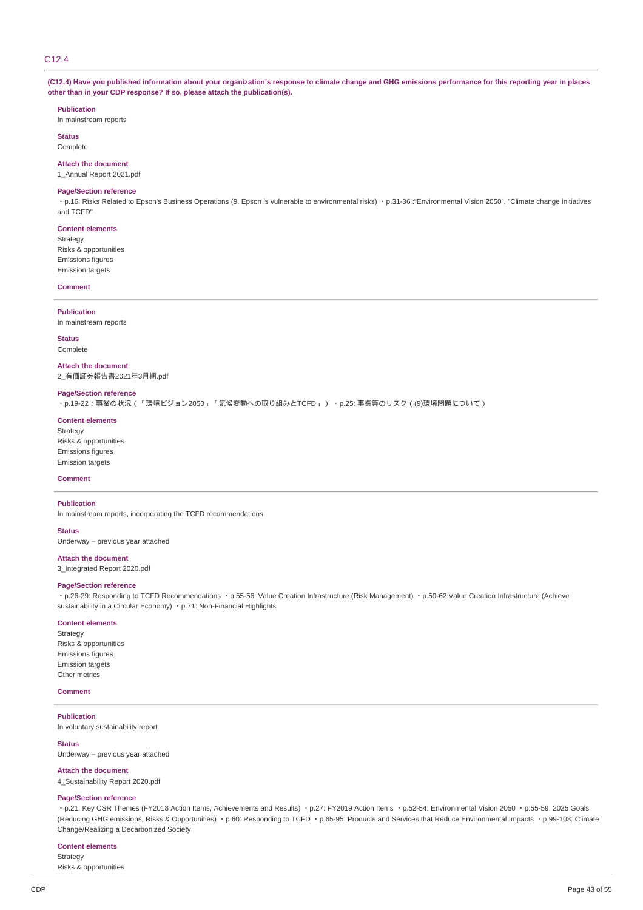# C<sub>12</sub> 4

(C12.4) Have you published information about your organization's response to climate change and GHG emissions performance for this reporting year in places **other than in your CDP response? If so, please attach the publication(s).**

#### **Publication**

In mainstream reports

**Status Complete** 

### **Attach the document**

1\_Annual Report 2021.pdf

#### **Page/Section reference**

・p.16: Risks Related to Epson's Business Operations (9. Epson is vulnerable to environmental risks) ・p.31-36 :"Environmental Vision 2050", "Climate change initiatives and TCFD"

# **Content elements** Strategy Risks & opportunities

Emissions figures Emission targets

#### **Comment**

#### **Publication**

In mainstream reports

**Status** Complete

**Attach the document** 2\_有価証券報告書2021年3月期.pdf

#### **Page/Section reference**

・p.19-22:事業の状況(「環境ビジョン2050」「気候変動への取り組みとTCFD」) ・p.25: 事業等のリスク((9)環境問題について)

#### **Content elements**

Strategy Risks & opportunities Emissions figures Emission targets

## **Comment**

## **Publication**

In mainstream reports, incorporating the TCFD recommendations

#### **Status**

Underway – previous year attached

#### **Attach the document**

3\_Integrated Report 2020.pdf

## **Page/Section reference**

・p.26-29: Responding to TCFD Recommendations ・p.55-56: Value Creation Infrastructure (Risk Management) ・p.59-62:Value Creation Infrastructure (Achieve sustainability in a Circular Economy) · p.71: Non-Financial Highlights

#### **Content elements**

Strategy Risks & opportunities Emissions figures Emission targets Other metrics

## **Comment**

**Publication** In voluntary sustainability report

# **Status**

Underway – previous year attached

#### **Attach the document**

4\_Sustainability Report 2020.pdf

## **Page/Section reference**

・p.21: Key CSR Themes (FY2018 Action Items, Achievements and Results) ・p.27: FY2019 Action Items ・p.52-54: Environmental Vision 2050 ・p.55-59: 2025 Goals (Reducing GHG emissions, Risks & Opportunities) ・p.60: Responding to TCFD ・p.65-95: Products and Services that Reduce Environmental Impacts ・p.99-103: Climate Change/Realizing a Decarbonized Society

## **Content elements**

Strategy Risks & opportunities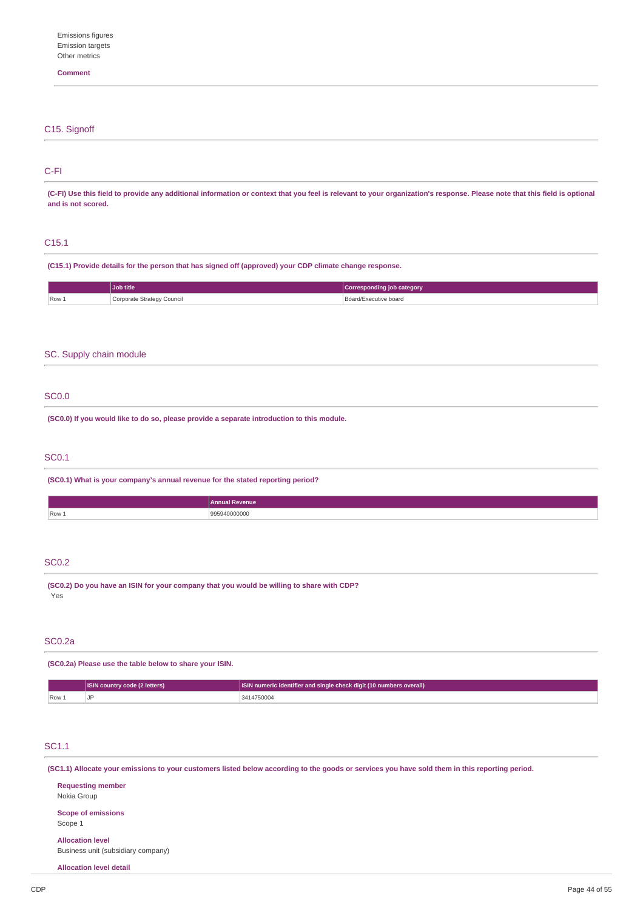## **Comment**

| C <sub>15</sub> . Signoff |  |  |  |
|---------------------------|--|--|--|
|                           |  |  |  |
|                           |  |  |  |

## C-FI

(C-FI) Use this field to provide any additional information or context that you feel is relevant to your organization's response. Please note that this field is optional **and is not scored.**

## C15.1

**(C15.1) Provide details for the person that has signed off (approved) your CDP climate change response.**

|       | <b>Job title</b>           | Corresponding job category |
|-------|----------------------------|----------------------------|
| Row 1 | Corporate Strategy Council | Board/Executive board<br>. |

## SC. Supply chain module

## SC0.0

**(SC0.0) If you would like to do so, please provide a separate introduction to this module.**

## SC0.1

**(SC0.1) What is your company's annual revenue for the stated reporting period?**

|                           | Annual Revenue |
|---------------------------|----------------|
| $\sqrt{2}$ Row $\sqrt{2}$ | ,,,,,<br>.     |
|                           |                |

# SC0.2

**(SC0.2) Do you have an ISIN for your company that you would be willing to share with CDP?** Yes

## SC0.2a

**(SC0.2a) Please use the table below to share your ISIN.**

|      | <b>ISIN country code (2 letters)</b> | <b>ISIN numeric identifier and single check digit (10 numbers overall)</b> |
|------|--------------------------------------|----------------------------------------------------------------------------|
| Row. |                                      | 3414750004                                                                 |

# SC1.1

(SC1.1) Allocate your emissions to your customers listed below according to the goods or services you have sold them in this reporting period.

| <b>Requesting member</b><br>Nokia Group                       |
|---------------------------------------------------------------|
| <b>Scope of emissions</b><br>Scope 1                          |
| <b>Allocation level</b><br>Business unit (subsidiary company) |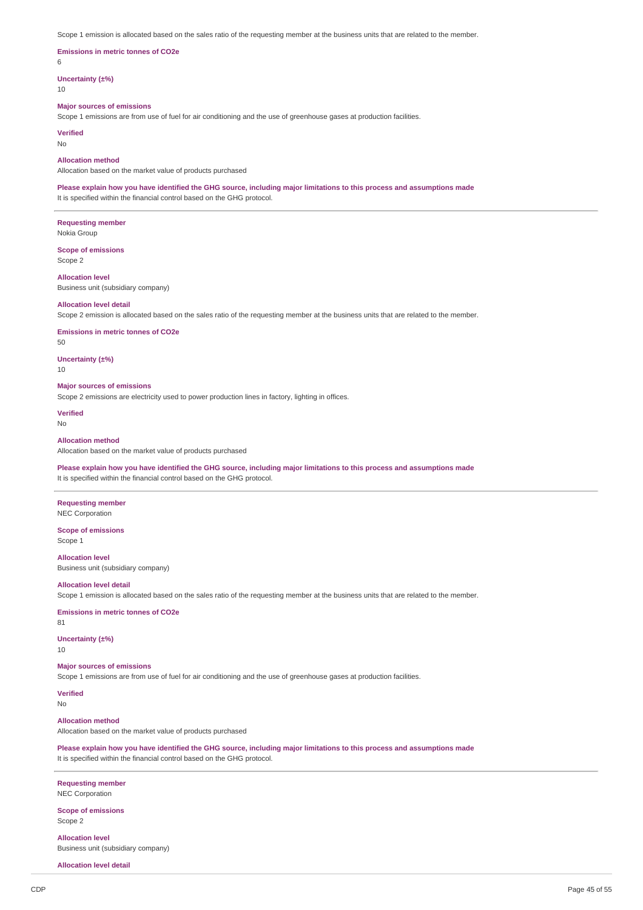Scope 1 emission is allocated based on the sales ratio of the requesting member at the business units that are related to the member.

## **Emissions in metric tonnes of CO2e**

6

**Uncertainty (±%)**

10

#### **Major sources of emissions**

Scope 1 emissions are from use of fuel for air conditioning and the use of greenhouse gases at production facilities.

## **Verified**

No

## **Allocation method**

Allocation based on the market value of products purchased

Please explain how you have identified the GHG source, including major limitations to this process and assumptions made It is specified within the financial control based on the GHG protocol.

**Requesting member** Nokia Group

**Scope of emissions** Scope 2

**Allocation level** Business unit (subsidiary company)

#### **Allocation level detail**

Scope 2 emission is allocated based on the sales ratio of the requesting member at the business units that are related to the member.

**Emissions in metric tonnes of CO2e**

50

# **Uncertainty (±%)**

10

## **Major sources of emissions**

Scope 2 emissions are electricity used to power production lines in factory, lighting in offices.

**Verified**

## No

#### **Allocation method**

Allocation based on the market value of products purchased

Please explain how you have identified the GHG source, including major limitations to this process and assumptions made It is specified within the financial control based on the GHG protocol.

**Requesting member** NEC Corporation

**Scope of emissions** Scope 1

**Allocation level** Business unit (subsidiary company)

## **Allocation level detail**

Scope 1 emission is allocated based on the sales ratio of the requesting member at the business units that are related to the member.

#### **Emissions in metric tonnes of CO2e**

81

## **Uncertainty (±%)**

10

## **Major sources of emissions**

Scope 1 emissions are from use of fuel for air conditioning and the use of greenhouse gases at production facilities.

## **Verified**

No

## **Allocation method**

Allocation based on the market value of products purchased

Please explain how you have identified the GHG source, including major limitations to this process and assumptions made It is specified within the financial control based on the GHG protocol.

#### **Requesting member** NEC Corporation

# **Scope of emissions**

Scope 2

**Allocation level** Business unit (subsidiary company)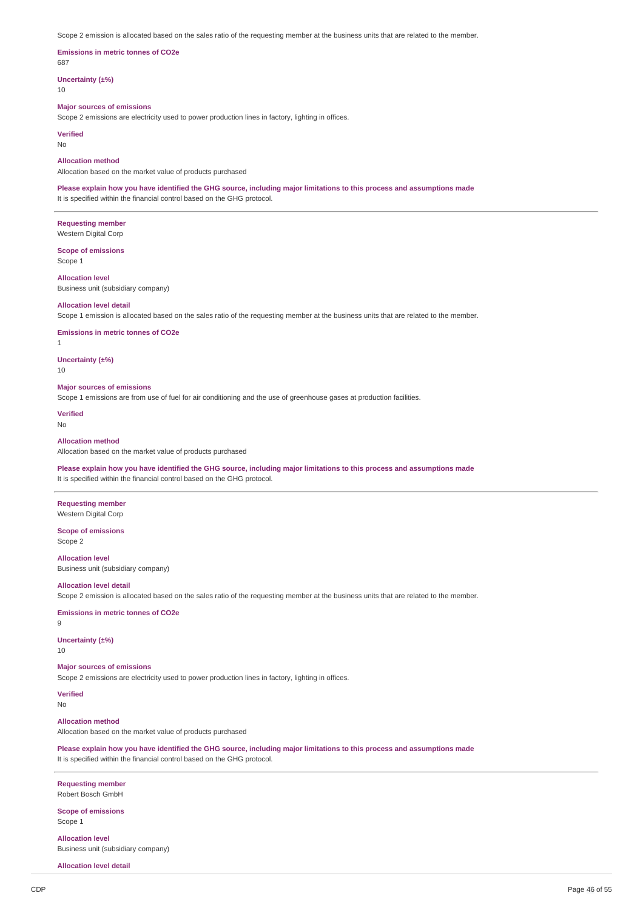Scope 2 emission is allocated based on the sales ratio of the requesting member at the business units that are related to the member.

#### **Emissions in metric tonnes of CO2e** 687

**Uncertainty (±%)**

10

## **Major sources of emissions**

Scope 2 emissions are electricity used to power production lines in factory, lighting in offices.

**Verified**

No

## **Allocation method**

Allocation based on the market value of products purchased

Please explain how you have identified the GHG source, including major limitations to this process and assumptions made It is specified within the financial control based on the GHG protocol.

**Requesting member** Western Digital Corp

**Scope of emissions** Scope 1

**Allocation level** Business unit (subsidiary company)

#### **Allocation level detail**

Scope 1 emission is allocated based on the sales ratio of the requesting member at the business units that are related to the member.

#### **Emissions in metric tonnes of CO2e**

1

**Uncertainty (±%)**

10

#### **Major sources of emissions**

Scope 1 emissions are from use of fuel for air conditioning and the use of greenhouse gases at production facilities.

**Verified**

## No

## **Allocation method**

Allocation based on the market value of products purchased

## Please explain how you have identified the GHG source, including major limitations to this process and assumptions made It is specified within the financial control based on the GHG protocol.

**Requesting member** Western Digital Corp

**Scope of emissions** Scope 2

**Allocation level** Business unit (subsidiary company)

#### **Allocation level detail**

Scope 2 emission is allocated based on the sales ratio of the requesting member at the business units that are related to the member.

## **Emissions in metric tonnes of CO2e**

9

## **Uncertainty (±%)**

10

## **Major sources of emissions**

Scope 2 emissions are electricity used to power production lines in factory, lighting in offices.

## **Verified**

No

## **Allocation method**

Allocation based on the market value of products purchased

Please explain how you have identified the GHG source, including major limitations to this process and assumptions made It is specified within the financial control based on the GHG protocol.

#### **Requesting member** Robert Bosch GmbH

## **Scope of emissions** Scope 1

**Allocation level** Business unit (subsidiary company)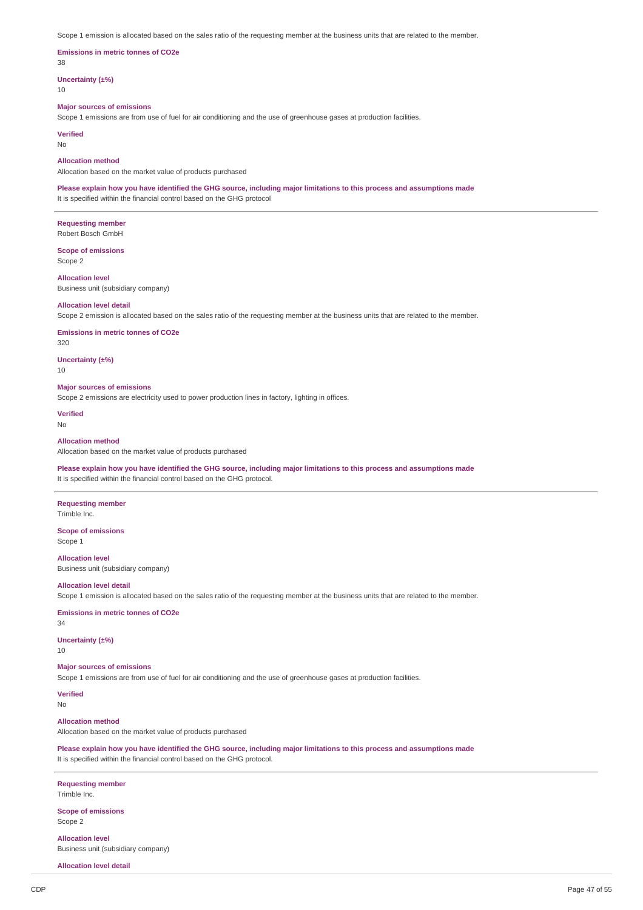Scope 1 emission is allocated based on the sales ratio of the requesting member at the business units that are related to the member.

## **Emissions in metric tonnes of CO2e**

38

## **Uncertainty (±%)**

10

## **Major sources of emissions**

Scope 1 emissions are from use of fuel for air conditioning and the use of greenhouse gases at production facilities.

**Verified**

No

## **Allocation method**

Allocation based on the market value of products purchased

Please explain how you have identified the GHG source, including major limitations to this process and assumptions made It is specified within the financial control based on the GHG protocol

**Requesting member** Robert Bosch GmbH

**Scope of emissions** Scope 2

**Allocation level** Business unit (subsidiary company)

#### **Allocation level detail**

Scope 2 emission is allocated based on the sales ratio of the requesting member at the business units that are related to the member.

**Emissions in metric tonnes of CO2e**

320

**Uncertainty (±%)** 10

## **Major sources of emissions**

Scope 2 emissions are electricity used to power production lines in factory, lighting in offices.

**Verified**

No

## **Allocation method**

Allocation based on the market value of products purchased

Please explain how you have identified the GHG source, including major limitations to this process and assumptions made It is specified within the financial control based on the GHG protocol.

## **Requesting member**

Trimble Inc.

**Scope of emissions** Scope 1

**Allocation level** Business unit (subsidiary company)

#### **Allocation level detail**

Scope 1 emission is allocated based on the sales ratio of the requesting member at the business units that are related to the member.

## **Emissions in metric tonnes of CO2e**

34

## **Uncertainty (±%)**

10

## **Major sources of emissions**

Scope 1 emissions are from use of fuel for air conditioning and the use of greenhouse gases at production facilities.

**Verified**

No

## **Allocation method**

Allocation based on the market value of products purchased

Please explain how you have identified the GHG source, including major limitations to this process and assumptions made It is specified within the financial control based on the GHG protocol.

#### **Requesting member** Trimble Inc.

**Scope of emissions** Scope 2

**Allocation level** Business unit (subsidiary company)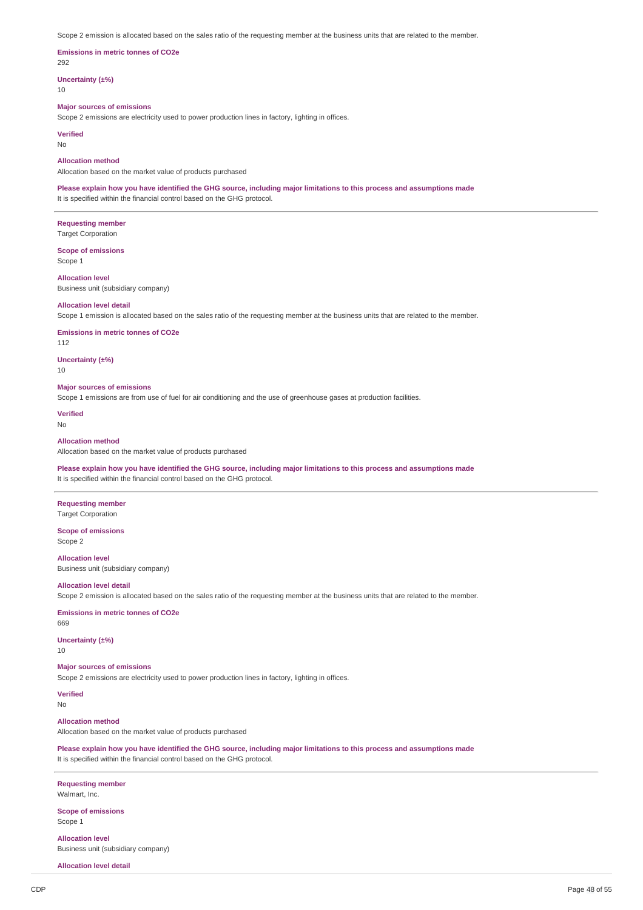Scope 2 emission is allocated based on the sales ratio of the requesting member at the business units that are related to the member.

#### **Emissions in metric tonnes of CO2e** 292

**Uncertainty (±%)**

10

## **Major sources of emissions**

Scope 2 emissions are electricity used to power production lines in factory, lighting in offices.

**Verified**

No

## **Allocation method**

Allocation based on the market value of products purchased

Please explain how you have identified the GHG source, including major limitations to this process and assumptions made It is specified within the financial control based on the GHG protocol.

**Requesting member** Target Corporation

**Scope of emissions** Scope 1

**Allocation level** Business unit (subsidiary company)

#### **Allocation level detail**

Scope 1 emission is allocated based on the sales ratio of the requesting member at the business units that are related to the member.

**Emissions in metric tonnes of CO2e**

112

10

**Uncertainty (±%)**

# **Major sources of emissions**

Scope 1 emissions are from use of fuel for air conditioning and the use of greenhouse gases at production facilities.

**Verified**

No

## **Allocation method**

Allocation based on the market value of products purchased

Please explain how you have identified the GHG source, including major limitations to this process and assumptions made It is specified within the financial control based on the GHG protocol.

**Requesting member** Target Corporation

**Scope of emissions** Scope 2

**Allocation level** Business unit (subsidiary company)

## **Allocation level detail**

Scope 2 emission is allocated based on the sales ratio of the requesting member at the business units that are related to the member.

## **Emissions in metric tonnes of CO2e**

669

## **Uncertainty (±%)**

10

## **Major sources of emissions**

Scope 2 emissions are electricity used to power production lines in factory, lighting in offices.

## **Verified**

No

#### **Allocation method**

Allocation based on the market value of products purchased

Please explain how you have identified the GHG source, including major limitations to this process and assumptions made It is specified within the financial control based on the GHG protocol.

#### **Requesting member** Walmart, Inc.

**Scope of emissions** Scope 1

**Allocation level** Business unit (subsidiary company)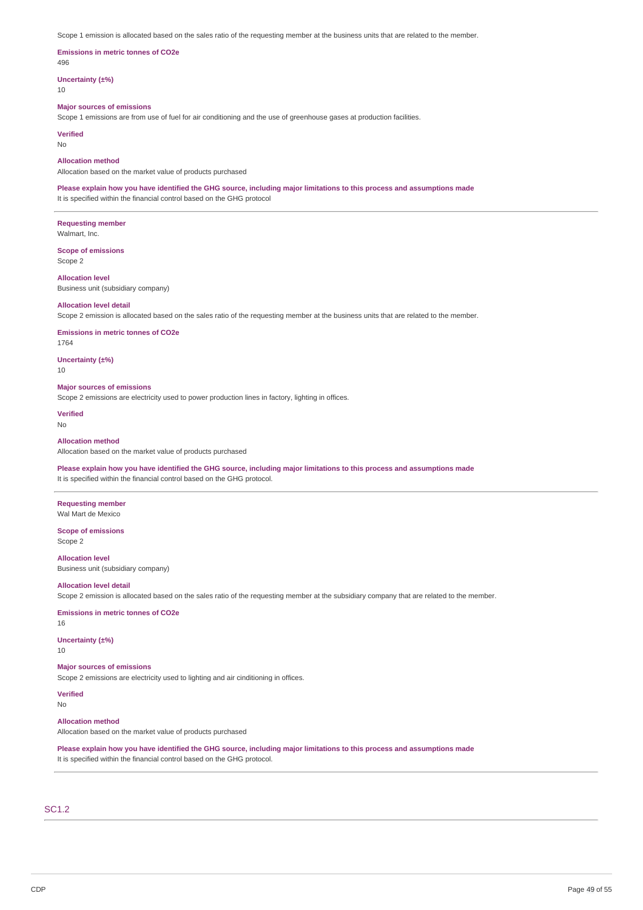Scope 1 emission is allocated based on the sales ratio of the requesting member at the business units that are related to the member.

#### **Emissions in metric tonnes of CO2e**  $196$

**Uncertainty (±%)**

10

## **Major sources of emissions**

Scope 1 emissions are from use of fuel for air conditioning and the use of greenhouse gases at production facilities.

**Verified**

No

## **Allocation method**

Allocation based on the market value of products purchased

Please explain how you have identified the GHG source, including major limitations to this process and assumptions made It is specified within the financial control based on the GHG protocol

**Requesting member** Walmart, Inc.

**Scope of emissions** Scope 2

**Allocation level** Business unit (subsidiary company)

#### **Allocation level detail**

Scope 2 emission is allocated based on the sales ratio of the requesting member at the business units that are related to the member.

**Emissions in metric tonnes of CO2e**

1764

**Uncertainty (±%)** 10

## **Major sources of emissions**

Scope 2 emissions are electricity used to power production lines in factory, lighting in offices.

**Verified**

No

## **Allocation method**

Allocation based on the market value of products purchased

Please explain how you have identified the GHG source, including major limitations to this process and assumptions made It is specified within the financial control based on the GHG protocol.

**Requesting member** Wal Mart de Mexico

**Scope of emissions** Scope 2

**Allocation level** Business unit (subsidiary company)

## **Allocation level detail**

Scope 2 emission is allocated based on the sales ratio of the requesting member at the subsidiary company that are related to the member.

## **Emissions in metric tonnes of CO2e**

16

## **Uncertainty (±%)**

10

## **Major sources of emissions**

Scope 2 emissions are electricity used to lighting and air cinditioning in offices.

## **Verified**

No

## **Allocation method**

Allocation based on the market value of products purchased

Please explain how you have identified the GHG source, including major limitations to this process and assumptions made It is specified within the financial control based on the GHG protocol.

## SC1.2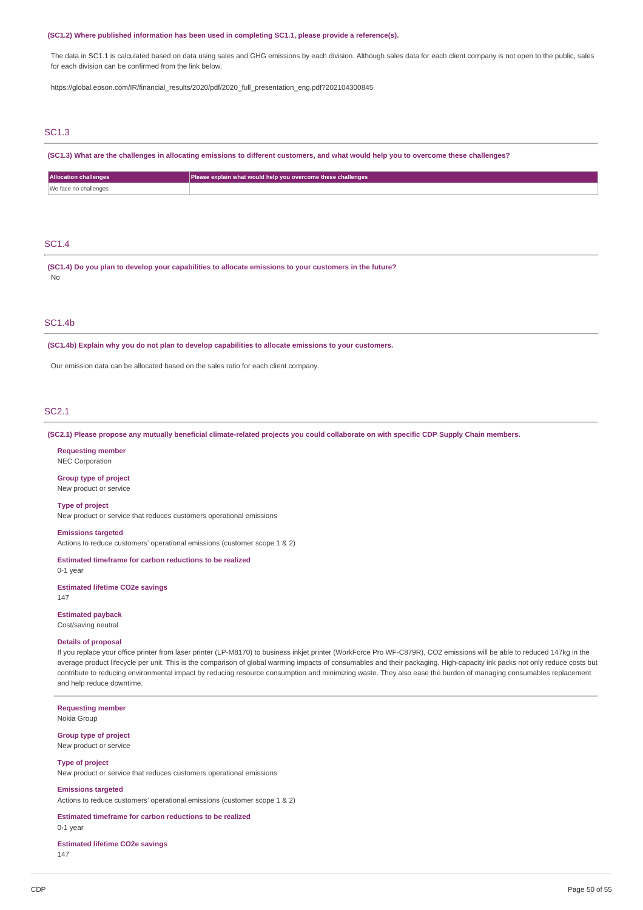#### **(SC1.2) Where published information has been used in completing SC1.1, please provide a reference(s).**

The data in SC1.1 is calculated based on data using sales and GHG emissions by each division. Although sales data for each client company is not open to the public, sales for each division can be confirmed from the link below.

https://global.epson.com/IR/financial\_results/2020/pdf/2020\_full\_presentation\_eng.pdf?202104300845

## SC1.3

(SC1.3) What are the challenges in allocating emissions to different customers, and what would help you to overcome these challenges?

| <b>Allocation challenges</b> | Please explain what would help you overcome these challenges |
|------------------------------|--------------------------------------------------------------|
| We face no challenges        |                                                              |

# SC1.4

**(SC1.4) Do you plan to develop your capabilities to allocate emissions to your customers in the future?** No

## SC1.4b

**(SC1.4b) Explain why you do not plan to develop capabilities to allocate emissions to your customers.**

Our emission data can be allocated based on the sales ratio for each client company.

## SC2.1

(SC2.1) Please propose any mutually beneficial climate-related projects you could collaborate on with specific CDP Supply Chain members.

**Requesting member** NEC Corporation

**Group type of project** New product or service

**Type of project** New product or service that reduces customers operational emissions

**Emissions targeted**

Actions to reduce customers' operational emissions (customer scope 1 & 2)

#### **Estimated timeframe for carbon reductions to be realized**

0-1 year

**Estimated lifetime CO2e savings** 147

**Estimated payback** Cost/saving neutral

#### **Details of proposal**

If you replace your office printer from laser printer (LP-M8170) to business inkjet printer (WorkForce Pro WF-C879R), CO2 emissions will be able to reduced 147kg in the average product lifecycle per unit. This is the comparison of global warming impacts of consumables and their packaging. High-capacity ink packs not only reduce costs but contribute to reducing environmental impact by reducing resource consumption and minimizing waste. They also ease the burden of managing consumables replacement and help reduce downtime.

**Requesting member** Nokia Group

**Group type of project** New product or service

#### **Type of project**

New product or service that reduces customers operational emissions

#### **Emissions targeted**

Actions to reduce customers' operational emissions (customer scope 1 & 2)

#### **Estimated timeframe for carbon reductions to be realized**

0-1 year

**Estimated lifetime CO2e savings** 147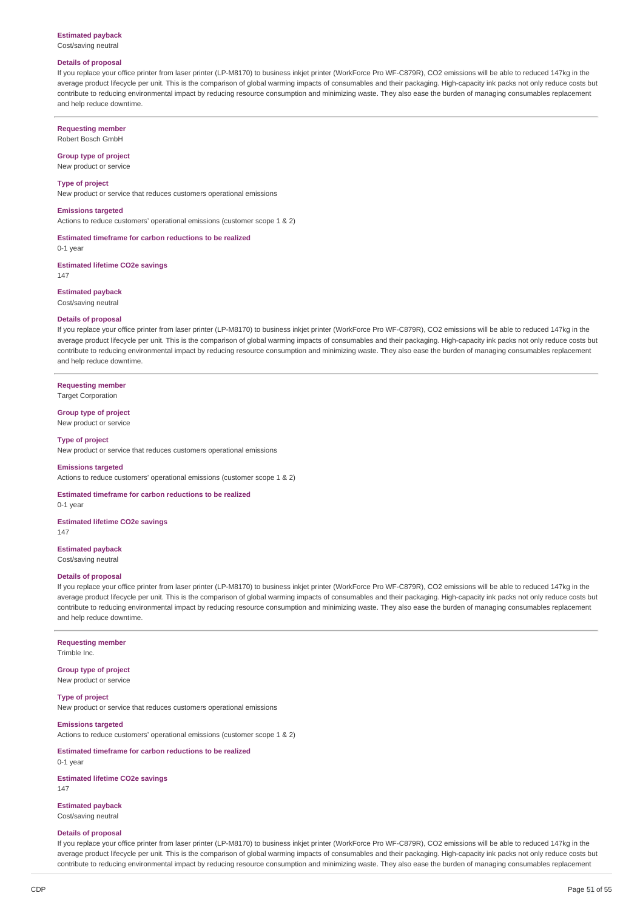#### **Estimated payback**

Cost/saving neutral

## **Details of proposal**

If you replace your office printer from laser printer (LP-M8170) to business inkjet printer (WorkForce Pro WF-C879R), CO2 emissions will be able to reduced 147kg in the average product lifecycle per unit. This is the comparison of global warming impacts of consumables and their packaging. High-capacity ink packs not only reduce costs but contribute to reducing environmental impact by reducing resource consumption and minimizing waste. They also ease the burden of managing consumables replacement and help reduce downtime.

## **Requesting member**

Robert Bosch GmbH

#### **Group type of project** New product or service

**Type of project**

New product or service that reduces customers operational emissions

#### **Emissions targeted**

Actions to reduce customers' operational emissions (customer scope 1 & 2)

**Estimated timeframe for carbon reductions to be realized**  $0-1$  year

**Estimated lifetime CO2e savings** 147

**Estimated payback**

Cost/saving neutral

## **Details of proposal**

If you replace your office printer from laser printer (LP-M8170) to business inkjet printer (WorkForce Pro WF-C879R), CO2 emissions will be able to reduced 147kg in the average product lifecycle per unit. This is the comparison of global warming impacts of consumables and their packaging. High-capacity ink packs not only reduce costs but contribute to reducing environmental impact by reducing resource consumption and minimizing waste. They also ease the burden of managing consumables replacement and help reduce downtime.

## **Requesting member** Target Corporation

#### **Group type of project**

New product or service

## **Type of project**

New product or service that reduces customers operational emissions

#### **Emissions targeted**

Actions to reduce customers' operational emissions (customer scope 1 & 2)

**Estimated timeframe for carbon reductions to be realized** 0-1 year

**Estimated lifetime CO2e savings** 147

**Estimated payback**

Cost/saving neutral

## **Details of proposal**

If you replace your office printer from laser printer (LP-M8170) to business inkjet printer (WorkForce Pro WF-C879R), CO2 emissions will be able to reduced 147kg in the average product lifecycle per unit. This is the comparison of global warming impacts of consumables and their packaging. High-capacity ink packs not only reduce costs but contribute to reducing environmental impact by reducing resource consumption and minimizing waste. They also ease the burden of managing consumables replacement and help reduce downtime.

# **Requesting member**

Trimble Inc.

#### **Group type of project** New product or service

**Type of project** New product or service that reduces customers operational emissions

## **Emissions targeted**

Actions to reduce customers' operational emissions (customer scope 1 & 2)

## **Estimated timeframe for carbon reductions to be realized** 0-1 year

**Estimated lifetime CO2e savings**

147

# **Estimated payback**

Cost/saving neutral

## **Details of proposal**

If you replace your office printer from laser printer (LP-M8170) to business inkjet printer (WorkForce Pro WF-C879R), CO2 emissions will be able to reduced 147kg in the average product lifecycle per unit. This is the comparison of global warming impacts of consumables and their packaging. High-capacity ink packs not only reduce costs but contribute to reducing environmental impact by reducing resource consumption and minimizing waste. They also ease the burden of managing consumables replacement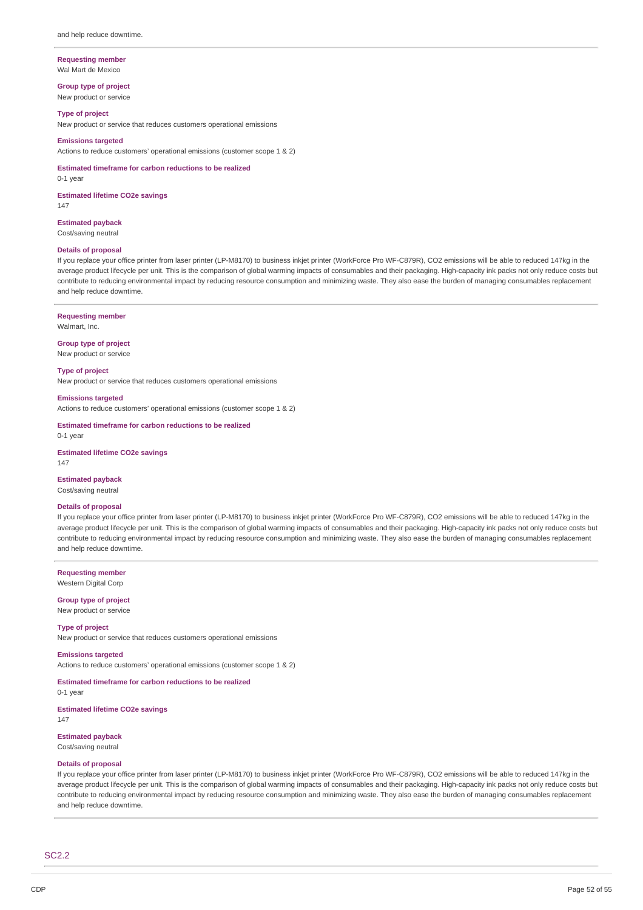#### **Requesting member** Wal Mart de Mexico

**Group type of project** New product or service

#### **Type of project**

New product or service that reduces customers operational emissions

#### **Emissions targeted**

Actions to reduce customers' operational emissions (customer scope 1 & 2)

**Estimated timeframe for carbon reductions to be realized**

0-1 year

**Estimated lifetime CO2e savings** 147

**Estimated payback** Cost/saving neutral

#### **Details of proposal**

If you replace your office printer from laser printer (LP-M8170) to business inkjet printer (WorkForce Pro WF-C879R), CO2 emissions will be able to reduced 147kg in the average product lifecycle per unit. This is the comparison of global warming impacts of consumables and their packaging. High-capacity ink packs not only reduce costs but contribute to reducing environmental impact by reducing resource consumption and minimizing waste. They also ease the burden of managing consumables replacement and help reduce downtime.

## **Requesting member**

Walmart, Inc.

**Group type of project** New product or service

**Type of project** New product or service that reduces customers operational emissions

**Emissions targeted**

Actions to reduce customers' operational emissions (customer scope 1 & 2)

**Estimated timeframe for carbon reductions to be realized** 0-1 year

**Estimated lifetime CO2e savings** 147

## **Estimated payback**

Cost/saving neutral

#### **Details of proposal**

If you replace your office printer from laser printer (LP-M8170) to business inkjet printer (WorkForce Pro WF-C879R), CO2 emissions will be able to reduced 147kg in the average product lifecycle per unit. This is the comparison of global warming impacts of consumables and their packaging. High-capacity ink packs not only reduce costs but contribute to reducing environmental impact by reducing resource consumption and minimizing waste. They also ease the burden of managing consumables replacement and help reduce downtime.

**Requesting member** Western Digital Corp

**Group type of project**

# New product or service

**Type of project** New product or service that reduces customers operational emissions

**Emissions targeted**

Actions to reduce customers' operational emissions (customer scope 1 & 2)

**Estimated timeframe for carbon reductions to be realized**

0-1 year **Estimated lifetime CO2e savings**

147

**Estimated payback** Cost/saving neutral

# **Details of proposal**

If you replace your office printer from laser printer (LP-M8170) to business inkjet printer (WorkForce Pro WF-C879R), CO2 emissions will be able to reduced 147kg in the average product lifecycle per unit. This is the comparison of global warming impacts of consumables and their packaging. High-capacity ink packs not only reduce costs but contribute to reducing environmental impact by reducing resource consumption and minimizing waste. They also ease the burden of managing consumables replacement and help reduce downtime.

SC2.2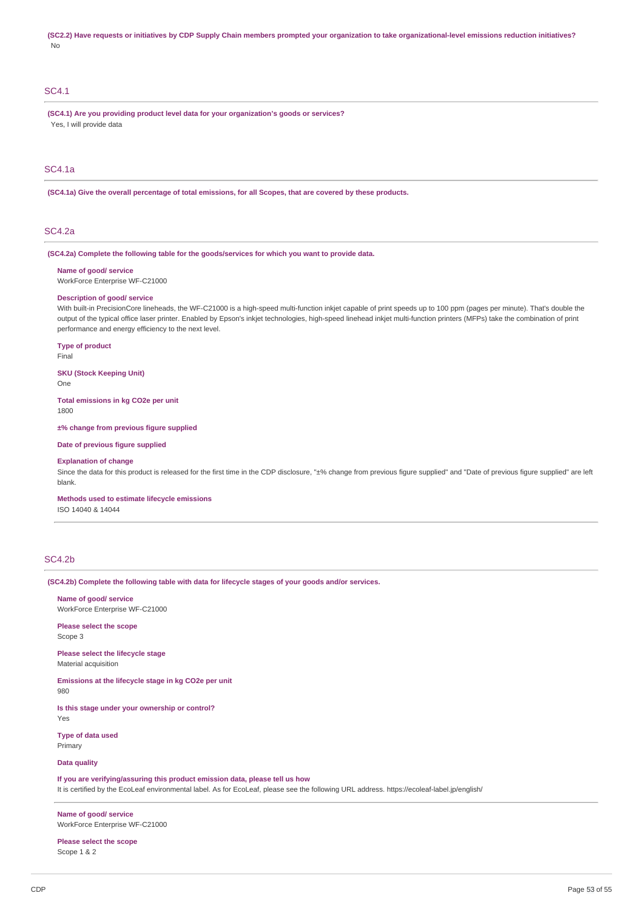(SC2.2) Have requests or initiatives by CDP Supply Chain members prompted your organization to take organizational-level emissions reduction initiatives? No

## SC4.1

**(SC4.1) Are you providing product level data for your organization's goods or services?** Yes, I will provide data

## SC4.1a

(SC4.1a) Give the overall percentage of total emissions, for all Scopes, that are covered by these products.

## SC4.2a

**(SC4.2a) Complete the following table for the goods/services for which you want to provide data.**

#### **Name of good/ service**

WorkForce Enterprise WF-C21000

#### **Description of good/ service**

With built-in PrecisionCore lineheads, the WF-C21000 is a high-speed multi-function inkjet capable of print speeds up to 100 ppm (pages per minute). That's double the output of the typical office laser printer. Enabled by Epson's inkjet technologies, high-speed linehead inkjet multi-function printers (MFPs) take the combination of print performance and energy efficiency to the next level.

**Type of product**

Final

## **SKU (Stock Keeping Unit)**

One

**Total emissions in kg CO2e per unit** 1800

**±% change from previous figure supplied**

#### **Date of previous figure supplied**

#### **Explanation of change**

Since the data for this product is released for the first time in the CDP disclosure, "±% change from previous figure supplied" and "Date of previous figure supplied" are left blank.

**Methods used to estimate lifecycle emissions**

ISO 14040 & 14044

## SC4.2b

**(SC4.2b) Complete the following table with data for lifecycle stages of your goods and/or services.**

## **Name of good/ service**

WorkForce Enterprise WF-C21000

**Please select the scope** Scope 3

## **Please select the lifecycle stage** Material acquisition

**Emissions at the lifecycle stage in kg CO2e per unit**

980

**Is this stage under your ownership or control?** Yes

**Type of data used** Primary

## **Data quality**

**If you are verifying/assuring this product emission data, please tell us how**

It is certified by the EcoLeaf environmental label. As for EcoLeaf, please see the following URL address. https://ecoleaf-label.jp/english/

**Name of good/ service** WorkForce Enterprise WF-C21000

**Please select the scope** Scope 1 & 2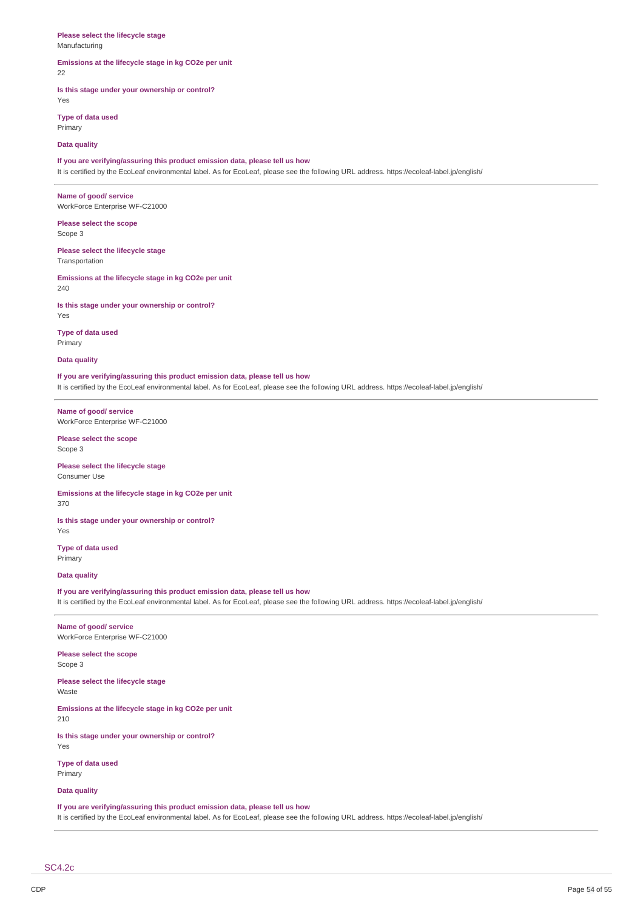#### **Please select the lifecycle stage** Manufacturing

## **Emissions at the lifecycle stage in kg CO2e per unit**

22

## **Is this stage under your ownership or control?**

Yes **Type of data used**

Primary

**Data quality**

## **If you are verifying/assuring this product emission data, please tell us how**

It is certified by the EcoLeaf environmental label. As for EcoLeaf, please see the following URL address. https://ecoleaf-label.jp/english/

**Name of good/ service** WorkForce Enterprise WF-C21000

**Please select the scope** Scope 3

**Please select the lifecycle stage** Transportation

**Emissions at the lifecycle stage in kg CO2e per unit** 240

**Is this stage under your ownership or control?** Yes

**Type of data used** Primary

**Data quality**

**If you are verifying/assuring this product emission data, please tell us how**

It is certified by the EcoLeaf environmental label. As for EcoLeaf, please see the following URL address. https://ecoleaf-label.jp/english/

**Name of good/ service** WorkForce Enterprise WF-C21000

**Please select the scope** Scope 3

**Please select the lifecycle stage** Consumer Use

**Emissions at the lifecycle stage in kg CO2e per unit**

370

**Is this stage under your ownership or control?** Yes

**Type of data used** Primary

**Data quality**

**If you are verifying/assuring this product emission data, please tell us how** It is certified by the EcoLeaf environmental label. As for EcoLeaf, please see the following URL address. https://ecoleaf-label.jp/english/

#### **Name of good/ service** WorkForce Enterprise WF-C21000

**Please select the scope**

Scope 3

**Please select the lifecycle stage** Waste

**Emissions at the lifecycle stage in kg CO2e per unit** 210

**Is this stage under your ownership or control?** Yes

**Type of data used** Primary

**Data quality**

## **If you are verifying/assuring this product emission data, please tell us how**

It is certified by the EcoLeaf environmental label. As for EcoLeaf, please see the following URL address. https://ecoleaf-label.jp/english/